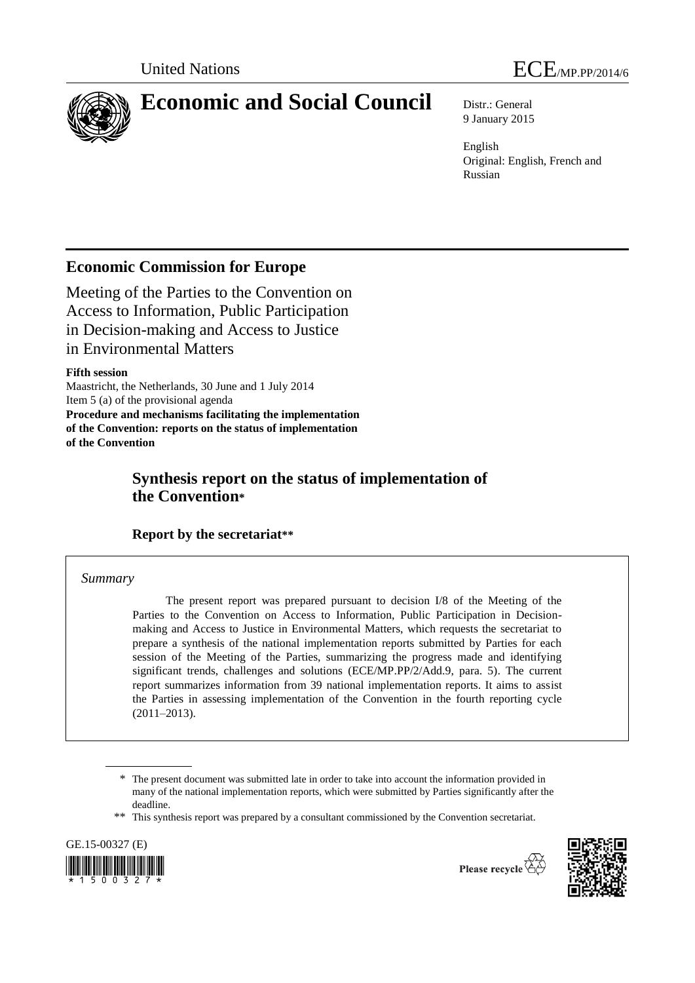

# **Economic and Social Council** Distr.: General

9 January 2015

English Original: English, French and Russian

# **Economic Commission for Europe**

Meeting of the Parties to the Convention on Access to Information, Public Participation in Decision-making and Access to Justice in Environmental Matters

# **Fifth session**

Maastricht, the Netherlands, 30 June and 1 July 2014 Item 5 (a) of the provisional agenda **Procedure and mechanisms facilitating the implementation of the Convention: reports on the status of implementation of the Convention**

# **Synthesis report on the status of implementation of the Convention\***

# **Report by the secretariat\*\***

# *Summary*

The present report was prepared pursuant to decision I/8 of the Meeting of the Parties to the Convention on Access to Information, Public Participation in Decisionmaking and Access to Justice in Environmental Matters, which requests the secretariat to prepare a synthesis of the national implementation reports submitted by Parties for each session of the Meeting of the Parties, summarizing the progress made and identifying significant trends, challenges and solutions (ECE/MP.PP/2/Add.9, para. 5). The current report summarizes information from 39 national implementation reports. It aims to assist the Parties in assessing implementation of the Convention in the fourth reporting cycle (2011–2013).

\*\* This synthesis report was prepared by a consultant commissioned by the Convention secretariat.







<sup>\*</sup> The present document was submitted late in order to take into account the information provided in many of the national implementation reports, which were submitted by Parties significantly after the deadline.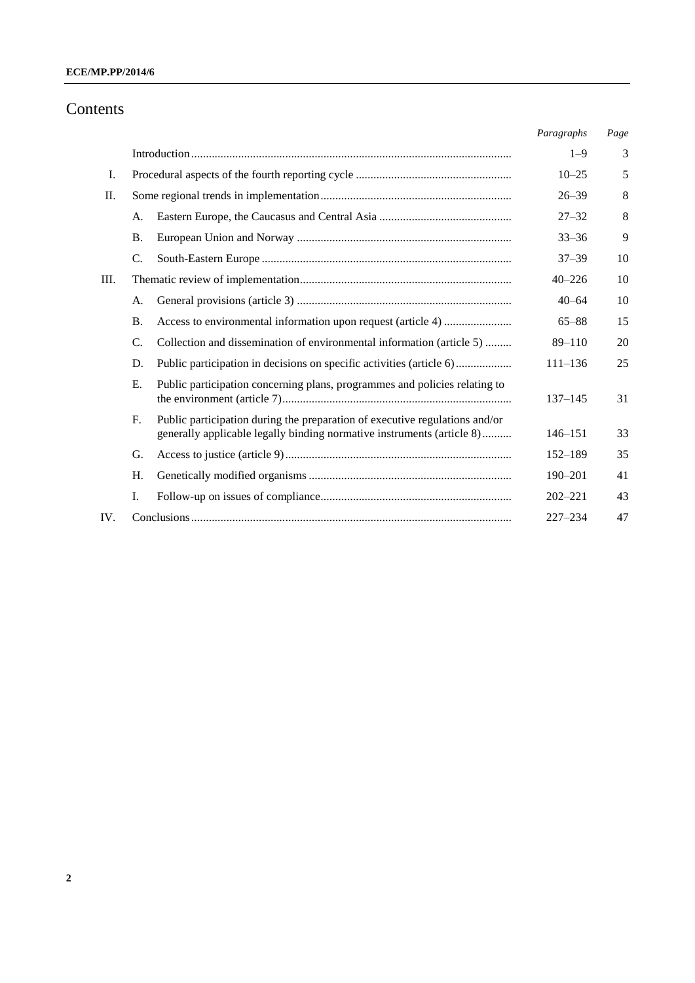# **ECE/MP.PP/2014/6**

# Contents

|     |                 |                                                                                                                                                       | Paragraphs  | Page |
|-----|-----------------|-------------------------------------------------------------------------------------------------------------------------------------------------------|-------------|------|
|     |                 |                                                                                                                                                       | $1 - 9$     | 3    |
| Ι.  |                 |                                                                                                                                                       | $10 - 25$   | 5    |
| II. |                 |                                                                                                                                                       | $26 - 39$   | 8    |
|     | А.              |                                                                                                                                                       | $27 - 32$   | 8    |
|     | <b>B.</b>       |                                                                                                                                                       | $33 - 36$   | 9    |
|     | $\mathcal{C}$ . |                                                                                                                                                       | $37 - 39$   | 10   |
| Ш.  |                 |                                                                                                                                                       | $40 - 226$  | 10   |
|     | А.              |                                                                                                                                                       | $40 - 64$   | 10   |
|     | <b>B.</b>       |                                                                                                                                                       | $65 - 88$   | 15   |
|     | $\mathcal{C}$ . | Collection and dissemination of environmental information (article 5)                                                                                 | $89 - 110$  | 20   |
|     | D.              | Public participation in decisions on specific activities (article 6)                                                                                  | $111 - 136$ | 25   |
|     | Ε.              | Public participation concerning plans, programmes and policies relating to                                                                            | $137 - 145$ | 31   |
|     | F.              | Public participation during the preparation of executive regulations and/or<br>generally applicable legally binding normative instruments (article 8) | $146 - 151$ | 33   |
|     | G.              |                                                                                                                                                       | 152-189     | 35   |
|     | H.              |                                                                                                                                                       | $190 - 201$ | 41   |
|     | Ι.              |                                                                                                                                                       | $202 - 221$ | 43   |
| IV. |                 |                                                                                                                                                       | $227 - 234$ | 47   |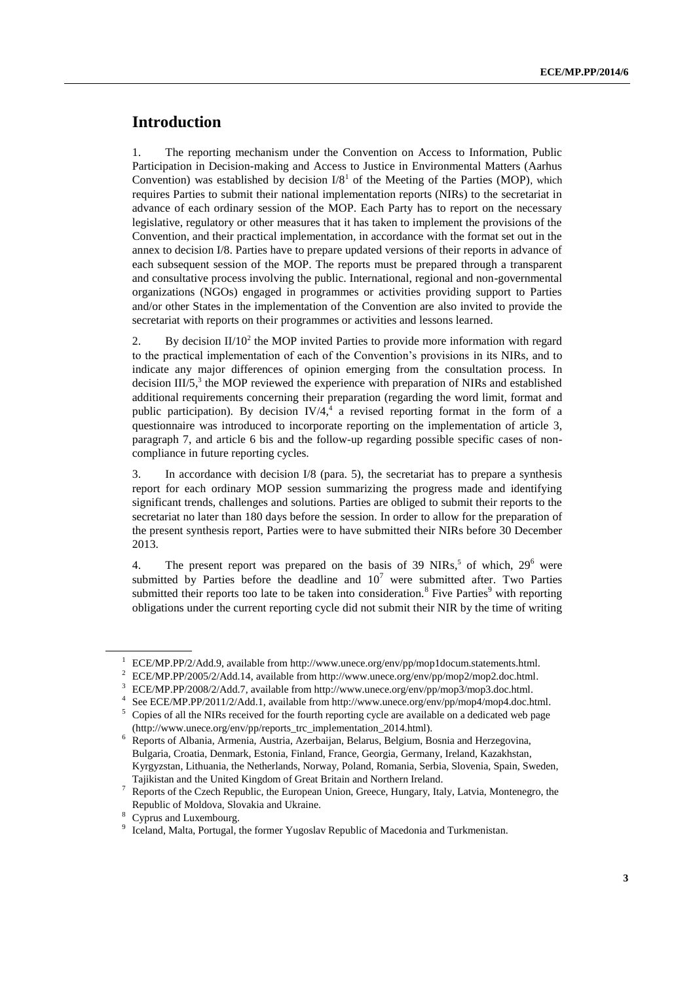# **Introduction**

1. The reporting mechanism under the Convention on Access to Information, Public Participation in Decision-making and Access to Justice in Environmental Matters (Aarhus Convention) was established by decision  $I/8<sup>1</sup>$  of the Meeting of the Parties (MOP), which requires Parties to submit their national implementation reports (NIRs) to the secretariat in advance of each ordinary session of the MOP. Each Party has to report on the necessary legislative, regulatory or other measures that it has taken to implement the provisions of the Convention, and their practical implementation, in accordance with the format set out in the annex to decision I/8. Parties have to prepare updated versions of their reports in advance of each subsequent session of the MOP. The reports must be prepared through a transparent and consultative process involving the public. International, regional and non-governmental organizations (NGOs) engaged in programmes or activities providing support to Parties and/or other States in the implementation of the Convention are also invited to provide the secretariat with reports on their programmes or activities and lessons learned.

2. By decision  $II/10<sup>2</sup>$  the MOP invited Parties to provide more information with regard to the practical implementation of each of the Convention's provisions in its NIRs, and to indicate any major differences of opinion emerging from the consultation process. In decision III/5,<sup>3</sup> the MOP reviewed the experience with preparation of NIRs and established additional requirements concerning their preparation (regarding the word limit, format and public participation). By decision IV/4,<sup>4</sup> a revised reporting format in the form of a questionnaire was introduced to incorporate reporting on the implementation of article 3, paragraph 7, and article 6 bis and the follow-up regarding possible specific cases of noncompliance in future reporting cycles.

3. In accordance with decision I/8 (para. 5), the secretariat has to prepare a synthesis report for each ordinary MOP session summarizing the progress made and identifying significant trends, challenges and solutions. Parties are obliged to submit their reports to the secretariat no later than 180 days before the session. In order to allow for the preparation of the present synthesis report, Parties were to have submitted their NIRs before 30 December 2013.

4. The present report was prepared on the basis of 39 NIRs,<sup>5</sup> of which,  $29^6$  were submitted by Parties before the deadline and  $10<sup>7</sup>$  were submitted after. Two Parties submitted their reports too late to be taken into consideration.<sup>8</sup> Five Parties<sup>9</sup> with reporting obligations under the current reporting cycle did not submit their NIR by the time of writing

<sup>1</sup> ECE/MP.PP/2/Add.9, available from http://www.unece.org/env/pp/mop1docum.statements.html.

<sup>2</sup> ECE/MP.PP/2005/2/Add.14, available from http://www.unece.org/env/pp/mop2/mop2.doc.html.

<sup>3</sup> ECE/MP.PP/2008/2/Add.7, available from http://www.unece.org/env/pp/mop3/mop3.doc.html.

<sup>4</sup> See ECE/MP.PP/2011/2/Add.1, available from http://www.unece.org/env/pp/mop4/mop4.doc.html.

<sup>5</sup> Copies of all the NIRs received for the fourth reporting cycle are available on a dedicated web page [\(http://www.unece.org/env/pp/reports\\_trc\\_implementation\\_2014.html\)](http://www.unece.org/env/pp/reports_trc_implementation_2014.html).

<sup>6</sup> Reports of Albania, Armenia, Austria, Azerbaijan, Belarus, Belgium, Bosnia and Herzegovina, Bulgaria, Croatia, Denmark, Estonia, Finland, France, Georgia, Germany, Ireland, Kazakhstan, Kyrgyzstan, Lithuania, the Netherlands, Norway, Poland, Romania, Serbia, Slovenia, Spain, Sweden, Tajikistan and the United Kingdom of Great Britain and Northern Ireland.

<sup>7</sup> Reports of the Czech Republic, the European Union, Greece, Hungary, Italy, Latvia, Montenegro, the Republic of Moldova, Slovakia and Ukraine.

<sup>&</sup>lt;sup>8</sup> Cyprus and Luxembourg.

<sup>&</sup>lt;sup>9</sup> Iceland, Malta, Portugal, the former Yugoslav Republic of Macedonia and Turkmenistan.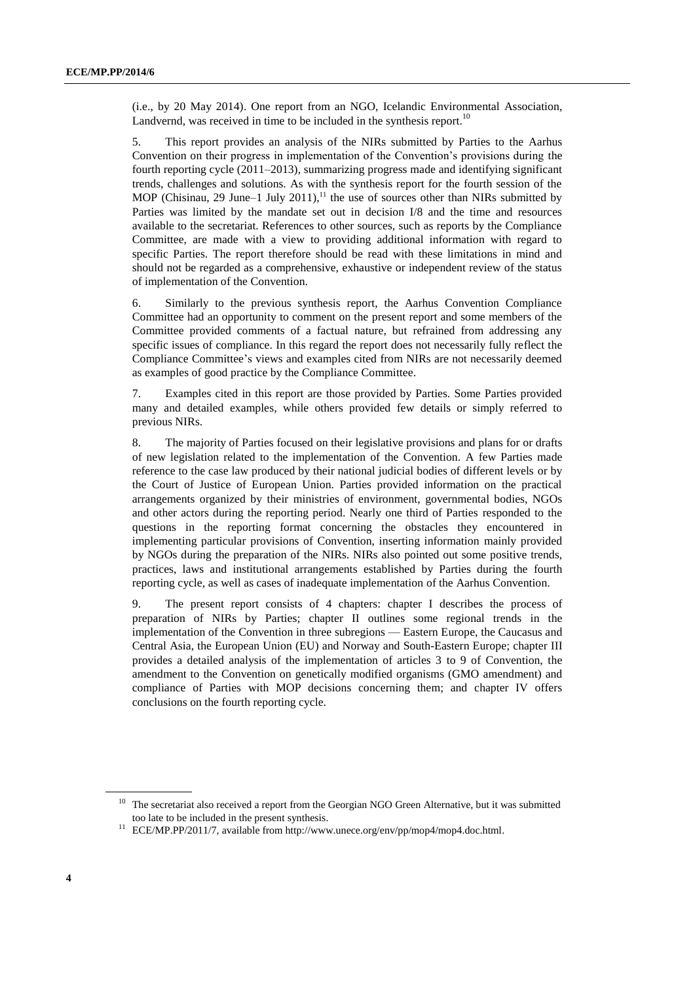(i.e., by 20 May 2014). One report from an NGO, Icelandic Environmental Association, Landvernd, was received in time to be included in the synthesis report.<sup>10</sup>

5. This report provides an analysis of the NIRs submitted by Parties to the Aarhus Convention on their progress in implementation of the Convention's provisions during the fourth reporting cycle (2011–2013), summarizing progress made and identifying significant trends, challenges and solutions. As with the synthesis report for the fourth session of the MOP (Chisinau, 29 June–1 July 2011),<sup>11</sup> the use of sources other than NIRs submitted by Parties was limited by the mandate set out in decision I/8 and the time and resources available to the secretariat. References to other sources, such as reports by the Compliance Committee, are made with a view to providing additional information with regard to specific Parties. The report therefore should be read with these limitations in mind and should not be regarded as a comprehensive, exhaustive or independent review of the status of implementation of the Convention.

6. Similarly to the previous synthesis report, the Aarhus Convention Compliance Committee had an opportunity to comment on the present report and some members of the Committee provided comments of a factual nature, but refrained from addressing any specific issues of compliance. In this regard the report does not necessarily fully reflect the Compliance Committee's views and examples cited from NIRs are not necessarily deemed as examples of good practice by the Compliance Committee.

7. Examples cited in this report are those provided by Parties. Some Parties provided many and detailed examples, while others provided few details or simply referred to previous NIRs.

8. The majority of Parties focused on their legislative provisions and plans for or drafts of new legislation related to the implementation of the Convention. A few Parties made reference to the case law produced by their national judicial bodies of different levels or by the Court of Justice of European Union. Parties provided information on the practical arrangements organized by their ministries of environment, governmental bodies, NGOs and other actors during the reporting period. Nearly one third of Parties responded to the questions in the reporting format concerning the obstacles they encountered in implementing particular provisions of Convention, inserting information mainly provided by NGOs during the preparation of the NIRs. NIRs also pointed out some positive trends, practices, laws and institutional arrangements established by Parties during the fourth reporting cycle, as well as cases of inadequate implementation of the Aarhus Convention.

9. The present report consists of 4 chapters: chapter I describes the process of preparation of NIRs by Parties; chapter II outlines some regional trends in the implementation of the Convention in three subregions — Eastern Europe, the Caucasus and Central Asia, the European Union (EU) and Norway and South-Eastern Europe; chapter III provides a detailed analysis of the implementation of articles 3 to 9 of Convention, the amendment to the Convention on genetically modified organisms (GMO amendment) and compliance of Parties with MOP decisions concerning them; and chapter IV offers conclusions on the fourth reporting cycle.

<sup>&</sup>lt;sup>10</sup> The secretariat also received a report from the Georgian NGO Green Alternative, but it was submitted too late to be included in the present synthesis.

 $11$  ECE/MP.PP/2011/7, available from http://www.unece.org/env/pp/mop4/mop4.doc.html.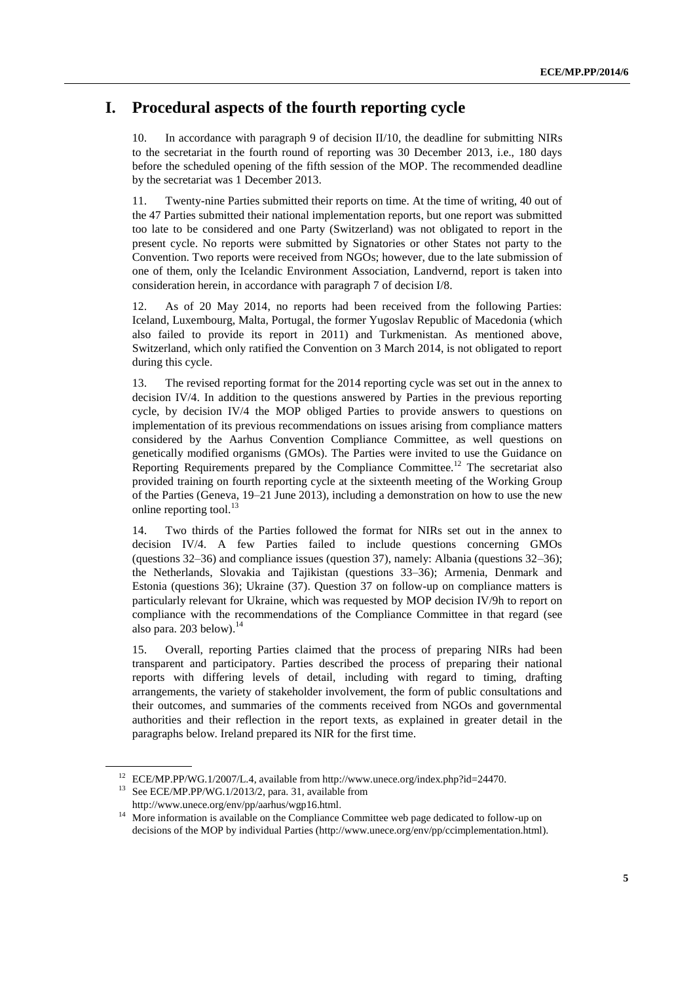# **I. Procedural aspects of the fourth reporting cycle**

10. In accordance with paragraph 9 of decision II/10, the deadline for submitting NIRs to the secretariat in the fourth round of reporting was 30 December 2013, i.e., 180 days before the scheduled opening of the fifth session of the MOP. The recommended deadline by the secretariat was 1 December 2013.

11. Twenty-nine Parties submitted their reports on time. At the time of writing, 40 out of the 47 Parties submitted their national implementation reports, but one report was submitted too late to be considered and one Party (Switzerland) was not obligated to report in the present cycle. No reports were submitted by Signatories or other States not party to the Convention. Two reports were received from NGOs; however, due to the late submission of one of them, only the Icelandic Environment Association, Landvernd, report is taken into consideration herein, in accordance with paragraph 7 of decision I/8.

12. As of 20 May 2014, no reports had been received from the following Parties: Iceland, Luxembourg, Malta, Portugal, the former Yugoslav Republic of Macedonia (which also failed to provide its report in 2011) and Turkmenistan. As mentioned above, Switzerland, which only ratified the Convention on 3 March 2014, is not obligated to report during this cycle.

13. The revised reporting format for the 2014 reporting cycle was set out in the annex to decision IV/4. In addition to the questions answered by Parties in the previous reporting cycle, by decision IV/4 the MOP obliged Parties to provide answers to questions on implementation of its previous recommendations on issues arising from compliance matters considered by the Aarhus Convention Compliance Committee, as well questions on genetically modified organisms (GMOs). The Parties were invited to use the Guidance on Reporting Requirements prepared by the Compliance Committee.<sup>12</sup> The secretariat also provided training on fourth reporting cycle at the sixteenth meeting of the Working Group of the Parties (Geneva, 19–21 June 2013), including a demonstration on how to use the new online reporting tool. $^{13}$ 

14. Two thirds of the Parties followed the format for NIRs set out in the annex to decision IV/4. A few Parties failed to include questions concerning GMOs (questions 32–36) and compliance issues (question 37), namely: Albania (questions 32–36); the Netherlands, Slovakia and Tajikistan (questions 33–36); Armenia, Denmark and Estonia (questions 36); Ukraine (37). Question 37 on follow-up on compliance matters is particularly relevant for Ukraine, which was requested by MOP decision IV/9h to report on compliance with the recommendations of the Compliance Committee in that regard (see also para. 203 below). 14

15. Overall, reporting Parties claimed that the process of preparing NIRs had been transparent and participatory. Parties described the process of preparing their national reports with differing levels of detail, including with regard to timing, drafting arrangements, the variety of stakeholder involvement, the form of public consultations and their outcomes, and summaries of the comments received from NGOs and governmental authorities and their reflection in the report texts, as explained in greater detail in the paragraphs below. Ireland prepared its NIR for the first time.

<sup>12</sup> ECE/MP.PP/WG.1/2007/L.4, available from http://www.unece.org/index.php?id=24470.

<sup>&</sup>lt;sup>13</sup> See ECE/MP.PP/WG.1/2013/2, para. 31, available from [http://www.unece.org/env/pp/aarhus/wgp16.html.](http://www.unece.org/env/pp/aarhus/wgp16.html)

<sup>&</sup>lt;sup>14</sup> More information is available on the Compliance Committee web page dedicated to follow-up on decisions of the MOP by individual Parties (http://www.unece.org/env/pp/ccimplementation.html).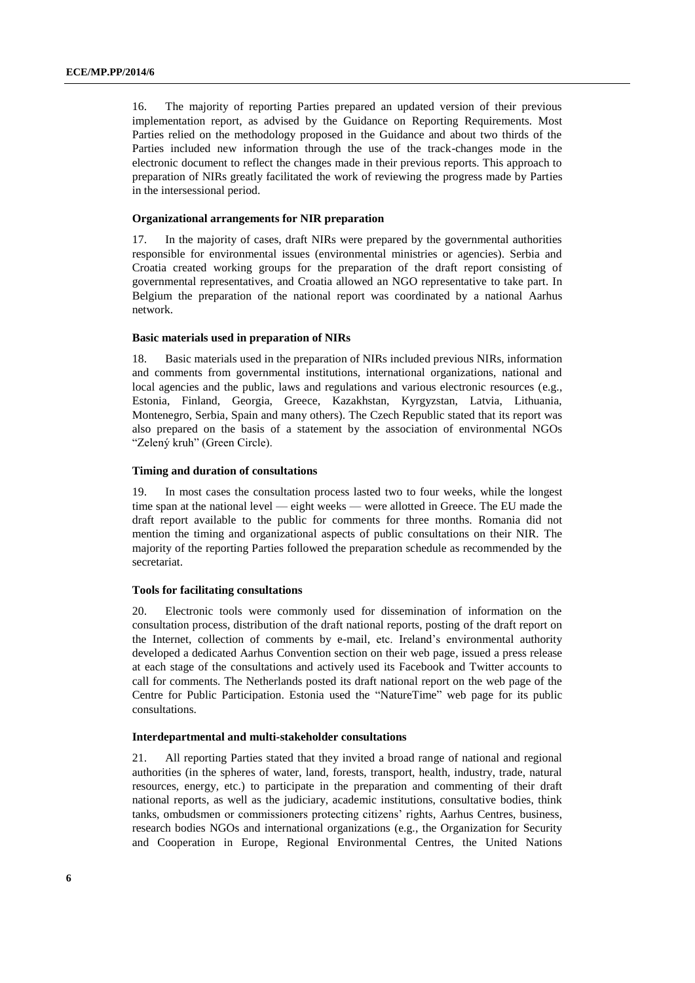16. The majority of reporting Parties prepared an updated version of their previous implementation report, as advised by the Guidance on Reporting Requirements. Most Parties relied on the methodology proposed in the Guidance and about two thirds of the Parties included new information through the use of the track-changes mode in the electronic document to reflect the changes made in their previous reports. This approach to preparation of NIRs greatly facilitated the work of reviewing the progress made by Parties in the intersessional period.

#### **Organizational arrangements for NIR preparation**

17. In the majority of cases, draft NIRs were prepared by the governmental authorities responsible for environmental issues (environmental ministries or agencies). Serbia and Croatia created working groups for the preparation of the draft report consisting of governmental representatives, and Croatia allowed an NGO representative to take part. In Belgium the preparation of the national report was coordinated by a national Aarhus network.

#### **Basic materials used in preparation of NIRs**

18. Basic materials used in the preparation of NIRs included previous NIRs, information and comments from governmental institutions, international organizations, national and local agencies and the public, laws and regulations and various electronic resources (e.g., Estonia, Finland, Georgia, Greece, Kazakhstan, Kyrgyzstan, Latvia, Lithuania, Montenegro, Serbia, Spain and many others). The Czech Republic stated that its report was also prepared on the basis of a statement by the association of environmental NGOs "Zelený kruh" (Green Circle).

#### **Timing and duration of consultations**

19. In most cases the consultation process lasted two to four weeks, while the longest time span at the national level — eight weeks — were allotted in Greece. The EU made the draft report available to the public for comments for three months. Romania did not mention the timing and organizational aspects of public consultations on their NIR. The majority of the reporting Parties followed the preparation schedule as recommended by the secretariat.

#### **Tools for facilitating consultations**

20. Electronic tools were commonly used for dissemination of information on the consultation process, distribution of the draft national reports, posting of the draft report on the Internet, collection of comments by e-mail, etc. Ireland's environmental authority developed a dedicated Aarhus Convention section on their web page, issued a press release at each stage of the consultations and actively used its Facebook and Twitter accounts to call for comments. The Netherlands posted its draft national report on the web page of the Centre for Public Participation. Estonia used the "NatureTime" web page for its public consultations.

#### **Interdepartmental and multi-stakeholder consultations**

21. All reporting Parties stated that they invited a broad range of national and regional authorities (in the spheres of water, land, forests, transport, health, industry, trade, natural resources, energy, etc.) to participate in the preparation and commenting of their draft national reports, as well as the judiciary, academic institutions, consultative bodies, think tanks, ombudsmen or commissioners protecting citizens' rights, Aarhus Centres, business, research bodies NGOs and international organizations (e.g., the Organization for Security and Cooperation in Europe, Regional Environmental Centres, the United Nations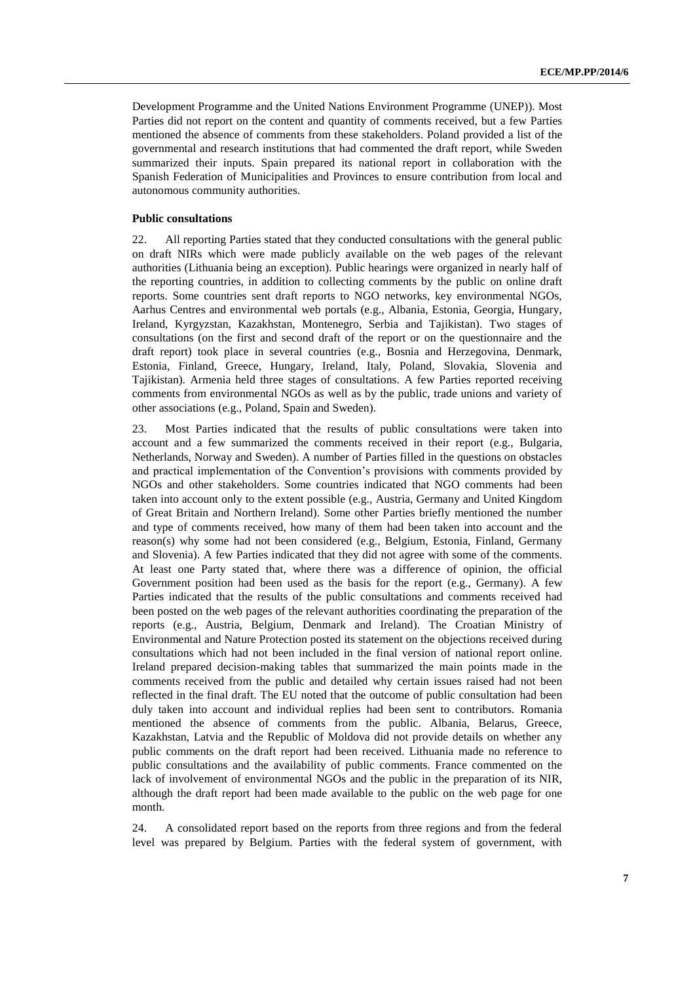Development Programme and the United Nations Environment Programme (UNEP)). Most Parties did not report on the content and quantity of comments received, but a few Parties mentioned the absence of comments from these stakeholders. Poland provided a list of the governmental and research institutions that had commented the draft report, while Sweden summarized their inputs. Spain prepared its national report in collaboration with the Spanish Federation of Municipalities and Provinces to ensure contribution from local and autonomous community authorities.

#### **Public consultations**

22. All reporting Parties stated that they conducted consultations with the general public on draft NIRs which were made publicly available on the web pages of the relevant authorities (Lithuania being an exception). Public hearings were organized in nearly half of the reporting countries, in addition to collecting comments by the public on online draft reports. Some countries sent draft reports to NGO networks, key environmental NGOs, Aarhus Centres and environmental web portals (e.g., Albania, Estonia, Georgia, Hungary, Ireland, Kyrgyzstan, Kazakhstan, Montenegro, Serbia and Tajikistan). Two stages of consultations (on the first and second draft of the report or on the questionnaire and the draft report) took place in several countries (e.g., Bosnia and Herzegovina, Denmark, Estonia, Finland, Greece, Hungary, Ireland, Italy, Poland, Slovakia, Slovenia and Tajikistan). Armenia held three stages of consultations. A few Parties reported receiving comments from environmental NGOs as well as by the public, trade unions and variety of other associations (e.g., Poland, Spain and Sweden).

23. Most Parties indicated that the results of public consultations were taken into account and a few summarized the comments received in their report (e.g., Bulgaria, Netherlands, Norway and Sweden). A number of Parties filled in the questions on obstacles and practical implementation of the Convention's provisions with comments provided by NGOs and other stakeholders. Some countries indicated that NGO comments had been taken into account only to the extent possible (e.g., Austria, Germany and United Kingdom of Great Britain and Northern Ireland). Some other Parties briefly mentioned the number and type of comments received, how many of them had been taken into account and the reason(s) why some had not been considered (e.g., Belgium, Estonia, Finland, Germany and Slovenia). A few Parties indicated that they did not agree with some of the comments. At least one Party stated that, where there was a difference of opinion, the official Government position had been used as the basis for the report (e.g., Germany). A few Parties indicated that the results of the public consultations and comments received had been posted on the web pages of the relevant authorities coordinating the preparation of the reports (e.g., Austria, Belgium, Denmark and Ireland). The Croatian Ministry of Environmental and Nature Protection posted its statement on the objections received during consultations which had not been included in the final version of national report online. Ireland prepared decision-making tables that summarized the main points made in the comments received from the public and detailed why certain issues raised had not been reflected in the final draft. The EU noted that the outcome of public consultation had been duly taken into account and individual replies had been sent to contributors. Romania mentioned the absence of comments from the public. Albania, Belarus, Greece, Kazakhstan, Latvia and the Republic of Moldova did not provide details on whether any public comments on the draft report had been received. Lithuania made no reference to public consultations and the availability of public comments. France commented on the lack of involvement of environmental NGOs and the public in the preparation of its NIR, although the draft report had been made available to the public on the web page for one month.

24. A consolidated report based on the reports from three regions and from the federal level was prepared by Belgium. Parties with the federal system of government, with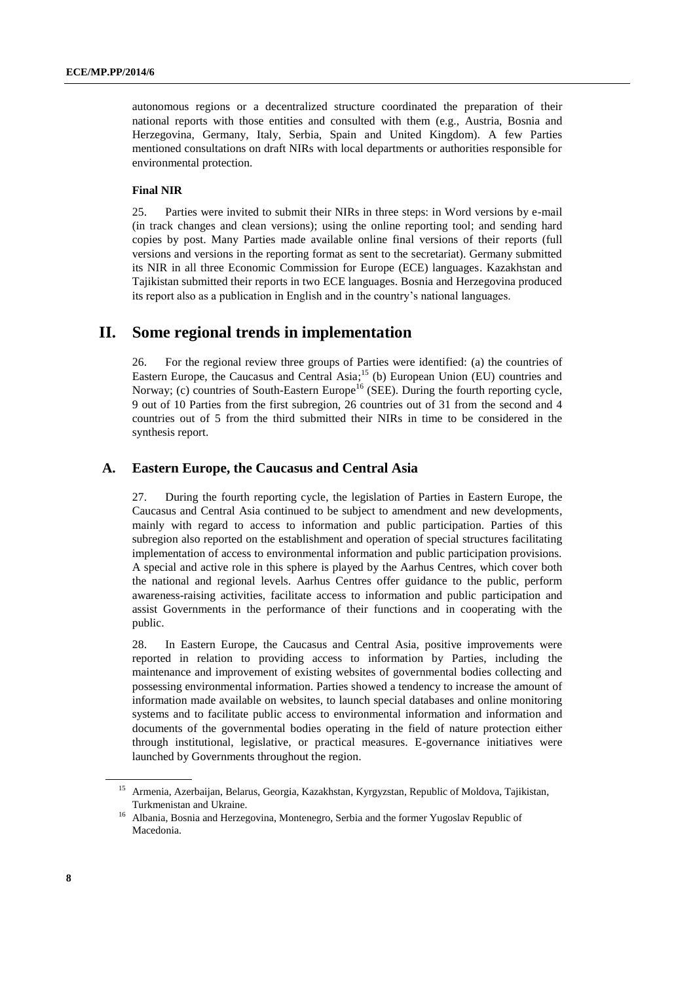autonomous regions or a decentralized structure coordinated the preparation of their national reports with those entities and consulted with them (e.g., Austria, Bosnia and Herzegovina, Germany, Italy, Serbia, Spain and United Kingdom). A few Parties mentioned consultations on draft NIRs with local departments or authorities responsible for environmental protection.

# **Final NIR**

25. Parties were invited to submit their NIRs in three steps: in Word versions by e-mail (in track changes and clean versions); using the online reporting tool; and sending hard copies by post. Many Parties made available online final versions of their reports (full versions and versions in the reporting format as sent to the secretariat). Germany submitted its NIR in all three Economic Commission for Europe (ECE) languages. Kazakhstan and Tajikistan submitted their reports in two ECE languages. Bosnia and Herzegovina produced its report also as a publication in English and in the country's national languages.

# **II. Some regional trends in implementation**

26. For the regional review three groups of Parties were identified: (a) the countries of Eastern Europe, the Caucasus and Central Asia;<sup>15</sup> (b) European Union (EU) countries and Norway; (c) countries of South-Eastern Europe<sup>16</sup> (SEE). During the fourth reporting cycle, 9 out of 10 Parties from the first subregion, 26 countries out of 31 from the second and 4 countries out of 5 from the third submitted their NIRs in time to be considered in the synthesis report.

# **A. Eastern Europe, the Caucasus and Central Asia**

27. During the fourth reporting cycle, the legislation of Parties in Eastern Europe, the Caucasus and Central Asia continued to be subject to amendment and new developments, mainly with regard to access to information and public participation. Parties of this subregion also reported on the establishment and operation of special structures facilitating implementation of access to environmental information and public participation provisions. A special and active role in this sphere is played by the Aarhus Centres, which cover both the national and regional levels. Aarhus Centres offer guidance to the public, perform awareness-raising activities, facilitate access to information and public participation and assist Governments in the performance of their functions and in cooperating with the public.

28. In Eastern Europe, the Caucasus and Central Asia, positive improvements were reported in relation to providing access to information by Parties, including the maintenance and improvement of existing websites of governmental bodies collecting and possessing environmental information. Parties showed a tendency to increase the amount of information made available on websites, to launch special databases and online monitoring systems and to facilitate public access to environmental information and information and documents of the governmental bodies operating in the field of nature protection either through institutional, legislative, or practical measures. E-governance initiatives were launched by Governments throughout the region.

<sup>15</sup> Armenia, Azerbaijan, Belarus, Georgia, Kazakhstan, Kyrgyzstan, Republic of Moldova, Tajikistan, Turkmenistan and Ukraine.

<sup>&</sup>lt;sup>16</sup> Albania, Bosnia and Herzegovina, Montenegro, Serbia and the former Yugoslav Republic of Macedonia.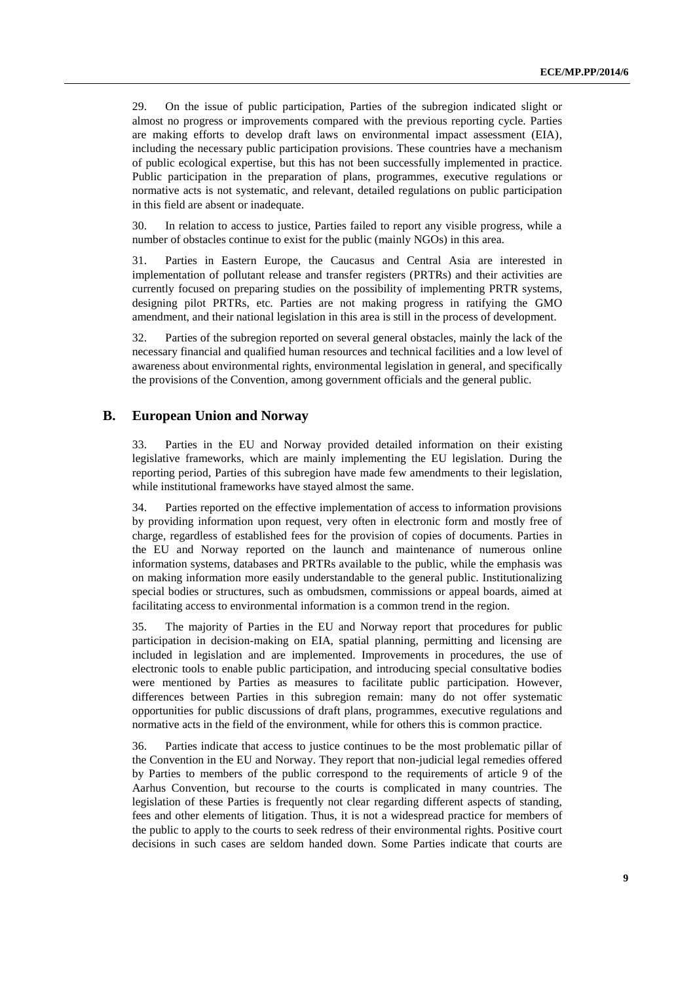29. On the issue of public participation, Parties of the subregion indicated slight or almost no progress or improvements compared with the previous reporting cycle. Parties are making efforts to develop draft laws on environmental impact assessment (EIA), including the necessary public participation provisions. These countries have a mechanism of public ecological expertise, but this has not been successfully implemented in practice. Public participation in the preparation of plans, programmes, executive regulations or normative acts is not systematic, and relevant, detailed regulations on public participation in this field are absent or inadequate.

30. In relation to access to justice, Parties failed to report any visible progress, while a number of obstacles continue to exist for the public (mainly NGOs) in this area.

31. Parties in Eastern Europe, the Caucasus and Central Asia are interested in implementation of pollutant release and transfer registers (PRTRs) and their activities are currently focused on preparing studies on the possibility of implementing PRTR systems, designing pilot PRTRs, etc. Parties are not making progress in ratifying the GMO amendment, and their national legislation in this area is still in the process of development.

32. Parties of the subregion reported on several general obstacles, mainly the lack of the necessary financial and qualified human resources and technical facilities and a low level of awareness about environmental rights, environmental legislation in general, and specifically the provisions of the Convention, among government officials and the general public.

# **B. European Union and Norway**

33. Parties in the EU and Norway provided detailed information on their existing legislative frameworks, which are mainly implementing the EU legislation. During the reporting period, Parties of this subregion have made few amendments to their legislation, while institutional frameworks have stayed almost the same.

34. Parties reported on the effective implementation of access to information provisions by providing information upon request, very often in electronic form and mostly free of charge, regardless of established fees for the provision of copies of documents. Parties in the EU and Norway reported on the launch and maintenance of numerous online information systems, databases and PRTRs available to the public, while the emphasis was on making information more easily understandable to the general public. Institutionalizing special bodies or structures, such as ombudsmen, commissions or appeal boards, aimed at facilitating access to environmental information is a common trend in the region.

35. The majority of Parties in the EU and Norway report that procedures for public participation in decision-making on EIA, spatial planning, permitting and licensing are included in legislation and are implemented. Improvements in procedures, the use of electronic tools to enable public participation, and introducing special consultative bodies were mentioned by Parties as measures to facilitate public participation. However, differences between Parties in this subregion remain: many do not offer systematic opportunities for public discussions of draft plans, programmes, executive regulations and normative acts in the field of the environment, while for others this is common practice.

36. Parties indicate that access to justice continues to be the most problematic pillar of the Convention in the EU and Norway. They report that non-judicial legal remedies offered by Parties to members of the public correspond to the requirements of article 9 of the Aarhus Convention, but recourse to the courts is complicated in many countries. The legislation of these Parties is frequently not clear regarding different aspects of standing, fees and other elements of litigation. Thus, it is not a widespread practice for members of the public to apply to the courts to seek redress of their environmental rights. Positive court decisions in such cases are seldom handed down. Some Parties indicate that courts are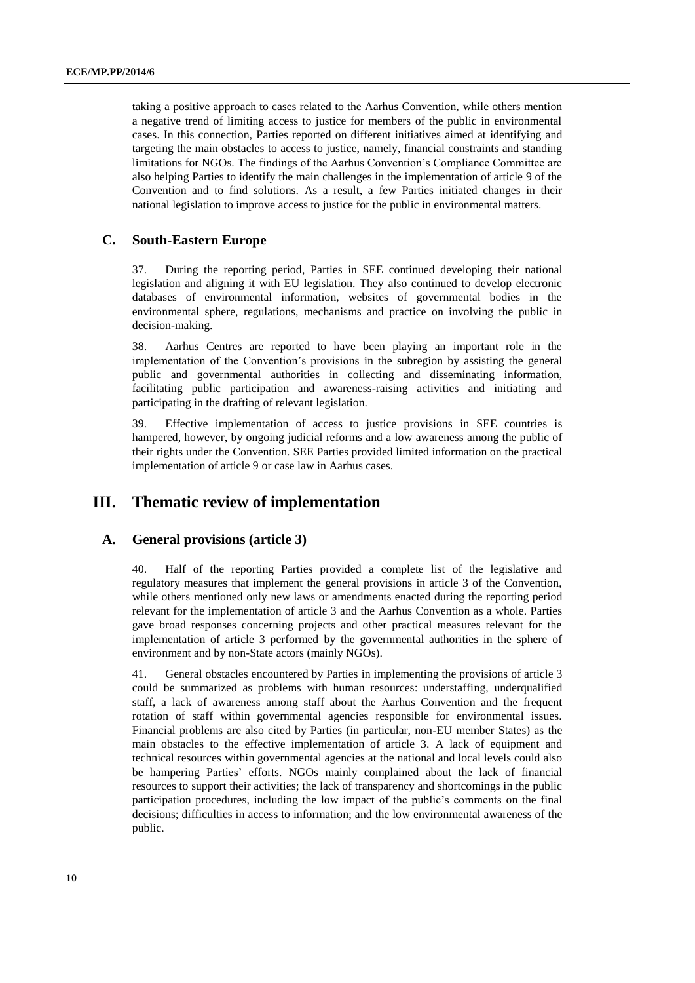taking a positive approach to cases related to the Aarhus Convention, while others mention a negative trend of limiting access to justice for members of the public in environmental cases. In this connection, Parties reported on different initiatives aimed at identifying and targeting the main obstacles to access to justice, namely, financial constraints and standing limitations for NGOs. The findings of the Aarhus Convention's Compliance Committee are also helping Parties to identify the main challenges in the implementation of article 9 of the Convention and to find solutions. As a result, a few Parties initiated changes in their national legislation to improve access to justice for the public in environmental matters.

# **C. South-Eastern Europe**

37. During the reporting period, Parties in SEE continued developing their national legislation and aligning it with EU legislation. They also continued to develop electronic databases of environmental information, websites of governmental bodies in the environmental sphere, regulations, mechanisms and practice on involving the public in decision-making.

38. Aarhus Centres are reported to have been playing an important role in the implementation of the Convention's provisions in the subregion by assisting the general public and governmental authorities in collecting and disseminating information, facilitating public participation and awareness-raising activities and initiating and participating in the drafting of relevant legislation.

39. Effective implementation of access to justice provisions in SEE countries is hampered, however, by ongoing judicial reforms and a low awareness among the public of their rights under the Convention. SEE Parties provided limited information on the practical implementation of article 9 or case law in Aarhus cases.

# **III. Thematic review of implementation**

# **A. General provisions (article 3)**

40. Half of the reporting Parties provided a complete list of the legislative and regulatory measures that implement the general provisions in article 3 of the Convention, while others mentioned only new laws or amendments enacted during the reporting period relevant for the implementation of article 3 and the Aarhus Convention as a whole. Parties gave broad responses concerning projects and other practical measures relevant for the implementation of article 3 performed by the governmental authorities in the sphere of environment and by non-State actors (mainly NGOs).

41. General obstacles encountered by Parties in implementing the provisions of article 3 could be summarized as problems with human resources: understaffing, underqualified staff, a lack of awareness among staff about the Aarhus Convention and the frequent rotation of staff within governmental agencies responsible for environmental issues. Financial problems are also cited by Parties (in particular, non-EU member States) as the main obstacles to the effective implementation of article 3. A lack of equipment and technical resources within governmental agencies at the national and local levels could also be hampering Parties' efforts. NGOs mainly complained about the lack of financial resources to support their activities; the lack of transparency and shortcomings in the public participation procedures, including the low impact of the public's comments on the final decisions; difficulties in access to information; and the low environmental awareness of the public.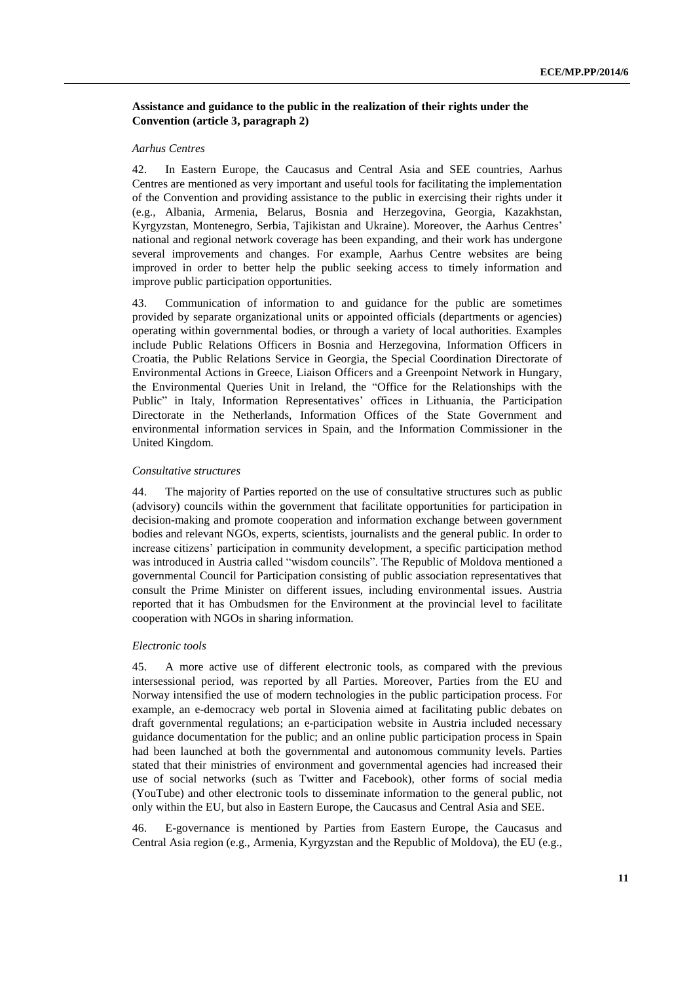# **Assistance and guidance to the public in the realization of their rights under the Convention (article 3, paragraph 2)**

## *Aarhus Centres*

42. In Eastern Europe, the Caucasus and Central Asia and SEE countries, Aarhus Centres are mentioned as very important and useful tools for facilitating the implementation of the Convention and providing assistance to the public in exercising their rights under it (e.g., Albania, Armenia, Belarus, Bosnia and Herzegovina, Georgia, Kazakhstan, Kyrgyzstan, Montenegro, Serbia, Tajikistan and Ukraine). Moreover, the Aarhus Centres' national and regional network coverage has been expanding, and their work has undergone several improvements and changes. For example, Aarhus Centre websites are being improved in order to better help the public seeking access to timely information and improve public participation opportunities.

43. Communication of information to and guidance for the public are sometimes provided by separate organizational units or appointed officials (departments or agencies) operating within governmental bodies, or through a variety of local authorities. Examples include Public Relations Officers in Bosnia and Herzegovina, Information Officers in Croatia, the Public Relations Service in Georgia, the Special Coordination Directorate of Environmental Actions in Greece, Liaison Officers and a Greenpoint Network in Hungary, the Environmental Queries Unit in Ireland, the "Office for the Relationships with the Public" in Italy, Information Representatives' offices in Lithuania, the Participation Directorate in the Netherlands, Information Offices of the State Government and environmental information services in Spain, and the Information Commissioner in the United Kingdom.

#### *Consultative structures*

44. The majority of Parties reported on the use of consultative structures such as public (advisory) councils within the government that facilitate opportunities for participation in decision-making and promote cooperation and information exchange between government bodies and relevant NGOs, experts, scientists, journalists and the general public. In order to increase citizens' participation in community development, a specific participation method was introduced in Austria called "wisdom councils". The Republic of Moldova mentioned a governmental Council for Participation consisting of public association representatives that consult the Prime Minister on different issues, including environmental issues. Austria reported that it has Ombudsmen for the Environment at the provincial level to facilitate cooperation with NGOs in sharing information.

#### *Electronic tools*

45. A more active use of different electronic tools, as compared with the previous intersessional period, was reported by all Parties. Moreover, Parties from the EU and Norway intensified the use of modern technologies in the public participation process. For example, an e-democracy web portal in Slovenia aimed at facilitating public debates on draft governmental regulations; an e-participation website in Austria included necessary guidance documentation for the public; and an online public participation process in Spain had been launched at both the governmental and autonomous community levels. Parties stated that their ministries of environment and governmental agencies had increased their use of social networks (such as Twitter and Facebook), other forms of social media (YouTube) and other electronic tools to disseminate information to the general public, not only within the EU, but also in Eastern Europe, the Caucasus and Central Asia and SEE.

46. E-governance is mentioned by Parties from Eastern Europe, the Caucasus and Central Asia region (e.g., Armenia, Kyrgyzstan and the Republic of Moldova), the EU (e.g.,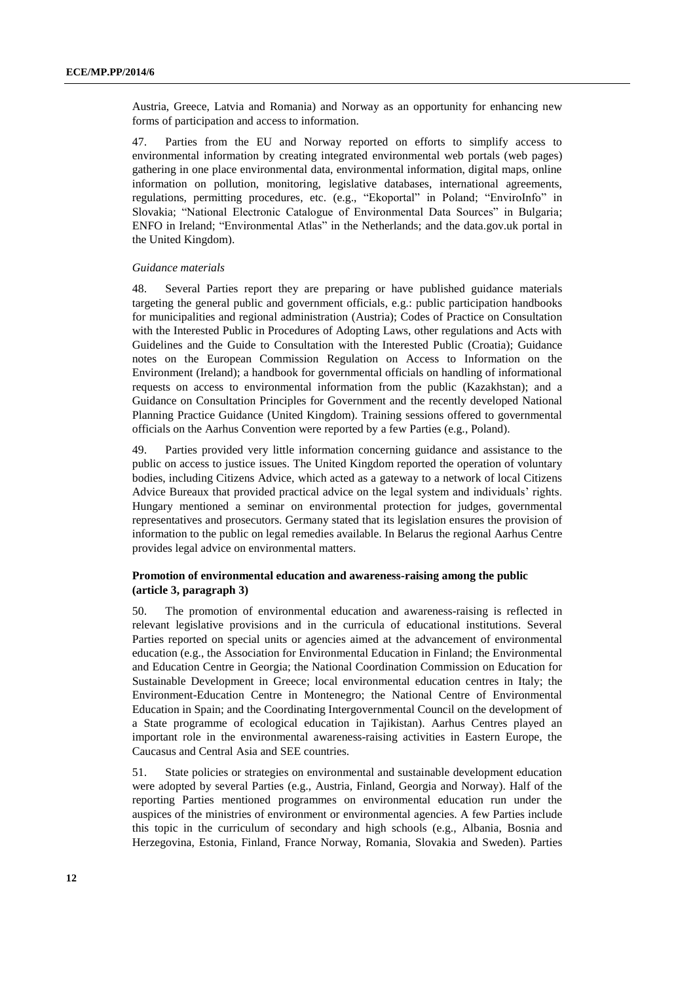Austria, Greece, Latvia and Romania) and Norway as an opportunity for enhancing new forms of participation and access to information.

47. Parties from the EU and Norway reported on efforts to simplify access to environmental information by creating integrated environmental web portals (web pages) gathering in one place environmental data, environmental information, digital maps, online information on pollution, monitoring, legislative databases, international agreements, regulations, permitting procedures, etc. (e.g., "Ekoportal" in Poland; "EnviroInfo" in Slovakia; "National Electronic Catalogue of Environmental Data Sources" in Bulgaria; ENFO in Ireland; "Environmental Atlas" in the Netherlands; and the data.gov.uk portal in the United Kingdom).

#### *Guidance materials*

48. Several Parties report they are preparing or have published guidance materials targeting the general public and government officials, e.g.: public participation handbooks for municipalities and regional administration (Austria); Codes of Practice on Consultation with the Interested Public in Procedures of Adopting Laws, other regulations and Acts with Guidelines and the Guide to Consultation with the Interested Public (Croatia); Guidance notes on the European Commission Regulation on Access to Information on the Environment (Ireland); a handbook for governmental officials on handling of informational requests on access to environmental information from the public (Kazakhstan); and a Guidance on Consultation Principles for Government and the recently developed National Planning Practice Guidance (United Kingdom). Training sessions offered to governmental officials on the Aarhus Convention were reported by a few Parties (e.g., Poland).

49. Parties provided very little information concerning guidance and assistance to the public on access to justice issues. The United Kingdom reported the operation of voluntary bodies, including Citizens Advice, which acted as a gateway to a network of local Citizens Advice Bureaux that provided practical advice on the legal system and individuals' rights. Hungary mentioned a seminar on environmental protection for judges, governmental representatives and prosecutors. Germany stated that its legislation ensures the provision of information to the public on legal remedies available. In Belarus the regional Aarhus Centre provides legal advice on environmental matters.

# **Promotion of environmental education and awareness-raising among the public (article 3, paragraph 3)**

50. The promotion of environmental education and awareness-raising is reflected in relevant legislative provisions and in the curricula of educational institutions. Several Parties reported on special units or agencies aimed at the advancement of environmental education (e.g., the Association for Environmental Education in Finland; the Environmental and Education Centre in Georgia; the National Coordination Commission on Education for Sustainable Development in Greece; local environmental education centres in Italy; the Environment-Education Centre in Montenegro; the National Centre of Environmental Education in Spain; and the Coordinating Intergovernmental Council on the development of a State programme of ecological education in Tajikistan). Aarhus Centres played an important role in the environmental awareness-raising activities in Eastern Europe, the Caucasus and Central Asia and SEE countries.

51. State policies or strategies on environmental and sustainable development education were adopted by several Parties (e.g., Austria, Finland, Georgia and Norway). Half of the reporting Parties mentioned programmes on environmental education run under the auspices of the ministries of environment or environmental agencies. A few Parties include this topic in the curriculum of secondary and high schools (e.g., Albania, Bosnia and Herzegovina, Estonia, Finland, France Norway, Romania, Slovakia and Sweden). Parties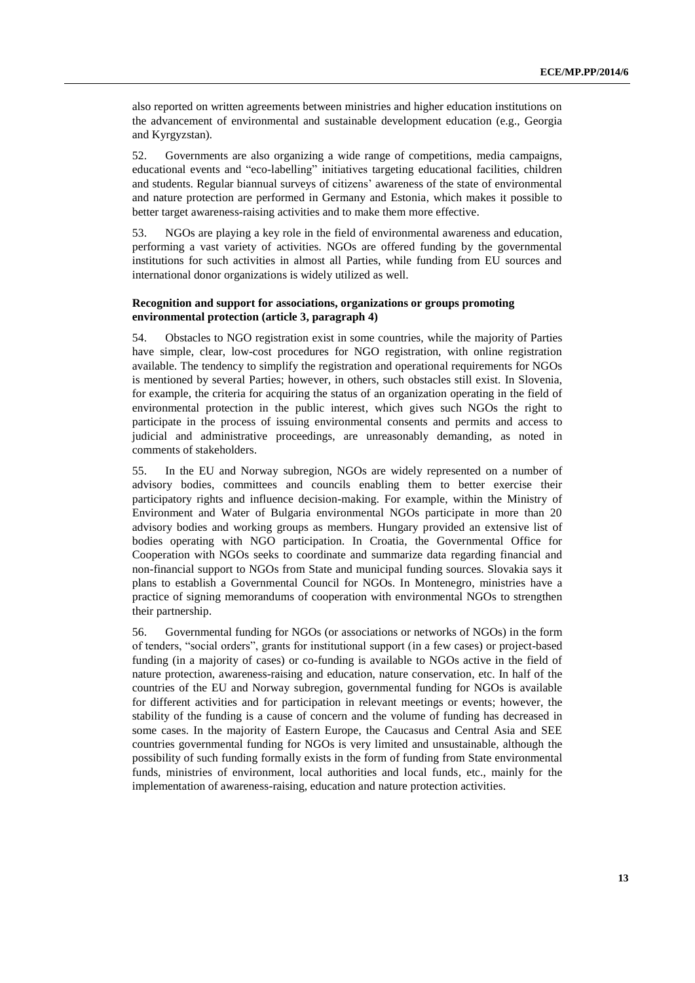also reported on written agreements between ministries and higher education institutions on the advancement of environmental and sustainable development education (e.g., Georgia and Kyrgyzstan).

52. Governments are also organizing a wide range of competitions, media campaigns, educational events and "eco-labelling" initiatives targeting educational facilities, children and students. Regular biannual surveys of citizens' awareness of the state of environmental and nature protection are performed in Germany and Estonia, which makes it possible to better target awareness-raising activities and to make them more effective.

53. NGOs are playing a key role in the field of environmental awareness and education, performing a vast variety of activities. NGOs are offered funding by the governmental institutions for such activities in almost all Parties, while funding from EU sources and international donor organizations is widely utilized as well.

#### **Recognition and support for associations, organizations or groups promoting environmental protection (article 3, paragraph 4)**

54. Obstacles to NGO registration exist in some countries, while the majority of Parties have simple, clear, low-cost procedures for NGO registration, with online registration available. The tendency to simplify the registration and operational requirements for NGOs is mentioned by several Parties; however, in others, such obstacles still exist. In Slovenia, for example, the criteria for acquiring the status of an organization operating in the field of environmental protection in the public interest, which gives such NGOs the right to participate in the process of issuing environmental consents and permits and access to judicial and administrative proceedings, are unreasonably demanding, as noted in comments of stakeholders.

55. In the EU and Norway subregion, NGOs are widely represented on a number of advisory bodies, committees and councils enabling them to better exercise their participatory rights and influence decision-making. For example, within the Ministry of Environment and Water of Bulgaria environmental NGOs participate in more than 20 advisory bodies and working groups as members. Hungary provided an extensive list of bodies operating with NGO participation. In Croatia, the Governmental Office for Cooperation with NGOs seeks to coordinate and summarize data regarding financial and non-financial support to NGOs from State and municipal funding sources. Slovakia says it plans to establish a Governmental Council for NGOs. In Montenegro, ministries have a practice of signing memorandums of cooperation with environmental NGOs to strengthen their partnership.

56. Governmental funding for NGOs (or associations or networks of NGOs) in the form of tenders, "social orders", grants for institutional support (in a few cases) or project-based funding (in a majority of cases) or co-funding is available to NGOs active in the field of nature protection, awareness-raising and education, nature conservation, etc. In half of the countries of the EU and Norway subregion, governmental funding for NGOs is available for different activities and for participation in relevant meetings or events; however, the stability of the funding is a cause of concern and the volume of funding has decreased in some cases. In the majority of Eastern Europe, the Caucasus and Central Asia and SEE countries governmental funding for NGOs is very limited and unsustainable, although the possibility of such funding formally exists in the form of funding from State environmental funds, ministries of environment, local authorities and local funds, etc., mainly for the implementation of awareness-raising, education and nature protection activities.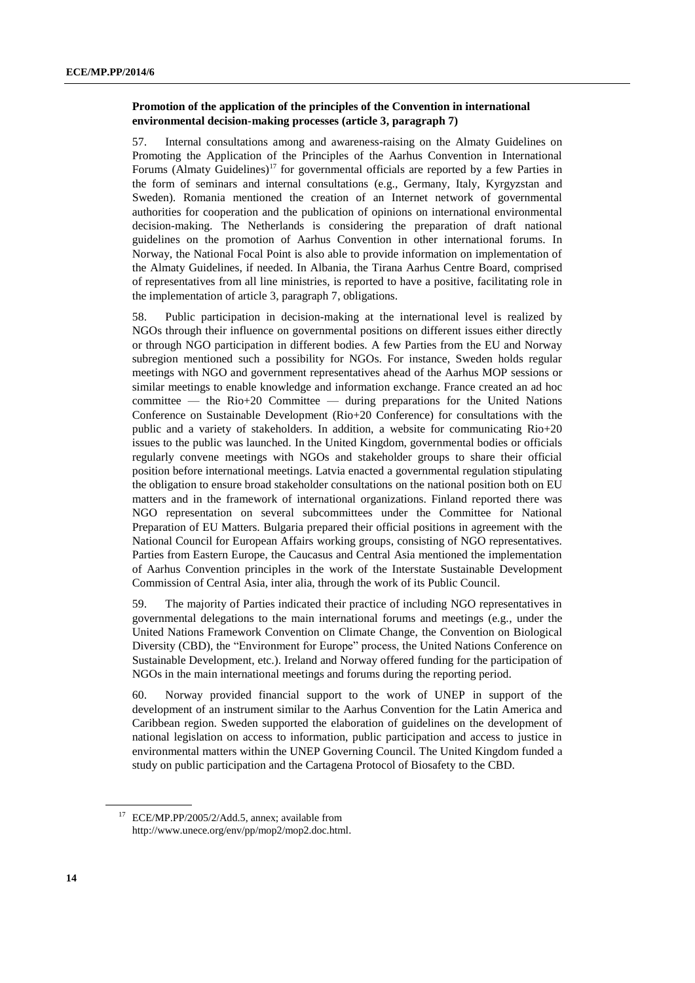# **Promotion of the application of the principles of the Convention in international environmental decision-making processes (article 3, paragraph 7)**

57. Internal consultations among and awareness-raising on the Almaty Guidelines on Promoting the Application of the Principles of the Aarhus Convention in International Forums  $(Almaty \nGuidelines)^{17}$  for governmental officials are reported by a few Parties in the form of seminars and internal consultations (e.g., Germany, Italy, Kyrgyzstan and Sweden). Romania mentioned the creation of an Internet network of governmental authorities for cooperation and the publication of opinions on international environmental decision-making. The Netherlands is considering the preparation of draft national guidelines on the promotion of Aarhus Convention in other international forums. In Norway, the National Focal Point is also able to provide information on implementation of the Almaty Guidelines, if needed. In Albania, the Tirana Aarhus Centre Board, comprised of representatives from all line ministries, is reported to have a positive, facilitating role in the implementation of article 3, paragraph 7, obligations.

58. Public participation in decision-making at the international level is realized by NGOs through their influence on governmental positions on different issues either directly or through NGO participation in different bodies. A few Parties from the EU and Norway subregion mentioned such a possibility for NGOs. For instance, Sweden holds regular meetings with NGO and government representatives ahead of the Aarhus MOP sessions or similar meetings to enable knowledge and information exchange. France created an ad hoc committee — the Rio+20 Committee — during preparations for the United Nations Conference on Sustainable Development (Rio+20 Conference) for consultations with the public and a variety of stakeholders. In addition, a website for communicating Rio+20 issues to the public was launched. In the United Kingdom, governmental bodies or officials regularly convene meetings with NGOs and stakeholder groups to share their official position before international meetings. Latvia enacted a governmental regulation stipulating the obligation to ensure broad stakeholder consultations on the national position both on EU matters and in the framework of international organizations. Finland reported there was NGO representation on several subcommittees under the Committee for National Preparation of EU Matters. Bulgaria prepared their official positions in agreement with the National Council for European Affairs working groups, consisting of NGO representatives. Parties from Eastern Europe, the Caucasus and Central Asia mentioned the implementation of Aarhus Convention principles in the work of the Interstate Sustainable Development Commission of Central Asia, inter alia, through the work of its Public Council.

59. The majority of Parties indicated their practice of including NGO representatives in governmental delegations to the main international forums and meetings (e.g., under the United Nations Framework Convention on Climate Change, the Convention on Biological Diversity (CBD), the "Environment for Europe" process, the United Nations Conference on Sustainable Development, etc.). Ireland and Norway offered funding for the participation of NGOs in the main international meetings and forums during the reporting period.

60. Norway provided financial support to the work of UNEP in support of the development of an instrument similar to the Aarhus Convention for the Latin America and Caribbean region. Sweden supported the elaboration of guidelines on the development of national legislation on access to information, public participation and access to justice in environmental matters within the UNEP Governing Council. The United Kingdom funded a study on public participation and the Cartagena Protocol of Biosafety to the CBD.

<sup>17</sup> ECE/MP.PP/2005/2/Add.5, annex; available from http://www.unece.org/env/pp/mop2/mop2.doc.html.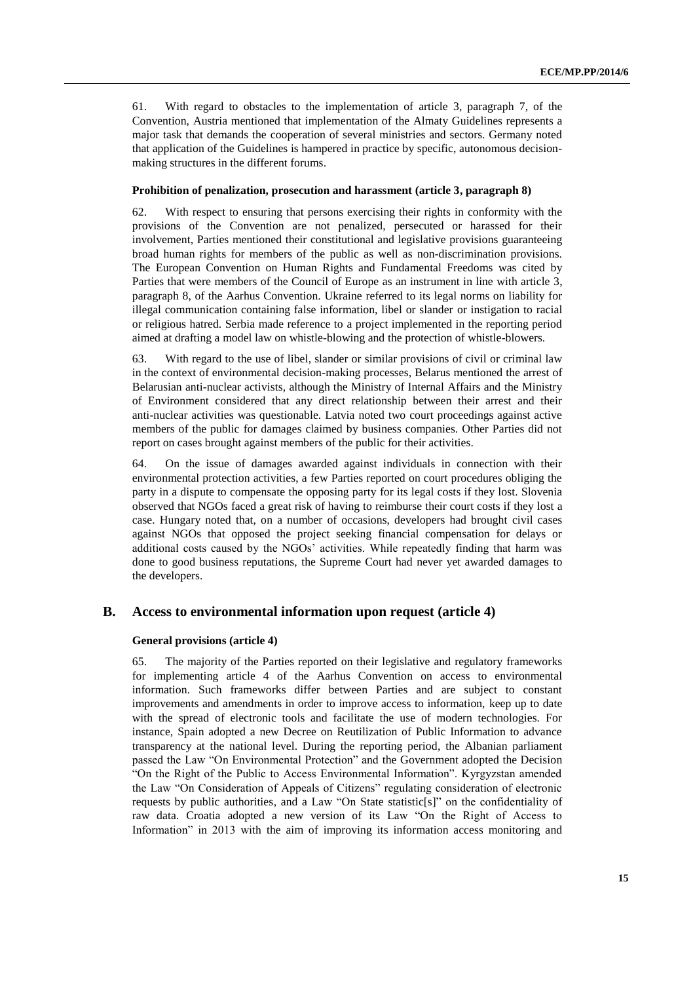61. With regard to obstacles to the implementation of article 3, paragraph 7, of the Convention, Austria mentioned that implementation of the Almaty Guidelines represents a major task that demands the cooperation of several ministries and sectors. Germany noted that application of the Guidelines is hampered in practice by specific, autonomous decisionmaking structures in the different forums.

#### **Prohibition of penalization, prosecution and harassment (article 3, paragraph 8)**

62. With respect to ensuring that persons exercising their rights in conformity with the provisions of the Convention are not penalized, persecuted or harassed for their involvement, Parties mentioned their constitutional and legislative provisions guaranteeing broad human rights for members of the public as well as non-discrimination provisions. The European Convention on Human Rights and Fundamental Freedoms was cited by Parties that were members of the Council of Europe as an instrument in line with article 3, paragraph 8, of the Aarhus Convention. Ukraine referred to its legal norms on liability for illegal communication containing false information, libel or slander or instigation to racial or religious hatred. Serbia made reference to a project implemented in the reporting period aimed at drafting a model law on whistle-blowing and the protection of whistle-blowers.

63. With regard to the use of libel, slander or similar provisions of civil or criminal law in the context of environmental decision-making processes, Belarus mentioned the arrest of Belarusian anti-nuclear activists, although the Ministry of Internal Affairs and the Ministry of Environment considered that any direct relationship between their arrest and their anti-nuclear activities was questionable. Latvia noted two court proceedings against active members of the public for damages claimed by business companies. Other Parties did not report on cases brought against members of the public for their activities.

64. On the issue of damages awarded against individuals in connection with their environmental protection activities, a few Parties reported on court procedures obliging the party in a dispute to compensate the opposing party for its legal costs if they lost. Slovenia observed that NGOs faced a great risk of having to reimburse their court costs if they lost a case. Hungary noted that, on a number of occasions, developers had brought civil cases against NGOs that opposed the project seeking financial compensation for delays or additional costs caused by the NGOs' activities. While repeatedly finding that harm was done to good business reputations, the Supreme Court had never yet awarded damages to the developers.

### **B. Access to environmental information upon request (article 4)**

#### **General provisions (article 4)**

65. The majority of the Parties reported on their legislative and regulatory frameworks for implementing article 4 of the Aarhus Convention on access to environmental information. Such frameworks differ between Parties and are subject to constant improvements and amendments in order to improve access to information, keep up to date with the spread of electronic tools and facilitate the use of modern technologies. For instance, Spain adopted a new Decree on Reutilization of Public Information to advance transparency at the national level. During the reporting period, the Albanian parliament passed the Law "On Environmental Protection" and the Government adopted the Decision "On the Right of the Public to Access Environmental Information". Kyrgyzstan amended the Law "On Consideration of Appeals of Citizens" regulating consideration of electronic requests by public authorities, and a Law "On State statistic[s]" on the confidentiality of raw data. Croatia adopted a new version of its Law "On the Right of Access to Information" in 2013 with the aim of improving its information access monitoring and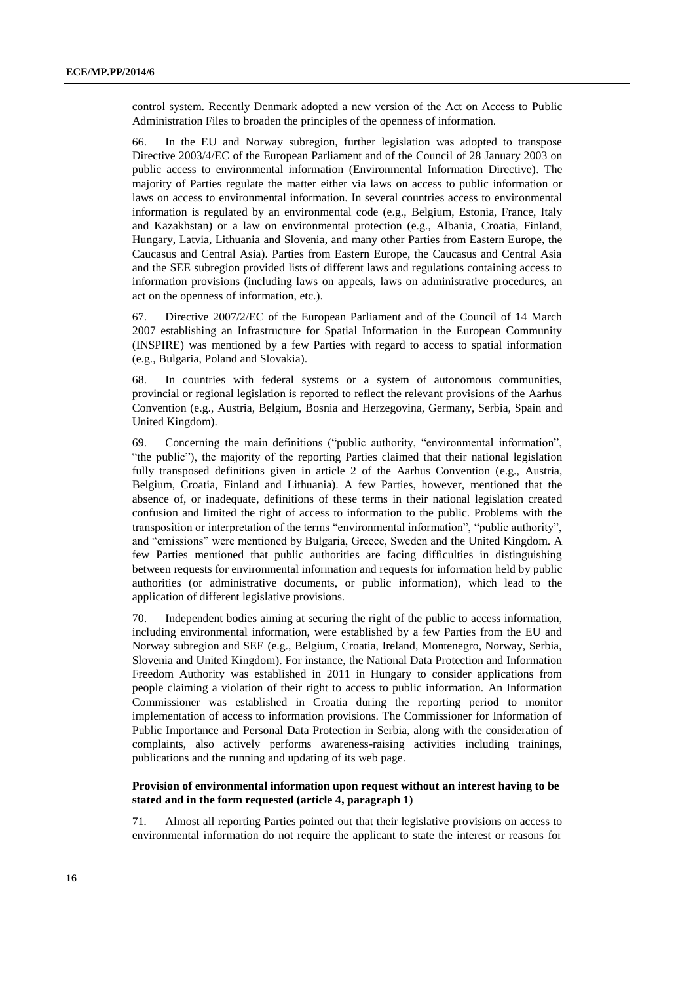control system. Recently Denmark adopted a new version of the Act on Access to Public Administration Files to broaden the principles of the openness of information.

66. In the EU and Norway subregion, further legislation was adopted to transpose Directive 2003/4/EC of the European Parliament and of the Council of 28 January 2003 on public access to environmental information (Environmental Information Directive). The majority of Parties regulate the matter either via laws on access to public information or laws on access to environmental information. In several countries access to environmental information is regulated by an environmental code (e.g., Belgium, Estonia, France, Italy and Kazakhstan) or a law on environmental protection (e.g., Albania, Croatia, Finland, Hungary, Latvia, Lithuania and Slovenia, and many other Parties from Eastern Europe, the Caucasus and Central Asia). Parties from Eastern Europe, the Caucasus and Central Asia and the SEE subregion provided lists of different laws and regulations containing access to information provisions (including laws on appeals, laws on administrative procedures, an act on the openness of information, etc.).

67. Directive 2007/2/EC of the European Parliament and of the Council of 14 March 2007 establishing an Infrastructure for Spatial Information in the European Community (INSPIRE) was mentioned by a few Parties with regard to access to spatial information (e.g., Bulgaria, Poland and Slovakia).

68. In countries with federal systems or a system of autonomous communities, provincial or regional legislation is reported to reflect the relevant provisions of the Aarhus Convention (e.g., Austria, Belgium, Bosnia and Herzegovina, Germany, Serbia, Spain and United Kingdom).

69. Concerning the main definitions ("public authority, "environmental information", "the public"), the majority of the reporting Parties claimed that their national legislation fully transposed definitions given in article 2 of the Aarhus Convention (e.g., Austria, Belgium, Croatia, Finland and Lithuania). A few Parties, however, mentioned that the absence of, or inadequate, definitions of these terms in their national legislation created confusion and limited the right of access to information to the public. Problems with the transposition or interpretation of the terms "environmental information", "public authority", and "emissions" were mentioned by Bulgaria, Greece, Sweden and the United Kingdom. A few Parties mentioned that public authorities are facing difficulties in distinguishing between requests for environmental information and requests for information held by public authorities (or administrative documents, or public information), which lead to the application of different legislative provisions.

70. Independent bodies aiming at securing the right of the public to access information, including environmental information, were established by a few Parties from the EU and Norway subregion and SEE (e.g., Belgium, Croatia, Ireland, Montenegro, Norway, Serbia, Slovenia and United Kingdom). For instance, the National Data Protection and Information Freedom Authority was established in 2011 in Hungary to consider applications from people claiming a violation of their right to access to public information. An Information Commissioner was established in Croatia during the reporting period to monitor implementation of access to information provisions. The Commissioner for Information of Public Importance and Personal Data Protection in Serbia, along with the consideration of complaints, also actively performs awareness-raising activities including trainings, publications and the running and updating of its web page.

# **Provision of environmental information upon request without an interest having to be stated and in the form requested (article 4, paragraph 1)**

71*.* Almost all reporting Parties pointed out that their legislative provisions on access to environmental information do not require the applicant to state the interest or reasons for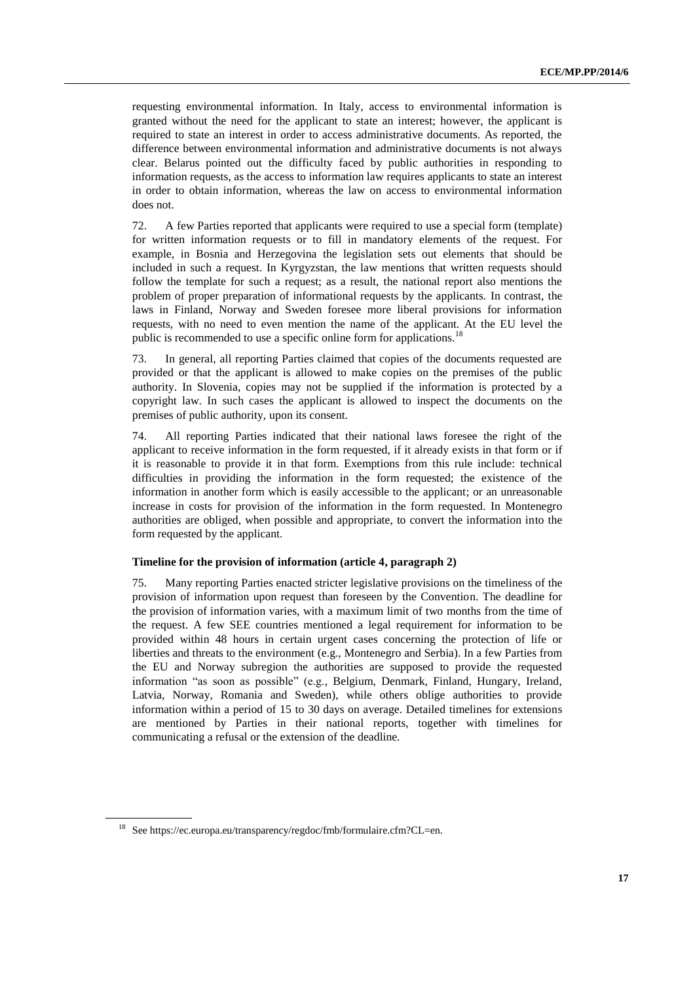requesting environmental information. In Italy, access to environmental information is granted without the need for the applicant to state an interest; however, the applicant is required to state an interest in order to access administrative documents. As reported, the difference between environmental information and administrative documents is not always clear. Belarus pointed out the difficulty faced by public authorities in responding to information requests, as the access to information law requires applicants to state an interest in order to obtain information, whereas the law on access to environmental information does not.

72. A few Parties reported that applicants were required to use a special form (template) for written information requests or to fill in mandatory elements of the request. For example, in Bosnia and Herzegovina the legislation sets out elements that should be included in such a request. In Kyrgyzstan, the law mentions that written requests should follow the template for such a request; as a result, the national report also mentions the problem of proper preparation of informational requests by the applicants. In contrast, the laws in Finland, Norway and Sweden foresee more liberal provisions for information requests, with no need to even mention the name of the applicant. At the EU level the public is recommended to use a specific online form for applications.<sup>18</sup>

73. In general, all reporting Parties claimed that copies of the documents requested are provided or that the applicant is allowed to make copies on the premises of the public authority. In Slovenia, copies may not be supplied if the information is protected by a copyright law. In such cases the applicant is allowed to inspect the documents on the premises of public authority, upon its consent.

74. All reporting Parties indicated that their national laws foresee the right of the applicant to receive information in the form requested, if it already exists in that form or if it is reasonable to provide it in that form. Exemptions from this rule include: technical difficulties in providing the information in the form requested; the existence of the information in another form which is easily accessible to the applicant; or an unreasonable increase in costs for provision of the information in the form requested. In Montenegro authorities are obliged, when possible and appropriate, to convert the information into the form requested by the applicant.

#### **Timeline for the provision of information (article 4, paragraph 2)**

75. Many reporting Parties enacted stricter legislative provisions on the timeliness of the provision of information upon request than foreseen by the Convention. The deadline for the provision of information varies, with a maximum limit of two months from the time of the request. A few SEE countries mentioned a legal requirement for information to be provided within 48 hours in certain urgent cases concerning the protection of life or liberties and threats to the environment (e.g., Montenegro and Serbia). In a few Parties from the EU and Norway subregion the authorities are supposed to provide the requested information "as soon as possible" (e.g., Belgium, Denmark, Finland, Hungary, Ireland, Latvia, Norway, Romania and Sweden), while others oblige authorities to provide information within a period of 15 to 30 days on average. Detailed timelines for extensions are mentioned by Parties in their national reports, together with timelines for communicating a refusal or the extension of the deadline.

<sup>&</sup>lt;sup>18</sup> Se[e https://ec.europa.eu/transparency/regdoc/fmb/formulaire.cfm?CL=en.](https://ec.europa.eu/transparency/regdoc/fmb/formulaire.cfm?CL=en)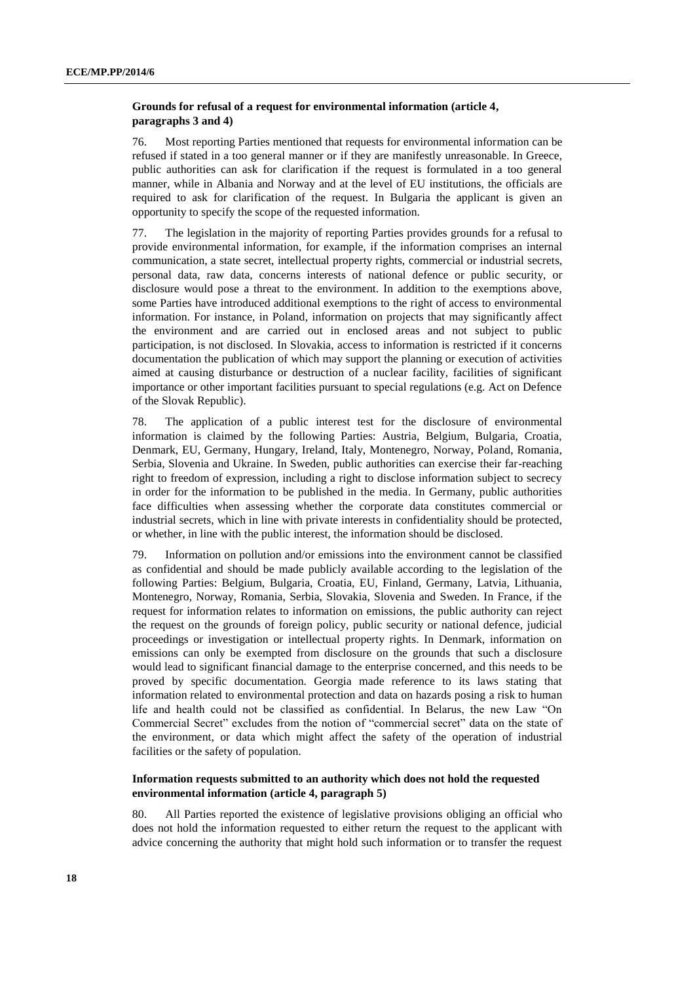# **Grounds for refusal of a request for environmental information (article 4, paragraphs 3 and 4)**

76. Most reporting Parties mentioned that requests for environmental information can be refused if stated in a too general manner or if they are manifestly unreasonable. In Greece, public authorities can ask for clarification if the request is formulated in a too general manner, while in Albania and Norway and at the level of EU institutions, the officials are required to ask for clarification of the request. In Bulgaria the applicant is given an opportunity to specify the scope of the requested information.

77. The legislation in the majority of reporting Parties provides grounds for a refusal to provide environmental information, for example, if the information comprises an internal communication, a state secret, intellectual property rights, commercial or industrial secrets, personal data, raw data, concerns interests of national defence or public security, or disclosure would pose a threat to the environment. In addition to the exemptions above, some Parties have introduced additional exemptions to the right of access to environmental information. For instance, in Poland, information on projects that may significantly affect the environment and are carried out in enclosed areas and not subject to public participation, is not disclosed. In Slovakia, access to information is restricted if it concerns documentation the publication of which may support the planning or execution of activities aimed at causing disturbance or destruction of a nuclear facility, facilities of significant importance or other important facilities pursuant to special regulations (e.g. Act on Defence of the Slovak Republic).

78. The application of a public interest test for the disclosure of environmental information is claimed by the following Parties: Austria, Belgium, Bulgaria, Croatia, Denmark, EU, Germany, Hungary, Ireland, Italy, Montenegro, Norway, Poland, Romania, Serbia, Slovenia and Ukraine. In Sweden, public authorities can exercise their far-reaching right to freedom of expression, including a right to disclose information subject to secrecy in order for the information to be published in the media. In Germany, public authorities face difficulties when assessing whether the corporate data constitutes commercial or industrial secrets, which in line with private interests in confidentiality should be protected, or whether, in line with the public interest, the information should be disclosed.

79. Information on pollution and/or emissions into the environment cannot be classified as confidential and should be made publicly available according to the legislation of the following Parties: Belgium, Bulgaria, Croatia, EU, Finland, Germany, Latvia, Lithuania, Montenegro, Norway, Romania, Serbia, Slovakia, Slovenia and Sweden. In France, if the request for information relates to information on emissions, the public authority can reject the request on the grounds of foreign policy, public security or national defence, judicial proceedings or investigation or intellectual property rights. In Denmark, information on emissions can only be exempted from disclosure on the grounds that such a disclosure would lead to significant financial damage to the enterprise concerned, and this needs to be proved by specific documentation. Georgia made reference to its laws stating that information related to environmental protection and data on hazards posing a risk to human life and health could not be classified as confidential. In Belarus, the new Law "On Commercial Secret" excludes from the notion of "commercial secret" data on the state of the environment, or data which might affect the safety of the operation of industrial facilities or the safety of population.

# **Information requests submitted to an authority which does not hold the requested environmental information (article 4, paragraph 5)**

80. All Parties reported the existence of legislative provisions obliging an official who does not hold the information requested to either return the request to the applicant with advice concerning the authority that might hold such information or to transfer the request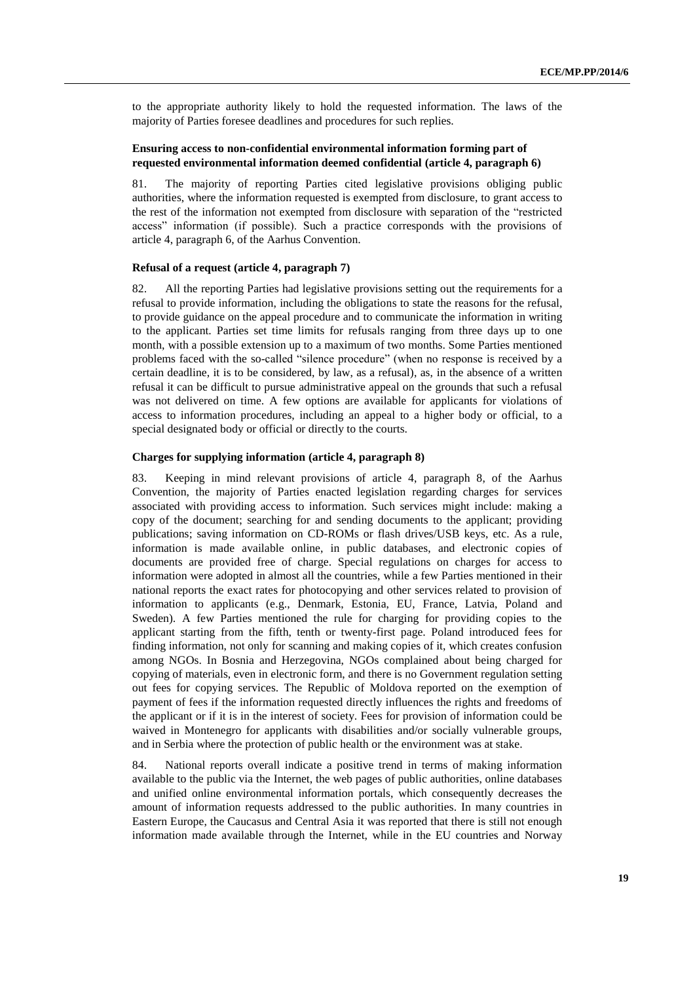to the appropriate authority likely to hold the requested information. The laws of the majority of Parties foresee deadlines and procedures for such replies.

# **Ensuring access to non-confidential environmental information forming part of requested environmental information deemed confidential (article 4, paragraph 6)**

81. The majority of reporting Parties cited legislative provisions obliging public authorities, where the information requested is exempted from disclosure, to grant access to the rest of the information not exempted from disclosure with separation of the "restricted access" information (if possible). Such a practice corresponds with the provisions of article 4, paragraph 6, of the Aarhus Convention.

#### **Refusal of a request (article 4, paragraph 7)**

82. All the reporting Parties had legislative provisions setting out the requirements for a refusal to provide information, including the obligations to state the reasons for the refusal, to provide guidance on the appeal procedure and to communicate the information in writing to the applicant. Parties set time limits for refusals ranging from three days up to one month, with a possible extension up to a maximum of two months. Some Parties mentioned problems faced with the so-called "silence procedure" (when no response is received by a certain deadline, it is to be considered, by law, as a refusal), as, in the absence of a written refusal it can be difficult to pursue administrative appeal on the grounds that such a refusal was not delivered on time. A few options are available for applicants for violations of access to information procedures, including an appeal to a higher body or official, to a special designated body or official or directly to the courts.

# **Charges for supplying information (article 4, paragraph 8)**

83. Keeping in mind relevant provisions of article 4, paragraph 8, of the Aarhus Convention, the majority of Parties enacted legislation regarding charges for services associated with providing access to information. Such services might include: making a copy of the document; searching for and sending documents to the applicant; providing publications; saving information on CD-ROMs or flash drives/USB keys, etc. As a rule, information is made available online, in public databases, and electronic copies of documents are provided free of charge. Special regulations on charges for access to information were adopted in almost all the countries, while a few Parties mentioned in their national reports the exact rates for photocopying and other services related to provision of information to applicants (e.g., Denmark, Estonia, EU, France, Latvia, Poland and Sweden). A few Parties mentioned the rule for charging for providing copies to the applicant starting from the fifth, tenth or twenty-first page. Poland introduced fees for finding information, not only for scanning and making copies of it, which creates confusion among NGOs. In Bosnia and Herzegovina, NGOs complained about being charged for copying of materials, even in electronic form, and there is no Government regulation setting out fees for copying services. The Republic of Moldova reported on the exemption of payment of fees if the information requested directly influences the rights and freedoms of the applicant or if it is in the interest of society. Fees for provision of information could be waived in Montenegro for applicants with disabilities and/or socially vulnerable groups, and in Serbia where the protection of public health or the environment was at stake.

84. National reports overall indicate a positive trend in terms of making information available to the public via the Internet, the web pages of public authorities, online databases and unified online environmental information portals, which consequently decreases the amount of information requests addressed to the public authorities. In many countries in Eastern Europe, the Caucasus and Central Asia it was reported that there is still not enough information made available through the Internet, while in the EU countries and Norway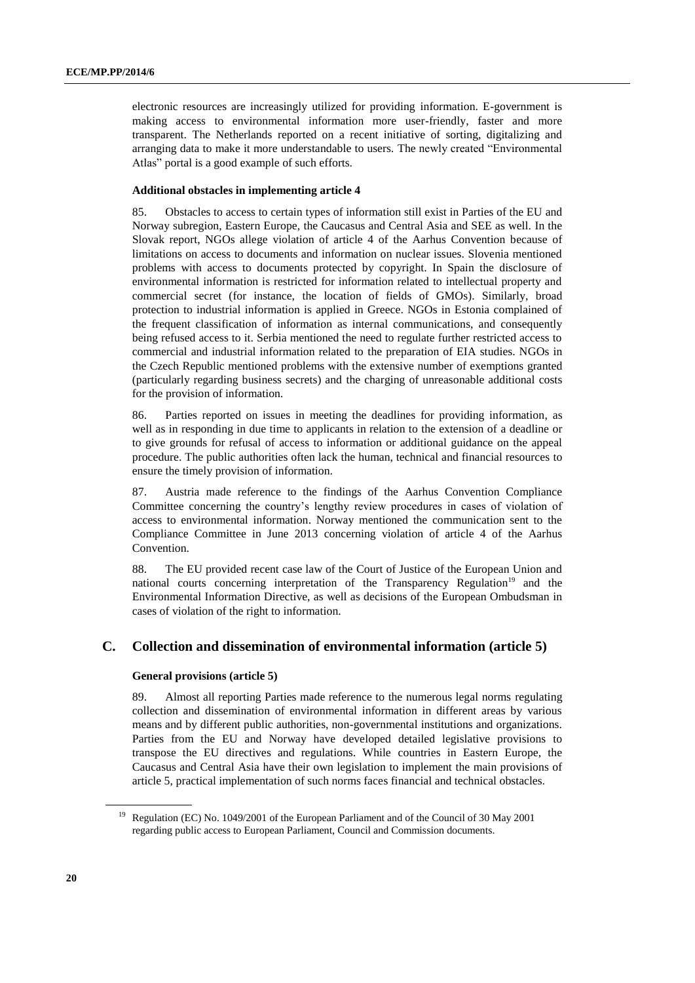electronic resources are increasingly utilized for providing information. E-government is making access to environmental information more user-friendly, faster and more transparent. The Netherlands reported on a recent initiative of sorting, digitalizing and arranging data to make it more understandable to users. The newly created "Environmental Atlas" portal is a good example of such efforts.

# **Additional obstacles in implementing article 4**

85. Obstacles to access to certain types of information still exist in Parties of the EU and Norway subregion, Eastern Europe, the Caucasus and Central Asia and SEE as well. In the Slovak report, NGOs allege violation of article 4 of the Aarhus Convention because of limitations on access to documents and information on nuclear issues. Slovenia mentioned problems with access to documents protected by copyright. In Spain the disclosure of environmental information is restricted for information related to intellectual property and commercial secret (for instance, the location of fields of GMOs). Similarly, broad protection to industrial information is applied in Greece. NGOs in Estonia complained of the frequent classification of information as internal communications, and consequently being refused access to it. Serbia mentioned the need to regulate further restricted access to commercial and industrial information related to the preparation of EIA studies. NGOs in the Czech Republic mentioned problems with the extensive number of exemptions granted (particularly regarding business secrets) and the charging of unreasonable additional costs for the provision of information.

86. Parties reported on issues in meeting the deadlines for providing information, as well as in responding in due time to applicants in relation to the extension of a deadline or to give grounds for refusal of access to information or additional guidance on the appeal procedure. The public authorities often lack the human, technical and financial resources to ensure the timely provision of information.

87. Austria made reference to the findings of the Aarhus Convention Compliance Committee concerning the country's lengthy review procedures in cases of violation of access to environmental information. Norway mentioned the communication sent to the Compliance Committee in June 2013 concerning violation of article 4 of the Aarhus Convention.

88. The EU provided recent case law of the Court of Justice of the European Union and national courts concerning interpretation of the Transparency Regulation<sup>19</sup> and the Environmental Information Directive, as well as decisions of the European Ombudsman in cases of violation of the right to information.

# **C. Collection and dissemination of environmental information (article 5)**

#### **General provisions (article 5)**

89. Almost all reporting Parties made reference to the numerous legal norms regulating collection and dissemination of environmental information in different areas by various means and by different public authorities, non-governmental institutions and organizations. Parties from the EU and Norway have developed detailed legislative provisions to transpose the EU directives and regulations. While countries in Eastern Europe, the Caucasus and Central Asia have their own legislation to implement the main provisions of article 5, practical implementation of such norms faces financial and technical obstacles.

<sup>&</sup>lt;sup>19</sup> Regulation (EC) No. 1049/2001 of the European Parliament and of the Council of 30 May 2001 regarding public access to European Parliament, Council and Commission documents.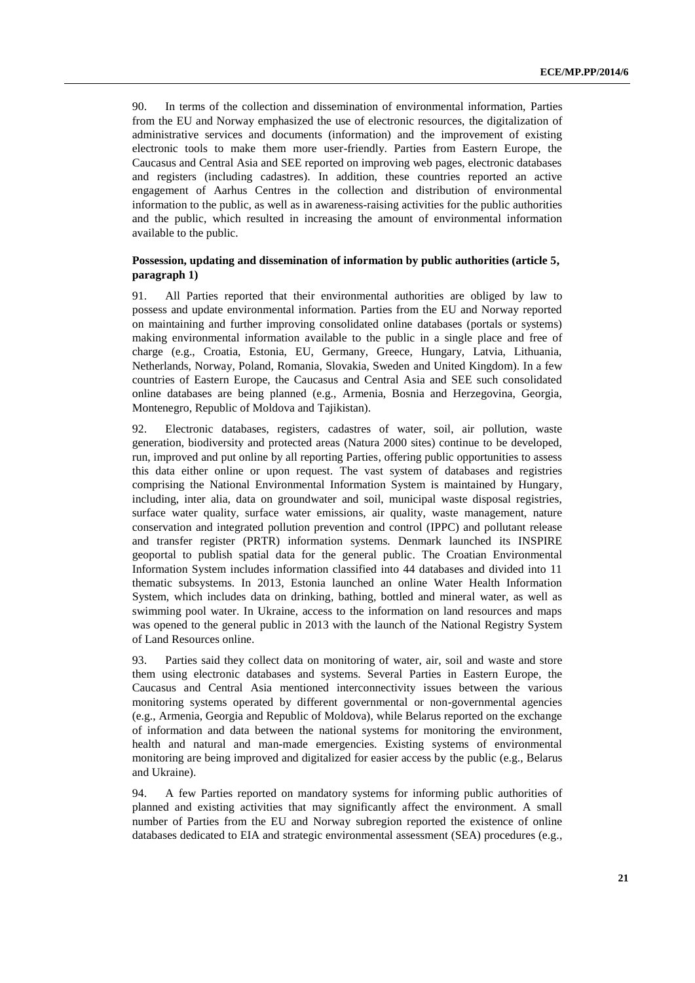90. In terms of the collection and dissemination of environmental information, Parties from the EU and Norway emphasized the use of electronic resources, the digitalization of administrative services and documents (information) and the improvement of existing electronic tools to make them more user-friendly. Parties from Eastern Europe, the Caucasus and Central Asia and SEE reported on improving web pages, electronic databases and registers (including cadastres). In addition, these countries reported an active engagement of Aarhus Centres in the collection and distribution of environmental information to the public, as well as in awareness-raising activities for the public authorities and the public, which resulted in increasing the amount of environmental information available to the public.

# **Possession, updating and dissemination of information by public authorities (article 5, paragraph 1)**

91. All Parties reported that their environmental authorities are obliged by law to possess and update environmental information. Parties from the EU and Norway reported on maintaining and further improving consolidated online databases (portals or systems) making environmental information available to the public in a single place and free of charge (e.g., Croatia, Estonia, EU, Germany, Greece, Hungary, Latvia, Lithuania, Netherlands, Norway, Poland, Romania, Slovakia, Sweden and United Kingdom). In a few countries of Eastern Europe, the Caucasus and Central Asia and SEE such consolidated online databases are being planned (e.g., Armenia, Bosnia and Herzegovina, Georgia, Montenegro, Republic of Moldova and Tajikistan).

92. Electronic databases, registers, cadastres of water, soil, air pollution, waste generation, biodiversity and protected areas (Natura 2000 sites) continue to be developed, run, improved and put online by all reporting Parties, offering public opportunities to assess this data either online or upon request. The vast system of databases and registries comprising the National Environmental Information System is maintained by Hungary, including, inter alia, data on groundwater and soil, municipal waste disposal registries, surface water quality, surface water emissions, air quality, waste management, nature conservation and integrated pollution prevention and control (IPPC) and pollutant release and transfer register (PRTR) information systems. Denmark launched its INSPIRE geoportal to publish spatial data for the general public. The Croatian Environmental Information System includes information classified into 44 databases and divided into 11 thematic subsystems. In 2013, Estonia launched an online Water Health Information System, which includes data on drinking, bathing, bottled and mineral water, as well as swimming pool water. In Ukraine, access to the information on land resources and maps was opened to the general public in 2013 with the launch of the National Registry System of Land Resources online.

93. Parties said they collect data on monitoring of water, air, soil and waste and store them using electronic databases and systems. Several Parties in Eastern Europe, the Caucasus and Central Asia mentioned interconnectivity issues between the various monitoring systems operated by different governmental or non-governmental agencies (e.g., Armenia, Georgia and Republic of Moldova), while Belarus reported on the exchange of information and data between the national systems for monitoring the environment, health and natural and man-made emergencies. Existing systems of environmental monitoring are being improved and digitalized for easier access by the public (e.g., Belarus and Ukraine).

94. A few Parties reported on mandatory systems for informing public authorities of planned and existing activities that may significantly affect the environment. A small number of Parties from the EU and Norway subregion reported the existence of online databases dedicated to EIA and strategic environmental assessment (SEA) procedures (e.g.,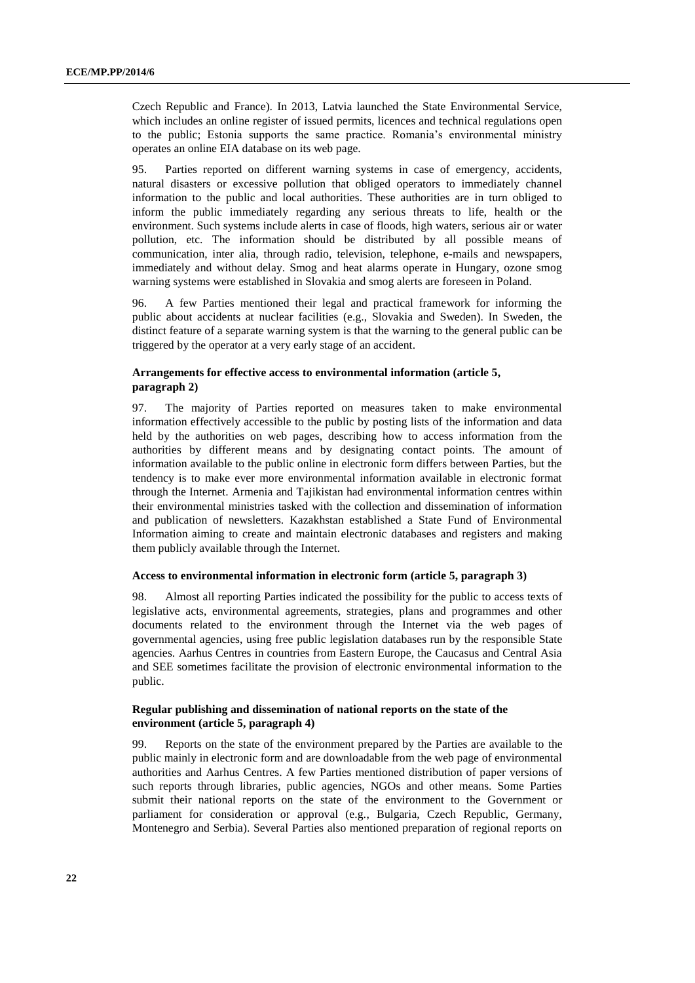Czech Republic and France). In 2013, Latvia launched the State Environmental Service, which includes an online register of issued permits, licences and technical regulations open to the public; Estonia supports the same practice. Romania's environmental ministry operates an online EIA database on its web page.

95. Parties reported on different warning systems in case of emergency, accidents, natural disasters or excessive pollution that obliged operators to immediately channel information to the public and local authorities. These authorities are in turn obliged to inform the public immediately regarding any serious threats to life, health or the environment. Such systems include alerts in case of floods, high waters, serious air or water pollution, etc. The information should be distributed by all possible means of communication, inter alia, through radio, television, telephone, e-mails and newspapers, immediately and without delay. Smog and heat alarms operate in Hungary, ozone smog warning systems were established in Slovakia and smog alerts are foreseen in Poland.

96. A few Parties mentioned their legal and practical framework for informing the public about accidents at nuclear facilities (e.g., Slovakia and Sweden). In Sweden, the distinct feature of a separate warning system is that the warning to the general public can be triggered by the operator at a very early stage of an accident.

# **Arrangements for effective access to environmental information (article 5, paragraph 2)**

97. The majority of Parties reported on measures taken to make environmental information effectively accessible to the public by posting lists of the information and data held by the authorities on web pages, describing how to access information from the authorities by different means and by designating contact points. The amount of information available to the public online in electronic form differs between Parties, but the tendency is to make ever more environmental information available in electronic format through the Internet. Armenia and Tajikistan had environmental information centres within their environmental ministries tasked with the collection and dissemination of information and publication of newsletters. Kazakhstan established a State Fund of Environmental Information aiming to create and maintain electronic databases and registers and making them publicly available through the Internet.

#### **Access to environmental information in electronic form (article 5, paragraph 3)**

98. Almost all reporting Parties indicated the possibility for the public to access texts of legislative acts, environmental agreements, strategies, plans and programmes and other documents related to the environment through the Internet via the web pages of governmental agencies, using free public legislation databases run by the responsible State agencies. Aarhus Centres in countries from Eastern Europe, the Caucasus and Central Asia and SEE sometimes facilitate the provision of electronic environmental information to the public.

### **Regular publishing and dissemination of national reports on the state of the environment (article 5, paragraph 4)**

99. Reports on the state of the environment prepared by the Parties are available to the public mainly in electronic form and are downloadable from the web page of environmental authorities and Aarhus Centres. A few Parties mentioned distribution of paper versions of such reports through libraries, public agencies, NGOs and other means. Some Parties submit their national reports on the state of the environment to the Government or parliament for consideration or approval (e.g., Bulgaria, Czech Republic, Germany, Montenegro and Serbia). Several Parties also mentioned preparation of regional reports on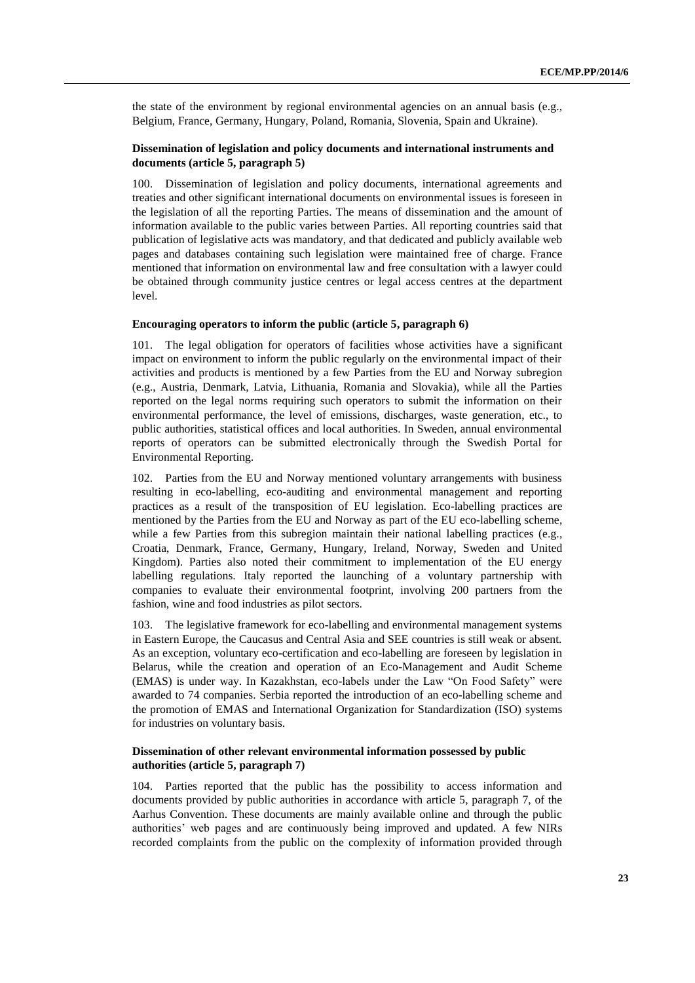the state of the environment by regional environmental agencies on an annual basis (e.g., Belgium, France, Germany, Hungary, Poland, Romania, Slovenia, Spain and Ukraine).

# **Dissemination of legislation and policy documents and international instruments and documents (article 5, paragraph 5)**

100. Dissemination of legislation and policy documents, international agreements and treaties and other significant international documents on environmental issues is foreseen in the legislation of all the reporting Parties. The means of dissemination and the amount of information available to the public varies between Parties. All reporting countries said that publication of legislative acts was mandatory, and that dedicated and publicly available web pages and databases containing such legislation were maintained free of charge. France mentioned that information on environmental law and free consultation with a lawyer could be obtained through community justice centres or legal access centres at the department level.

#### **Encouraging operators to inform the public (article 5, paragraph 6)**

101. The legal obligation for operators of facilities whose activities have a significant impact on environment to inform the public regularly on the environmental impact of their activities and products is mentioned by a few Parties from the EU and Norway subregion (e.g., Austria, Denmark, Latvia, Lithuania, Romania and Slovakia), while all the Parties reported on the legal norms requiring such operators to submit the information on their environmental performance, the level of emissions, discharges, waste generation, etc., to public authorities, statistical offices and local authorities. In Sweden, annual environmental reports of operators can be submitted electronically through the Swedish Portal for Environmental Reporting.

102. Parties from the EU and Norway mentioned voluntary arrangements with business resulting in eco-labelling, eco-auditing and environmental management and reporting practices as a result of the transposition of EU legislation. Eco-labelling practices are mentioned by the Parties from the EU and Norway as part of the EU eco-labelling scheme, while a few Parties from this subregion maintain their national labelling practices (e.g., Croatia, Denmark, France, Germany, Hungary, Ireland, Norway, Sweden and United Kingdom). Parties also noted their commitment to implementation of the EU energy labelling regulations. Italy reported the launching of a voluntary partnership with companies to evaluate their environmental footprint, involving 200 partners from the fashion, wine and food industries as pilot sectors.

The legislative framework for eco-labelling and environmental management systems in Eastern Europe, the Caucasus and Central Asia and SEE countries is still weak or absent. As an exception, voluntary eco-certification and eco-labelling are foreseen by legislation in Belarus, while the creation and operation of an Eco-Management and Audit Scheme (EMAS) is under way. In Kazakhstan, eco-labels under the Law "On Food Safety" were awarded to 74 companies. Serbia reported the introduction of an eco-labelling scheme and the promotion of EMAS and International Organization for Standardization (ISO) systems for industries on voluntary basis.

# **Dissemination of other relevant environmental information possessed by public authorities (article 5, paragraph 7)**

104. Parties reported that the public has the possibility to access information and documents provided by public authorities in accordance with article 5, paragraph 7, of the Aarhus Convention. These documents are mainly available online and through the public authorities' web pages and are continuously being improved and updated. A few NIRs recorded complaints from the public on the complexity of information provided through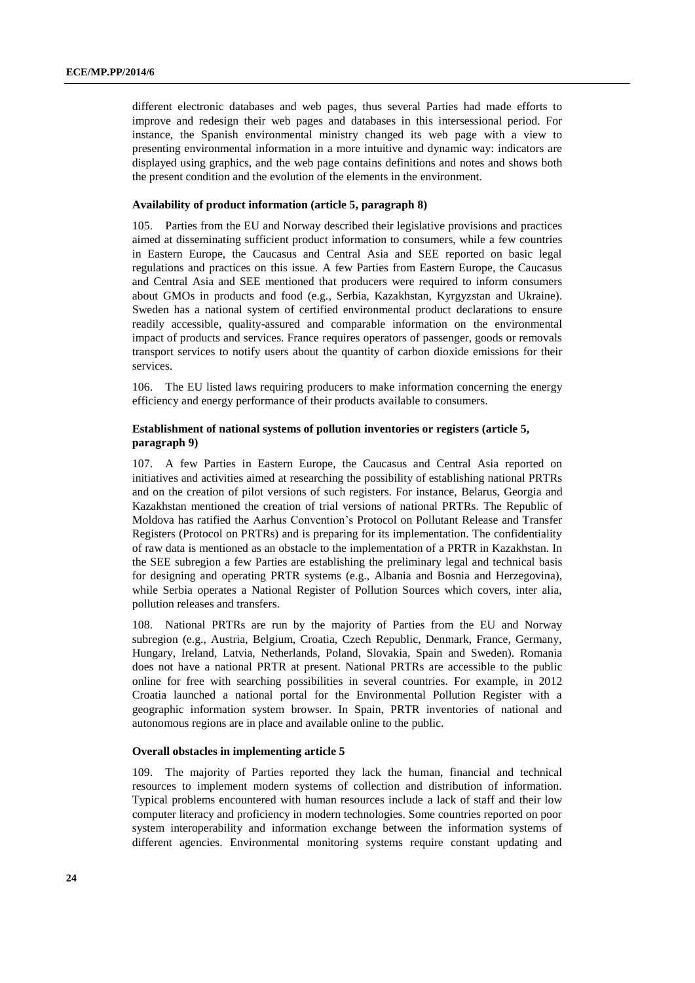different electronic databases and web pages, thus several Parties had made efforts to improve and redesign their web pages and databases in this intersessional period. For instance, the Spanish environmental ministry changed its web page with a view to presenting environmental information in a more intuitive and dynamic way: indicators are displayed using graphics, and the web page contains definitions and notes and shows both the present condition and the evolution of the elements in the environment.

# **Availability of product information (article 5, paragraph 8)**

105. Parties from the EU and Norway described their legislative provisions and practices aimed at disseminating sufficient product information to consumers, while a few countries in Eastern Europe, the Caucasus and Central Asia and SEE reported on basic legal regulations and practices on this issue. A few Parties from Eastern Europe, the Caucasus and Central Asia and SEE mentioned that producers were required to inform consumers about GMOs in products and food (e.g., Serbia, Kazakhstan, Kyrgyzstan and Ukraine). Sweden has a national system of certified environmental product declarations to ensure readily accessible, quality-assured and comparable information on the environmental impact of products and services. France requires operators of passenger, goods or removals transport services to notify users about the quantity of carbon dioxide emissions for their services.

106. The EU listed laws requiring producers to make information concerning the energy efficiency and energy performance of their products available to consumers.

# **Establishment of national systems of pollution inventories or registers (article 5, paragraph 9)**

107. A few Parties in Eastern Europe, the Caucasus and Central Asia reported on initiatives and activities aimed at researching the possibility of establishing national PRTRs and on the creation of pilot versions of such registers. For instance, Belarus, Georgia and Kazakhstan mentioned the creation of trial versions of national PRTRs. The Republic of Moldova has ratified the Aarhus Convention's Protocol on Pollutant Release and Transfer Registers (Protocol on PRTRs) and is preparing for its implementation. The confidentiality of raw data is mentioned as an obstacle to the implementation of a PRTR in Kazakhstan. In the SEE subregion a few Parties are establishing the preliminary legal and technical basis for designing and operating PRTR systems (e.g., Albania and Bosnia and Herzegovina), while Serbia operates a National Register of Pollution Sources which covers, inter alia, pollution releases and transfers.

108. National PRTRs are run by the majority of Parties from the EU and Norway subregion (e.g., Austria, Belgium, Croatia, Czech Republic, Denmark, France, Germany, Hungary, Ireland, Latvia, Netherlands, Poland, Slovakia, Spain and Sweden). Romania does not have a national PRTR at present. National PRTRs are accessible to the public online for free with searching possibilities in several countries. For example, in 2012 Croatia launched a national portal for the Environmental Pollution Register with a geographic information system browser. In Spain, PRTR inventories of national and autonomous regions are in place and available online to the public.

#### **Overall obstacles in implementing article 5**

109. The majority of Parties reported they lack the human, financial and technical resources to implement modern systems of collection and distribution of information. Typical problems encountered with human resources include a lack of staff and their low computer literacy and proficiency in modern technologies. Some countries reported on poor system interoperability and information exchange between the information systems of different agencies. Environmental monitoring systems require constant updating and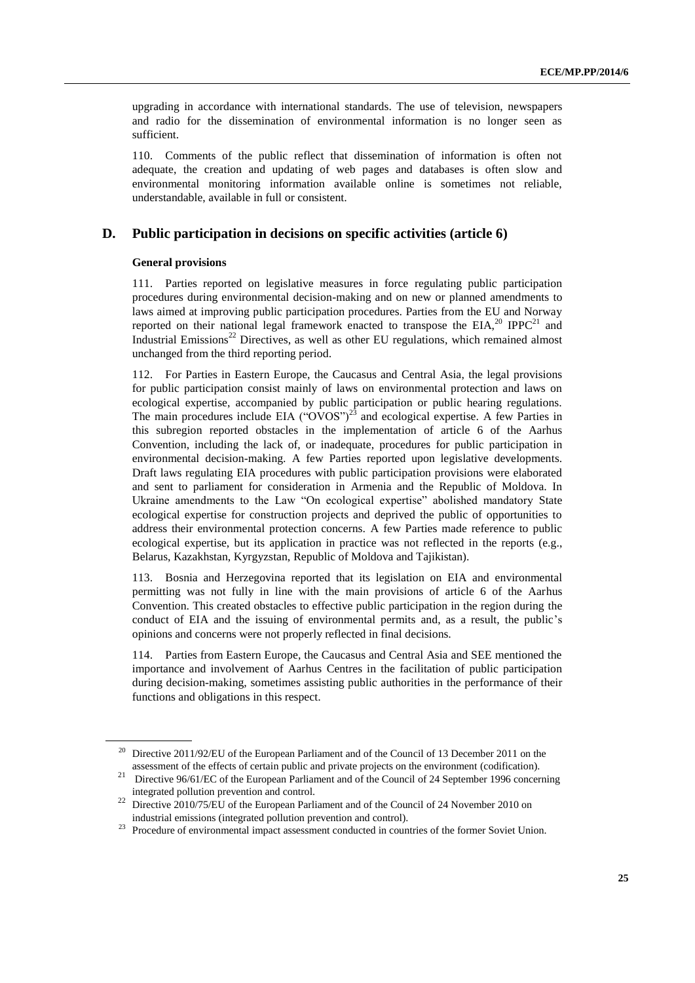upgrading in accordance with international standards. The use of television, newspapers and radio for the dissemination of environmental information is no longer seen as sufficient.

110. Comments of the public reflect that dissemination of information is often not adequate, the creation and updating of web pages and databases is often slow and environmental monitoring information available online is sometimes not reliable, understandable, available in full or consistent.

# **D. Public participation in decisions on specific activities (article 6)**

#### **General provisions**

111. Parties reported on legislative measures in force regulating public participation procedures during environmental decision-making and on new or planned amendments to laws aimed at improving public participation procedures. Parties from the EU and Norway reported on their national legal framework enacted to transpose the EIA, $^{20}$  IPPC<sup>21</sup> and Industrial Emissions<sup>22</sup> Directives, as well as other EU regulations, which remained almost unchanged from the third reporting period.

112. For Parties in Eastern Europe, the Caucasus and Central Asia, the legal provisions for public participation consist mainly of laws on environmental protection and laws on ecological expertise, accompanied by public participation or public hearing regulations. The main procedures include EIA (" $\overline{OVOS}$ ")<sup>23</sup> and ecological expertise. A few Parties in this subregion reported obstacles in the implementation of article 6 of the Aarhus Convention, including the lack of, or inadequate, procedures for public participation in environmental decision-making. A few Parties reported upon legislative developments. Draft laws regulating EIA procedures with public participation provisions were elaborated and sent to parliament for consideration in Armenia and the Republic of Moldova. In Ukraine amendments to the Law "On ecological expertise" abolished mandatory State ecological expertise for construction projects and deprived the public of opportunities to address their environmental protection concerns. A few Parties made reference to public ecological expertise, but its application in practice was not reflected in the reports (e.g., Belarus, Kazakhstan, Kyrgyzstan, Republic of Moldova and Tajikistan).

113. Bosnia and Herzegovina reported that its legislation on EIA and environmental permitting was not fully in line with the main provisions of article 6 of the Aarhus Convention. This created obstacles to effective public participation in the region during the conduct of EIA and the issuing of environmental permits and, as a result, the public's opinions and concerns were not properly reflected in final decisions.

114. Parties from Eastern Europe, the Caucasus and Central Asia and SEE mentioned the importance and involvement of Aarhus Centres in the facilitation of public participation during decision-making, sometimes assisting public authorities in the performance of their functions and obligations in this respect.

<sup>&</sup>lt;sup>20</sup> Directive 2011/92/EU of the European Parliament and of the Council of 13 December 2011 on the assessment of the effects of certain public and private projects on the environment (codification).

<sup>&</sup>lt;sup>21</sup> Directive 96/61/EC of the European Parliament and of the Council of 24 September 1996 concerning integrated pollution prevention and control.

<sup>&</sup>lt;sup>22</sup> Directive 2010/75/EU of the European Parliament and of the Council of 24 November 2010 on industrial emissions (integrated pollution prevention and control).

<sup>&</sup>lt;sup>23</sup> Procedure of environmental impact assessment conducted in countries of the former Soviet Union.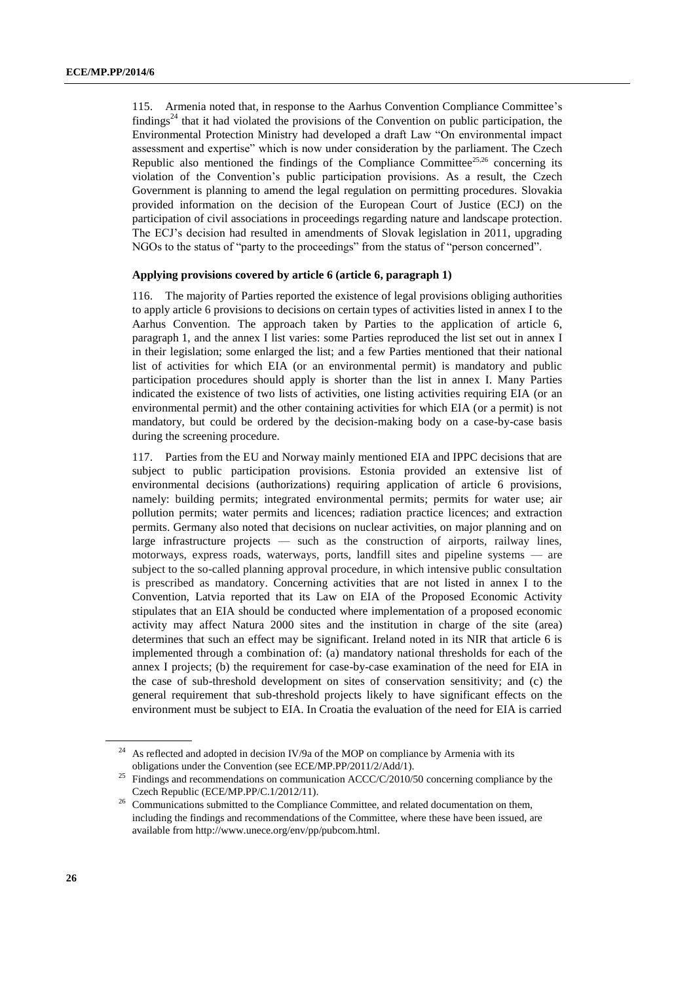115. Armenia noted that, in response to the Aarhus Convention Compliance Committee's findings<sup>24</sup> that it had violated the provisions of the Convention on public participation, the Environmental Protection Ministry had developed a draft Law "On environmental impact assessment and expertise" which is now under consideration by the parliament. The Czech Republic also mentioned the findings of the Compliance Committee<sup>25,26</sup> concerning its violation of the Convention's public participation provisions. As a result, the Czech Government is planning to amend the legal regulation on permitting procedures. Slovakia provided information on the decision of the European Court of Justice (ECJ) on the participation of civil associations in proceedings regarding nature and landscape protection. The ECJ's decision had resulted in amendments of Slovak legislation in 2011, upgrading NGOs to the status of "party to the proceedings" from the status of "person concerned".

#### **Applying provisions covered by article 6 (article 6, paragraph 1)**

116. The majority of Parties reported the existence of legal provisions obliging authorities to apply article 6 provisions to decisions on certain types of activities listed in annex I to the Aarhus Convention. The approach taken by Parties to the application of article 6, paragraph 1, and the annex I list varies: some Parties reproduced the list set out in annex I in their legislation; some enlarged the list; and a few Parties mentioned that their national list of activities for which EIA (or an environmental permit) is mandatory and public participation procedures should apply is shorter than the list in annex I. Many Parties indicated the existence of two lists of activities, one listing activities requiring EIA (or an environmental permit) and the other containing activities for which EIA (or a permit) is not mandatory, but could be ordered by the decision-making body on a case-by-case basis during the screening procedure.

117. Parties from the EU and Norway mainly mentioned EIA and IPPC decisions that are subject to public participation provisions. Estonia provided an extensive list of environmental decisions (authorizations) requiring application of article 6 provisions, namely: building permits; integrated environmental permits; permits for water use; air pollution permits; water permits and licences; radiation practice licences; and extraction permits. Germany also noted that decisions on nuclear activities, on major planning and on large infrastructure projects — such as the construction of airports, railway lines, motorways, express roads, waterways, ports, landfill sites and pipeline systems — are subject to the so-called planning approval procedure, in which intensive public consultation is prescribed as mandatory. Concerning activities that are not listed in annex I to the Convention, Latvia reported that its Law on EIA of the Proposed Economic Activity stipulates that an EIA should be conducted where implementation of a proposed economic activity may affect Natura 2000 sites and the institution in charge of the site (area) determines that such an effect may be significant. Ireland noted in its NIR that article 6 is implemented through a combination of: (a) mandatory national thresholds for each of the annex I projects; (b) the requirement for case-by-case examination of the need for EIA in the case of sub-threshold development on sites of conservation sensitivity; and (c) the general requirement that sub-threshold projects likely to have significant effects on the environment must be subject to EIA. In Croatia the evaluation of the need for EIA is carried

<sup>&</sup>lt;sup>24</sup> As reflected and adopted in decision IV/9a of the MOP on compliance by Armenia with its obligations under the Convention (see ECE/MP.PP/2011/2/Add/1).

<sup>&</sup>lt;sup>25</sup> Findings and recommendations on communication ACCC/C/2010/50 concerning compliance by the Czech Republic (ECE/MP.PP/C.1/2012/11).

<sup>&</sup>lt;sup>26</sup> Communications submitted to the Compliance Committee, and related documentation on them, including the findings and recommendations of the Committee, where these have been issued, are available from http://www.unece.org/env/pp/pubcom.html.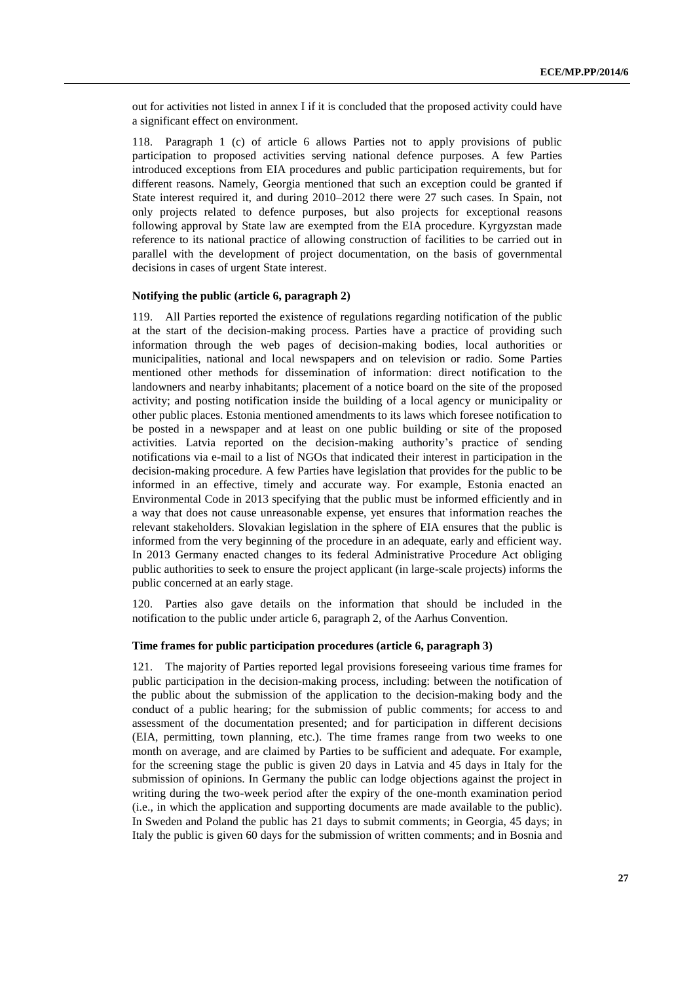out for activities not listed in annex I if it is concluded that the proposed activity could have a significant effect on environment.

118. Paragraph 1 (c) of article 6 allows Parties not to apply provisions of public participation to proposed activities serving national defence purposes. A few Parties introduced exceptions from EIA procedures and public participation requirements, but for different reasons. Namely, Georgia mentioned that such an exception could be granted if State interest required it, and during 2010–2012 there were 27 such cases. In Spain, not only projects related to defence purposes, but also projects for exceptional reasons following approval by State law are exempted from the EIA procedure. Kyrgyzstan made reference to its national practice of allowing construction of facilities to be carried out in parallel with the development of project documentation, on the basis of governmental decisions in cases of urgent State interest.

#### **Notifying the public (article 6, paragraph 2)**

119. All Parties reported the existence of regulations regarding notification of the public at the start of the decision-making process. Parties have a practice of providing such information through the web pages of decision-making bodies, local authorities or municipalities, national and local newspapers and on television or radio. Some Parties mentioned other methods for dissemination of information: direct notification to the landowners and nearby inhabitants; placement of a notice board on the site of the proposed activity; and posting notification inside the building of a local agency or municipality or other public places. Estonia mentioned amendments to its laws which foresee notification to be posted in a newspaper and at least on one public building or site of the proposed activities. Latvia reported on the decision-making authority's practice of sending notifications via e-mail to a list of NGOs that indicated their interest in participation in the decision-making procedure. A few Parties have legislation that provides for the public to be informed in an effective, timely and accurate way. For example, Estonia enacted an Environmental Code in 2013 specifying that the public must be informed efficiently and in a way that does not cause unreasonable expense, yet ensures that information reaches the relevant stakeholders. Slovakian legislation in the sphere of EIA ensures that the public is informed from the very beginning of the procedure in an adequate, early and efficient way. In 2013 Germany enacted changes to its federal Administrative Procedure Act obliging public authorities to seek to ensure the project applicant (in large-scale projects) informs the public concerned at an early stage.

120. Parties also gave details on the information that should be included in the notification to the public under article 6, paragraph 2, of the Aarhus Convention.

### **Time frames for public participation procedures (article 6, paragraph 3)**

121. The majority of Parties reported legal provisions foreseeing various time frames for public participation in the decision-making process, including: between the notification of the public about the submission of the application to the decision-making body and the conduct of a public hearing; for the submission of public comments; for access to and assessment of the documentation presented; and for participation in different decisions (EIA, permitting, town planning, etc.). The time frames range from two weeks to one month on average, and are claimed by Parties to be sufficient and adequate. For example, for the screening stage the public is given 20 days in Latvia and 45 days in Italy for the submission of opinions. In Germany the public can lodge objections against the project in writing during the two-week period after the expiry of the one-month examination period (i.e., in which the application and supporting documents are made available to the public). In Sweden and Poland the public has 21 days to submit comments; in Georgia, 45 days; in Italy the public is given 60 days for the submission of written comments; and in Bosnia and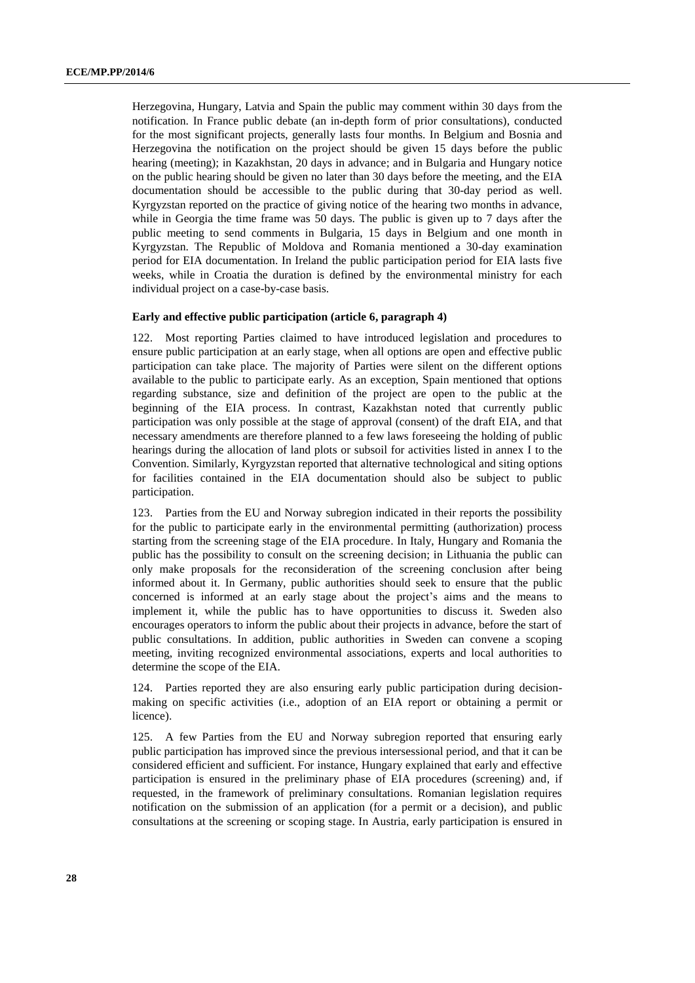Herzegovina, Hungary, Latvia and Spain the public may comment within 30 days from the notification. In France public debate (an in-depth form of prior consultations), conducted for the most significant projects, generally lasts four months. In Belgium and Bosnia and Herzegovina the notification on the project should be given 15 days before the public hearing (meeting); in Kazakhstan, 20 days in advance; and in Bulgaria and Hungary notice on the public hearing should be given no later than 30 days before the meeting, and the EIA documentation should be accessible to the public during that 30-day period as well. Kyrgyzstan reported on the practice of giving notice of the hearing two months in advance, while in Georgia the time frame was 50 days. The public is given up to 7 days after the public meeting to send comments in Bulgaria, 15 days in Belgium and one month in Kyrgyzstan. The Republic of Moldova and Romania mentioned a 30-day examination period for EIA documentation. In Ireland the public participation period for EIA lasts five weeks, while in Croatia the duration is defined by the environmental ministry for each individual project on a case-by-case basis.

#### **Early and effective public participation (article 6, paragraph 4)**

Most reporting Parties claimed to have introduced legislation and procedures to ensure public participation at an early stage, when all options are open and effective public participation can take place. The majority of Parties were silent on the different options available to the public to participate early. As an exception, Spain mentioned that options regarding substance, size and definition of the project are open to the public at the beginning of the EIA process. In contrast, Kazakhstan noted that currently public participation was only possible at the stage of approval (consent) of the draft EIA, and that necessary amendments are therefore planned to a few laws foreseeing the holding of public hearings during the allocation of land plots or subsoil for activities listed in annex I to the Convention. Similarly, Kyrgyzstan reported that alternative technological and siting options for facilities contained in the EIA documentation should also be subject to public participation.

123. Parties from the EU and Norway subregion indicated in their reports the possibility for the public to participate early in the environmental permitting (authorization) process starting from the screening stage of the EIA procedure. In Italy, Hungary and Romania the public has the possibility to consult on the screening decision; in Lithuania the public can only make proposals for the reconsideration of the screening conclusion after being informed about it. In Germany, public authorities should seek to ensure that the public concerned is informed at an early stage about the project's aims and the means to implement it, while the public has to have opportunities to discuss it. Sweden also encourages operators to inform the public about their projects in advance, before the start of public consultations. In addition, public authorities in Sweden can convene a scoping meeting, inviting recognized environmental associations, experts and local authorities to determine the scope of the EIA.

124. Parties reported they are also ensuring early public participation during decisionmaking on specific activities (i.e., adoption of an EIA report or obtaining a permit or licence).

125. A few Parties from the EU and Norway subregion reported that ensuring early public participation has improved since the previous intersessional period, and that it can be considered efficient and sufficient. For instance, Hungary explained that early and effective participation is ensured in the preliminary phase of EIA procedures (screening) and, if requested, in the framework of preliminary consultations. Romanian legislation requires notification on the submission of an application (for a permit or a decision), and public consultations at the screening or scoping stage. In Austria, early participation is ensured in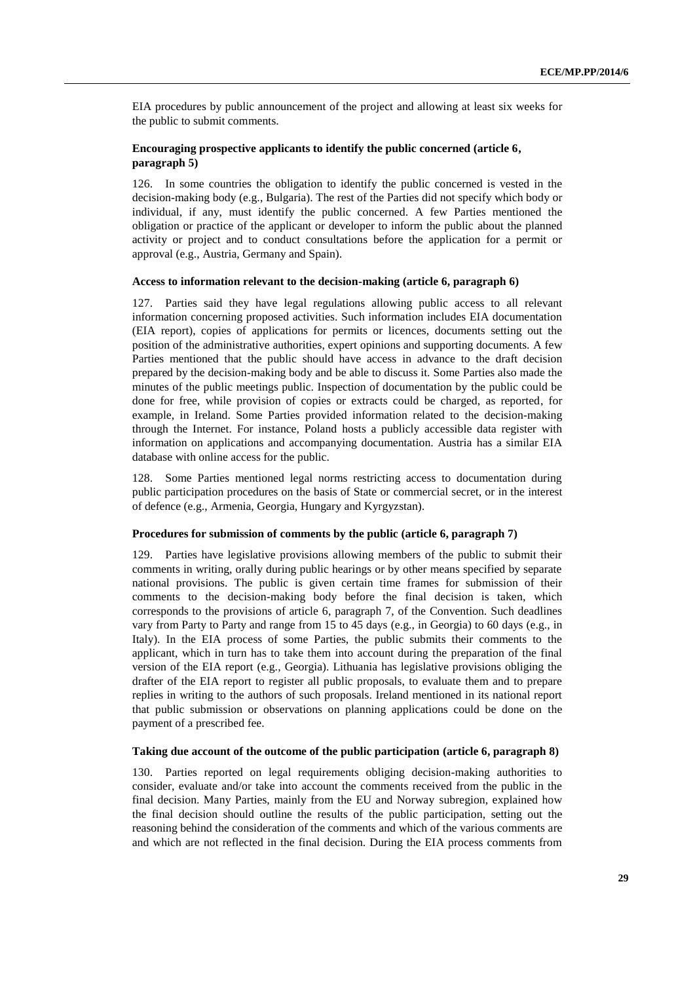EIA procedures by public announcement of the project and allowing at least six weeks for the public to submit comments.

# **Encouraging prospective applicants to identify the public concerned (article 6, paragraph 5)**

126. In some countries the obligation to identify the public concerned is vested in the decision-making body (e.g., Bulgaria). The rest of the Parties did not specify which body or individual, if any, must identify the public concerned. A few Parties mentioned the obligation or practice of the applicant or developer to inform the public about the planned activity or project and to conduct consultations before the application for a permit or approval (e.g., Austria, Germany and Spain).

#### **Access to information relevant to the decision-making (article 6, paragraph 6)**

127. Parties said they have legal regulations allowing public access to all relevant information concerning proposed activities. Such information includes EIA documentation (EIA report), copies of applications for permits or licences, documents setting out the position of the administrative authorities, expert opinions and supporting documents. A few Parties mentioned that the public should have access in advance to the draft decision prepared by the decision-making body and be able to discuss it. Some Parties also made the minutes of the public meetings public. Inspection of documentation by the public could be done for free, while provision of copies or extracts could be charged, as reported, for example, in Ireland. Some Parties provided information related to the decision-making through the Internet. For instance, Poland hosts a publicly accessible data register with information on applications and accompanying documentation. Austria has a similar EIA database with online access for the public.

128. Some Parties mentioned legal norms restricting access to documentation during public participation procedures on the basis of State or commercial secret, or in the interest of defence (e.g., Armenia, Georgia, Hungary and Kyrgyzstan).

#### **Procedures for submission of comments by the public (article 6, paragraph 7)**

129. Parties have legislative provisions allowing members of the public to submit their comments in writing, orally during public hearings or by other means specified by separate national provisions. The public is given certain time frames for submission of their comments to the decision-making body before the final decision is taken, which corresponds to the provisions of article 6, paragraph 7, of the Convention. Such deadlines vary from Party to Party and range from 15 to 45 days (e.g., in Georgia) to 60 days (e.g., in Italy). In the EIA process of some Parties, the public submits their comments to the applicant, which in turn has to take them into account during the preparation of the final version of the EIA report (e.g., Georgia). Lithuania has legislative provisions obliging the drafter of the EIA report to register all public proposals, to evaluate them and to prepare replies in writing to the authors of such proposals. Ireland mentioned in its national report that public submission or observations on planning applications could be done on the payment of a prescribed fee.

### **Taking due account of the outcome of the public participation (article 6, paragraph 8)**

130. Parties reported on legal requirements obliging decision-making authorities to consider, evaluate and/or take into account the comments received from the public in the final decision. Many Parties, mainly from the EU and Norway subregion, explained how the final decision should outline the results of the public participation, setting out the reasoning behind the consideration of the comments and which of the various comments are and which are not reflected in the final decision. During the EIA process comments from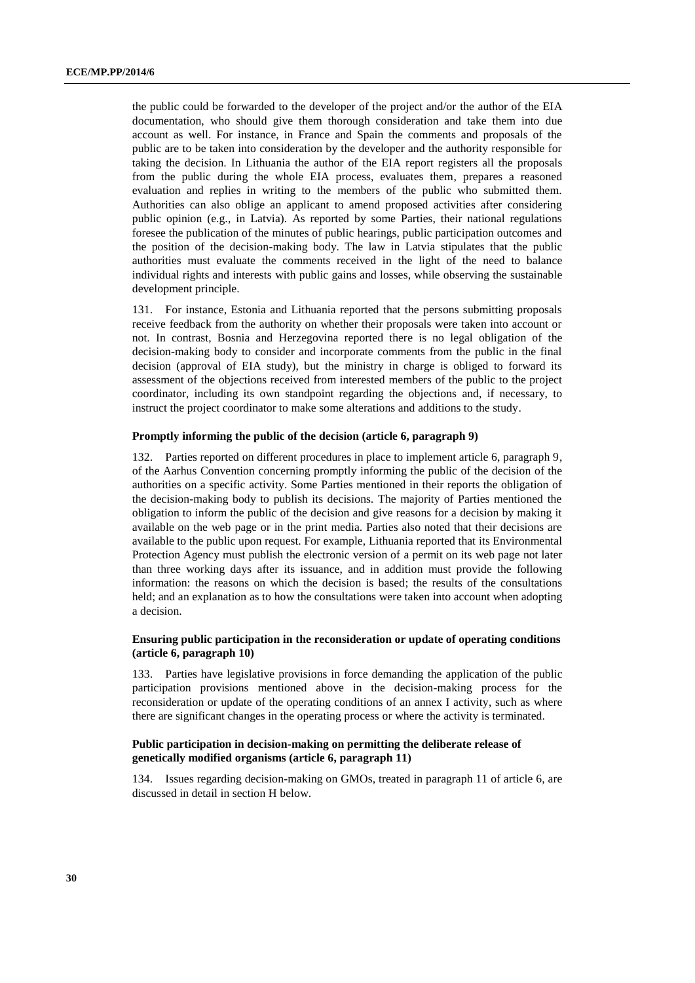the public could be forwarded to the developer of the project and/or the author of the EIA documentation, who should give them thorough consideration and take them into due account as well. For instance, in France and Spain the comments and proposals of the public are to be taken into consideration by the developer and the authority responsible for taking the decision. In Lithuania the author of the EIA report registers all the proposals from the public during the whole EIA process, evaluates them, prepares a reasoned evaluation and replies in writing to the members of the public who submitted them. Authorities can also oblige an applicant to amend proposed activities after considering public opinion (e.g., in Latvia). As reported by some Parties, their national regulations foresee the publication of the minutes of public hearings, public participation outcomes and the position of the decision-making body. The law in Latvia stipulates that the public authorities must evaluate the comments received in the light of the need to balance individual rights and interests with public gains and losses, while observing the sustainable development principle.

131. For instance, Estonia and Lithuania reported that the persons submitting proposals receive feedback from the authority on whether their proposals were taken into account or not. In contrast, Bosnia and Herzegovina reported there is no legal obligation of the decision-making body to consider and incorporate comments from the public in the final decision (approval of EIA study), but the ministry in charge is obliged to forward its assessment of the objections received from interested members of the public to the project coordinator, including its own standpoint regarding the objections and, if necessary, to instruct the project coordinator to make some alterations and additions to the study.

#### **Promptly informing the public of the decision (article 6, paragraph 9)**

132. Parties reported on different procedures in place to implement article 6, paragraph 9, of the Aarhus Convention concerning promptly informing the public of the decision of the authorities on a specific activity. Some Parties mentioned in their reports the obligation of the decision-making body to publish its decisions. The majority of Parties mentioned the obligation to inform the public of the decision and give reasons for a decision by making it available on the web page or in the print media. Parties also noted that their decisions are available to the public upon request. For example, Lithuania reported that its Environmental Protection Agency must publish the electronic version of a permit on its web page not later than three working days after its issuance, and in addition must provide the following information: the reasons on which the decision is based; the results of the consultations held; and an explanation as to how the consultations were taken into account when adopting a decision.

# **Ensuring public participation in the reconsideration or update of operating conditions (article 6, paragraph 10)**

133. Parties have legislative provisions in force demanding the application of the public participation provisions mentioned above in the decision-making process for the reconsideration or update of the operating conditions of an annex I activity, such as where there are significant changes in the operating process or where the activity is terminated.

# **Public participation in decision-making on permitting the deliberate release of genetically modified organisms (article 6, paragraph 11)**

134. Issues regarding decision-making on GMOs, treated in paragraph 11 of article 6, are discussed in detail in section H below.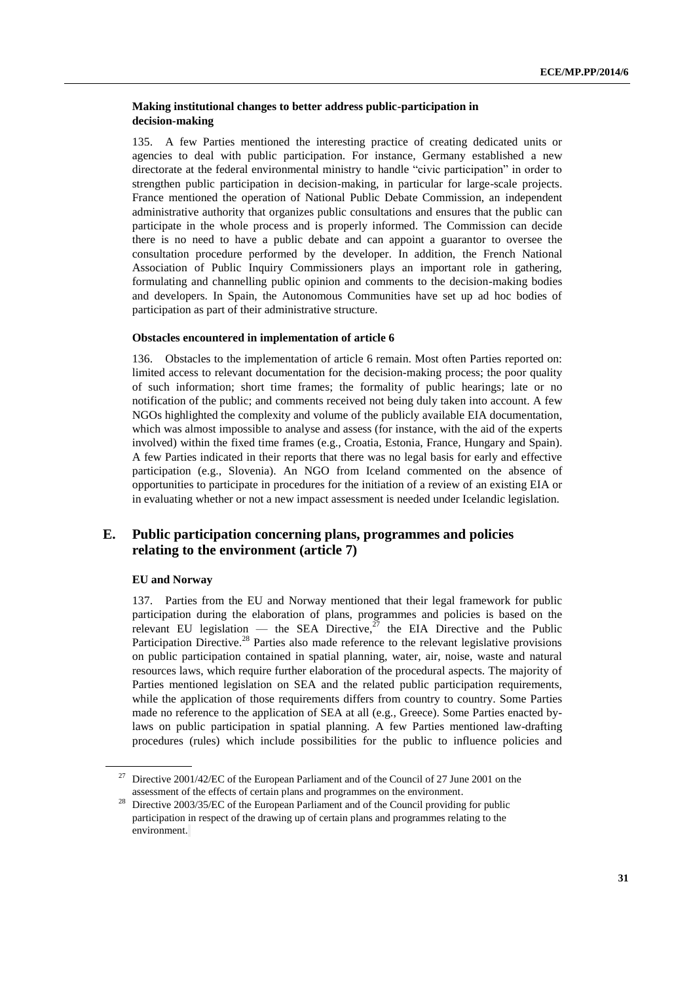# **Making institutional changes to better address public-participation in decision-making**

135. A few Parties mentioned the interesting practice of creating dedicated units or agencies to deal with public participation. For instance, Germany established a new directorate at the federal environmental ministry to handle "civic participation" in order to strengthen public participation in decision-making, in particular for large-scale projects. France mentioned the operation of National Public Debate Commission, an independent administrative authority that organizes public consultations and ensures that the public can participate in the whole process and is properly informed. The Commission can decide there is no need to have a public debate and can appoint a guarantor to oversee the consultation procedure performed by the developer. In addition, the French National Association of Public Inquiry Commissioners plays an important role in gathering, formulating and channelling public opinion and comments to the decision-making bodies and developers. In Spain, the Autonomous Communities have set up ad hoc bodies of participation as part of their administrative structure.

# **Obstacles encountered in implementation of article 6**

136. Obstacles to the implementation of article 6 remain. Most often Parties reported on: limited access to relevant documentation for the decision-making process; the poor quality of such information; short time frames; the formality of public hearings; late or no notification of the public; and comments received not being duly taken into account. A few NGOs highlighted the complexity and volume of the publicly available EIA documentation, which was almost impossible to analyse and assess (for instance, with the aid of the experts involved) within the fixed time frames (e.g., Croatia, Estonia, France, Hungary and Spain). A few Parties indicated in their reports that there was no legal basis for early and effective participation (e.g., Slovenia). An NGO from Iceland commented on the absence of opportunities to participate in procedures for the initiation of a review of an existing EIA or in evaluating whether or not a new impact assessment is needed under Icelandic legislation.

# **E. Public participation concerning plans, programmes and policies relating to the environment (article 7)**

#### **EU and Norway**

137. Parties from the EU and Norway mentioned that their legal framework for public participation during the elaboration of plans, programmes and policies is based on the relevant EU legislation — the SEA Directive, $27$  the EIA Directive and the Public Participation Directive.<sup>28</sup> Parties also made reference to the relevant legislative provisions on public participation contained in spatial planning, water, air, noise, waste and natural resources laws, which require further elaboration of the procedural aspects. The majority of Parties mentioned legislation on SEA and the related public participation requirements, while the application of those requirements differs from country to country. Some Parties made no reference to the application of SEA at all (e.g., Greece). Some Parties enacted bylaws on public participation in spatial planning. A few Parties mentioned law-drafting procedures (rules) which include possibilities for the public to influence policies and

<sup>&</sup>lt;sup>27</sup> Directive 2001/42/EC of the European Parliament and of the Council of 27 June 2001 on the assessment of the effects of certain plans and programmes on the environment.

<sup>&</sup>lt;sup>28</sup> Directive 2003/35/EC of the European Parliament and of the Council providing for public participation in respect of the drawing up of certain plans and programmes relating to the environment.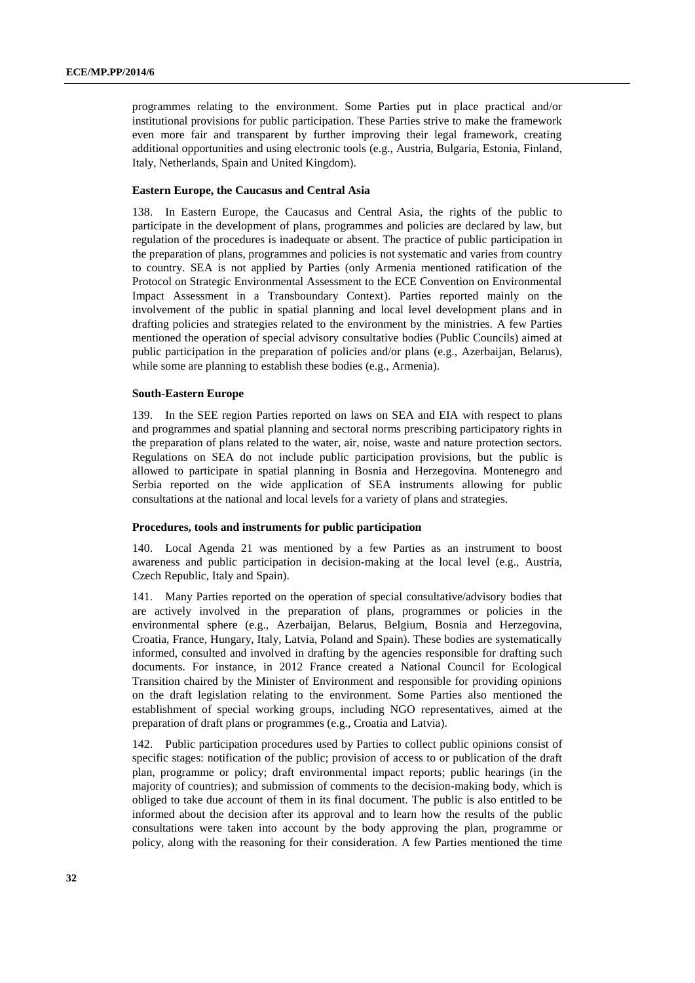programmes relating to the environment. Some Parties put in place practical and/or institutional provisions for public participation. These Parties strive to make the framework even more fair and transparent by further improving their legal framework, creating additional opportunities and using electronic tools (e.g., Austria, Bulgaria, Estonia, Finland, Italy, Netherlands, Spain and United Kingdom).

# **Eastern Europe, the Caucasus and Central Asia**

138. In Eastern Europe, the Caucasus and Central Asia, the rights of the public to participate in the development of plans, programmes and policies are declared by law, but regulation of the procedures is inadequate or absent. The practice of public participation in the preparation of plans, programmes and policies is not systematic and varies from country to country. SEA is not applied by Parties (only Armenia mentioned ratification of the Protocol on Strategic Environmental Assessment to the ECE Convention on Environmental Impact Assessment in a Transboundary Context). Parties reported mainly on the involvement of the public in spatial planning and local level development plans and in drafting policies and strategies related to the environment by the ministries. A few Parties mentioned the operation of special advisory consultative bodies (Public Councils) aimed at public participation in the preparation of policies and/or plans (e.g., Azerbaijan, Belarus), while some are planning to establish these bodies (e.g., Armenia).

#### **South-Eastern Europe**

139. In the SEE region Parties reported on laws on SEA and EIA with respect to plans and programmes and spatial planning and sectoral norms prescribing participatory rights in the preparation of plans related to the water, air, noise, waste and nature protection sectors. Regulations on SEA do not include public participation provisions, but the public is allowed to participate in spatial planning in Bosnia and Herzegovina. Montenegro and Serbia reported on the wide application of SEA instruments allowing for public consultations at the national and local levels for a variety of plans and strategies.

#### **Procedures, tools and instruments for public participation**

140. Local Agenda 21 was mentioned by a few Parties as an instrument to boost awareness and public participation in decision-making at the local level (e.g., Austria, Czech Republic, Italy and Spain).

141. Many Parties reported on the operation of special consultative/advisory bodies that are actively involved in the preparation of plans, programmes or policies in the environmental sphere (e.g., Azerbaijan, Belarus, Belgium, Bosnia and Herzegovina, Croatia, France, Hungary, Italy, Latvia, Poland and Spain). These bodies are systematically informed, consulted and involved in drafting by the agencies responsible for drafting such documents. For instance, in 2012 France created a National Council for Ecological Transition chaired by the Minister of Environment and responsible for providing opinions on the draft legislation relating to the environment. Some Parties also mentioned the establishment of special working groups, including NGO representatives, aimed at the preparation of draft plans or programmes (e.g., Croatia and Latvia).

142. Public participation procedures used by Parties to collect public opinions consist of specific stages: notification of the public; provision of access to or publication of the draft plan, programme or policy; draft environmental impact reports; public hearings (in the majority of countries); and submission of comments to the decision-making body, which is obliged to take due account of them in its final document. The public is also entitled to be informed about the decision after its approval and to learn how the results of the public consultations were taken into account by the body approving the plan, programme or policy, along with the reasoning for their consideration. A few Parties mentioned the time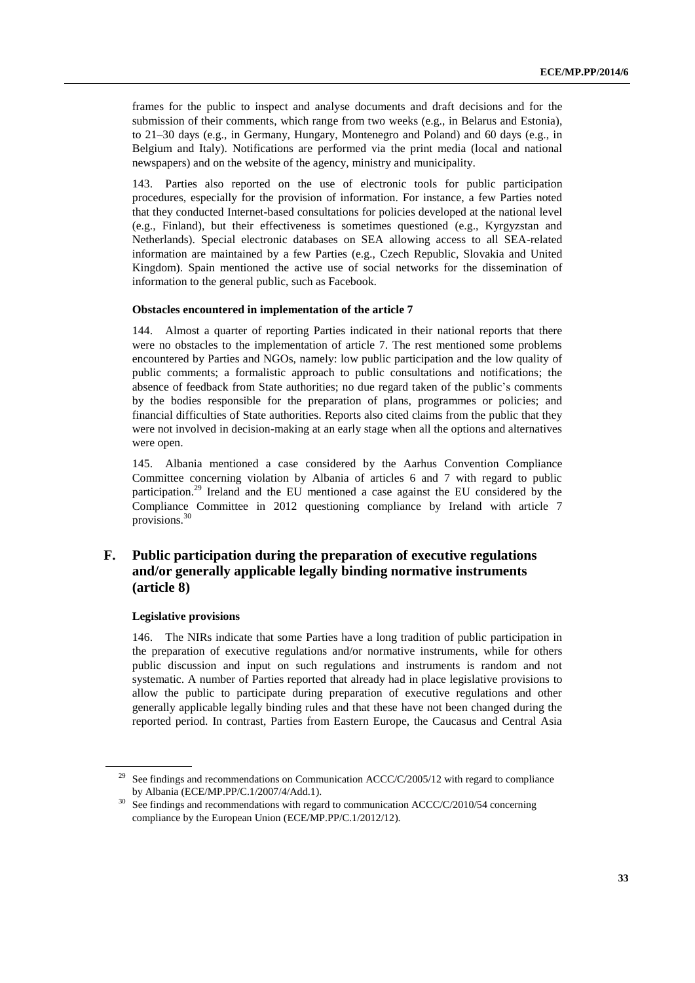frames for the public to inspect and analyse documents and draft decisions and for the submission of their comments, which range from two weeks (e.g., in Belarus and Estonia), to 21–30 days (e.g., in Germany, Hungary, Montenegro and Poland) and 60 days (e.g., in Belgium and Italy). Notifications are performed via the print media (local and national newspapers) and on the website of the agency, ministry and municipality.

143. Parties also reported on the use of electronic tools for public participation procedures, especially for the provision of information. For instance, a few Parties noted that they conducted Internet-based consultations for policies developed at the national level (e.g., Finland), but their effectiveness is sometimes questioned (e.g., Kyrgyzstan and Netherlands). Special electronic databases on SEA allowing access to all SEA-related information are maintained by a few Parties (e.g., Czech Republic, Slovakia and United Kingdom). Spain mentioned the active use of social networks for the dissemination of information to the general public, such as Facebook.

#### **Obstacles encountered in implementation of the article 7**

144. Almost a quarter of reporting Parties indicated in their national reports that there were no obstacles to the implementation of article 7. The rest mentioned some problems encountered by Parties and NGOs, namely: low public participation and the low quality of public comments; a formalistic approach to public consultations and notifications; the absence of feedback from State authorities; no due regard taken of the public's comments by the bodies responsible for the preparation of plans, programmes or policies; and financial difficulties of State authorities. Reports also cited claims from the public that they were not involved in decision-making at an early stage when all the options and alternatives were open.

145. Albania mentioned a case considered by the Aarhus Convention Compliance Committee concerning violation by Albania of articles 6 and 7 with regard to public participation.<sup>29</sup> Ireland and the EU mentioned a case against the EU considered by the Compliance Committee in 2012 questioning compliance by Ireland with article 7 provisions. $30$ 

# **F. Public participation during the preparation of executive regulations and/or generally applicable legally binding normative instruments (article 8)**

#### **Legislative provisions**

146. The NIRs indicate that some Parties have a long tradition of public participation in the preparation of executive regulations and/or normative instruments, while for others public discussion and input on such regulations and instruments is random and not systematic. A number of Parties reported that already had in place legislative provisions to allow the public to participate during preparation of executive regulations and other generally applicable legally binding rules and that these have not been changed during the reported period. In contrast, Parties from Eastern Europe, the Caucasus and Central Asia

See findings and recommendations on Communication  $ACCC/C/2005/12$  with regard to compliance by Albania (ECE/MP.PP/C.1/2007/4/Add.1).

<sup>&</sup>lt;sup>30</sup> See findings and recommendations with regard to communication ACCC/C/2010/54 concerning compliance by the European Union (ECE/MP.PP/C.1/2012/12).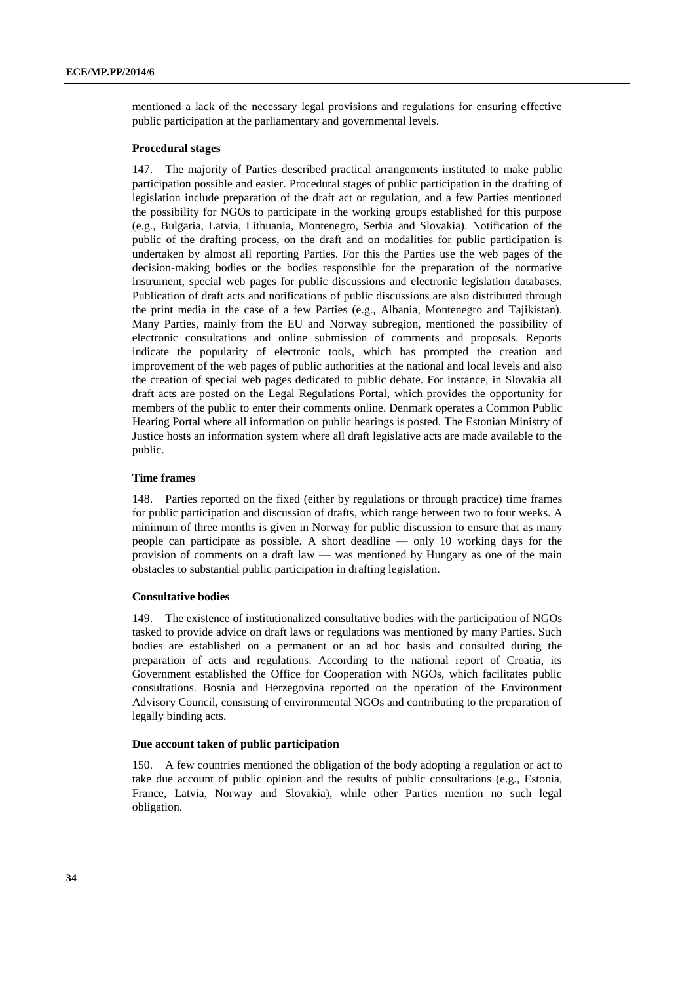mentioned a lack of the necessary legal provisions and regulations for ensuring effective public participation at the parliamentary and governmental levels.

#### **Procedural stages**

147. The majority of Parties described practical arrangements instituted to make public participation possible and easier. Procedural stages of public participation in the drafting of legislation include preparation of the draft act or regulation, and a few Parties mentioned the possibility for NGOs to participate in the working groups established for this purpose (e.g., Bulgaria, Latvia, Lithuania, Montenegro, Serbia and Slovakia). Notification of the public of the drafting process, on the draft and on modalities for public participation is undertaken by almost all reporting Parties. For this the Parties use the web pages of the decision-making bodies or the bodies responsible for the preparation of the normative instrument, special web pages for public discussions and electronic legislation databases. Publication of draft acts and notifications of public discussions are also distributed through the print media in the case of a few Parties (e.g., Albania, Montenegro and Tajikistan). Many Parties, mainly from the EU and Norway subregion, mentioned the possibility of electronic consultations and online submission of comments and proposals. Reports indicate the popularity of electronic tools, which has prompted the creation and improvement of the web pages of public authorities at the national and local levels and also the creation of special web pages dedicated to public debate. For instance, in Slovakia all draft acts are posted on the Legal Regulations Portal, which provides the opportunity for members of the public to enter their comments online. Denmark operates a Common Public Hearing Portal where all information on public hearings is posted. The Estonian Ministry of Justice hosts an information system where all draft legislative acts are made available to the public.

#### **Time frames**

148. Parties reported on the fixed (either by regulations or through practice) time frames for public participation and discussion of drafts, which range between two to four weeks. A minimum of three months is given in Norway for public discussion to ensure that as many people can participate as possible. A short deadline — only 10 working days for the provision of comments on a draft law — was mentioned by Hungary as one of the main obstacles to substantial public participation in drafting legislation.

### **Consultative bodies**

149. The existence of institutionalized consultative bodies with the participation of NGOs tasked to provide advice on draft laws or regulations was mentioned by many Parties. Such bodies are established on a permanent or an ad hoc basis and consulted during the preparation of acts and regulations. According to the national report of Croatia, its Government established the Office for Cooperation with NGOs, which facilitates public consultations. Bosnia and Herzegovina reported on the operation of the Environment Advisory Council, consisting of environmental NGOs and contributing to the preparation of legally binding acts.

#### **Due account taken of public participation**

150. A few countries mentioned the obligation of the body adopting a regulation or act to take due account of public opinion and the results of public consultations (e.g., Estonia, France, Latvia, Norway and Slovakia), while other Parties mention no such legal obligation.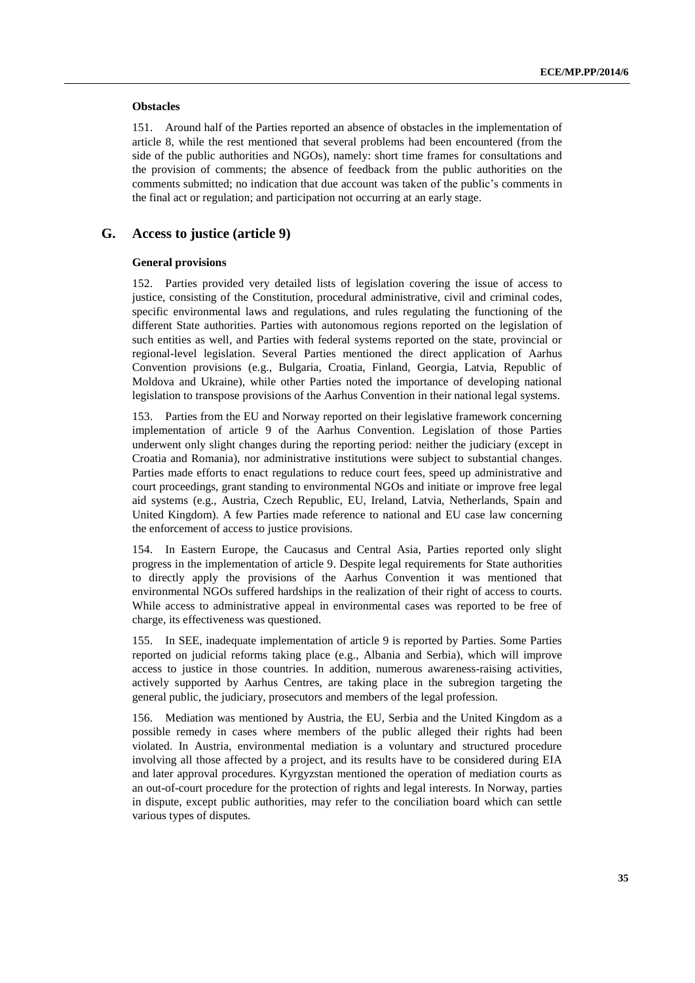#### **Obstacles**

151. Around half of the Parties reported an absence of obstacles in the implementation of article 8, while the rest mentioned that several problems had been encountered (from the side of the public authorities and NGOs), namely: short time frames for consultations and the provision of comments; the absence of feedback from the public authorities on the comments submitted; no indication that due account was taken of the public's comments in the final act or regulation; and participation not occurring at an early stage.

# **G. Access to justice (article 9)**

#### **General provisions**

152. Parties provided very detailed lists of legislation covering the issue of access to justice, consisting of the Constitution, procedural administrative, civil and criminal codes, specific environmental laws and regulations, and rules regulating the functioning of the different State authorities. Parties with autonomous regions reported on the legislation of such entities as well, and Parties with federal systems reported on the state, provincial or regional-level legislation. Several Parties mentioned the direct application of Aarhus Convention provisions (e.g., Bulgaria, Croatia, Finland, Georgia, Latvia, Republic of Moldova and Ukraine), while other Parties noted the importance of developing national legislation to transpose provisions of the Aarhus Convention in their national legal systems.

153. Parties from the EU and Norway reported on their legislative framework concerning implementation of article 9 of the Aarhus Convention. Legislation of those Parties underwent only slight changes during the reporting period: neither the judiciary (except in Croatia and Romania), nor administrative institutions were subject to substantial changes. Parties made efforts to enact regulations to reduce court fees, speed up administrative and court proceedings, grant standing to environmental NGOs and initiate or improve free legal aid systems (e.g., Austria, Czech Republic, EU, Ireland, Latvia, Netherlands, Spain and United Kingdom). A few Parties made reference to national and EU case law concerning the enforcement of access to justice provisions.

154. In Eastern Europe, the Caucasus and Central Asia, Parties reported only slight progress in the implementation of article 9. Despite legal requirements for State authorities to directly apply the provisions of the Aarhus Convention it was mentioned that environmental NGOs suffered hardships in the realization of their right of access to courts. While access to administrative appeal in environmental cases was reported to be free of charge, its effectiveness was questioned.

155. In SEE, inadequate implementation of article 9 is reported by Parties. Some Parties reported on judicial reforms taking place (e.g., Albania and Serbia), which will improve access to justice in those countries. In addition, numerous awareness-raising activities, actively supported by Aarhus Centres, are taking place in the subregion targeting the general public, the judiciary, prosecutors and members of the legal profession.

156. Mediation was mentioned by Austria, the EU, Serbia and the United Kingdom as a possible remedy in cases where members of the public alleged their rights had been violated. In Austria, environmental mediation is a voluntary and structured procedure involving all those affected by a project, and its results have to be considered during EIA and later approval procedures. Kyrgyzstan mentioned the operation of mediation courts as an out-of-court procedure for the protection of rights and legal interests. In Norway, parties in dispute, except public authorities, may refer to the conciliation board which can settle various types of disputes.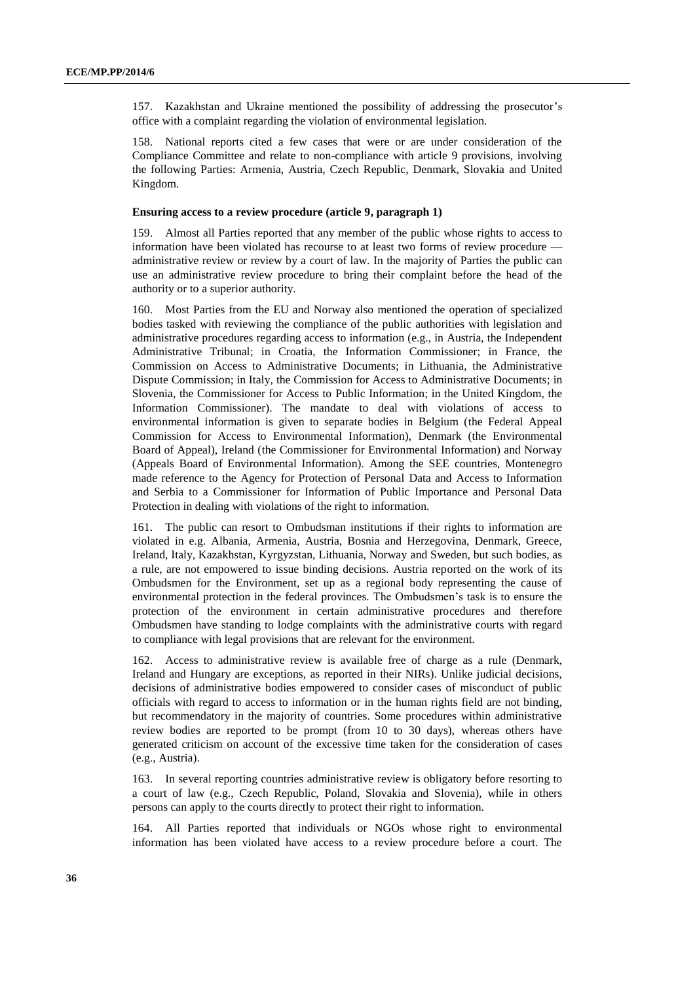157. Kazakhstan and Ukraine mentioned the possibility of addressing the prosecutor's office with a complaint regarding the violation of environmental legislation.

158. National reports cited a few cases that were or are under consideration of the Compliance Committee and relate to non-compliance with article 9 provisions, involving the following Parties: Armenia, Austria, Czech Republic, Denmark, Slovakia and United Kingdom.

#### **Ensuring access to a review procedure (article 9, paragraph 1)**

159. Almost all Parties reported that any member of the public whose rights to access to information have been violated has recourse to at least two forms of review procedure administrative review or review by a court of law. In the majority of Parties the public can use an administrative review procedure to bring their complaint before the head of the authority or to a superior authority.

160. Most Parties from the EU and Norway also mentioned the operation of specialized bodies tasked with reviewing the compliance of the public authorities with legislation and administrative procedures regarding access to information (e.g., in Austria, the Independent Administrative Tribunal; in Croatia, the Information Commissioner; in France, the Commission on Access to Administrative Documents; in Lithuania, the Administrative Dispute Commission; in Italy, the Commission for Access to Administrative Documents; in Slovenia, the Commissioner for Access to Public Information; in the United Kingdom, the Information Commissioner). The mandate to deal with violations of access to environmental information is given to separate bodies in Belgium (the Federal Appeal Commission for Access to Environmental Information), Denmark (the Environmental Board of Appeal), Ireland (the Commissioner for Environmental Information) and Norway (Appeals Board of Environmental Information). Among the SEE countries, Montenegro made reference to the Agency for Protection of Personal Data and Access to Information and Serbia to a Commissioner for Information of Public Importance and Personal Data Protection in dealing with violations of the right to information.

161. The public can resort to Ombudsman institutions if their rights to information are violated in e.g. Albania, Armenia, Austria, Bosnia and Herzegovina, Denmark, Greece, Ireland, Italy, Kazakhstan, Kyrgyzstan, Lithuania, Norway and Sweden, but such bodies, as a rule, are not empowered to issue binding decisions. Austria reported on the work of its Ombudsmen for the Environment, set up as a regional body representing the cause of environmental protection in the federal provinces. The Ombudsmen's task is to ensure the protection of the environment in certain administrative procedures and therefore Ombudsmen have standing to lodge complaints with the administrative courts with regard to compliance with legal provisions that are relevant for the environment.

162. Access to administrative review is available free of charge as a rule (Denmark, Ireland and Hungary are exceptions, as reported in their NIRs). Unlike judicial decisions, decisions of administrative bodies empowered to consider cases of misconduct of public officials with regard to access to information or in the human rights field are not binding, but recommendatory in the majority of countries. Some procedures within administrative review bodies are reported to be prompt (from 10 to 30 days), whereas others have generated criticism on account of the excessive time taken for the consideration of cases (e.g., Austria).

163. In several reporting countries administrative review is obligatory before resorting to a court of law (e.g., Czech Republic, Poland, Slovakia and Slovenia), while in others persons can apply to the courts directly to protect their right to information.

164. All Parties reported that individuals or NGOs whose right to environmental information has been violated have access to a review procedure before a court. The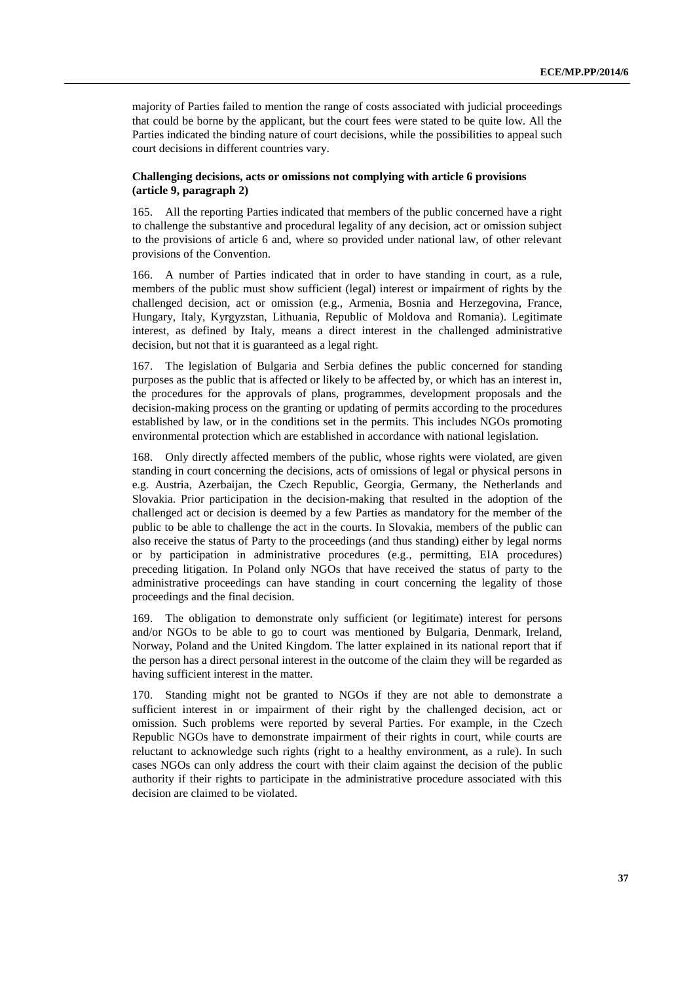majority of Parties failed to mention the range of costs associated with judicial proceedings that could be borne by the applicant, but the court fees were stated to be quite low. All the Parties indicated the binding nature of court decisions, while the possibilities to appeal such court decisions in different countries vary.

## **Challenging decisions, acts or omissions not complying with article 6 provisions (article 9, paragraph 2)**

165. All the reporting Parties indicated that members of the public concerned have a right to challenge the substantive and procedural legality of any decision, act or omission subject to the provisions of article 6 and, where so provided under national law, of other relevant provisions of the Convention.

166. A number of Parties indicated that in order to have standing in court, as a rule, members of the public must show sufficient (legal) interest or impairment of rights by the challenged decision, act or omission (e.g., Armenia, Bosnia and Herzegovina, France, Hungary, Italy, Kyrgyzstan, Lithuania, Republic of Moldova and Romania). Legitimate interest, as defined by Italy, means a direct interest in the challenged administrative decision, but not that it is guaranteed as a legal right.

167. The legislation of Bulgaria and Serbia defines the public concerned for standing purposes as the public that is affected or likely to be affected by, or which has an interest in, the procedures for the approvals of plans, programmes, development proposals and the decision-making process on the granting or updating of permits according to the procedures established by law, or in the conditions set in the permits. This includes NGOs promoting environmental protection which are established in accordance with national legislation.

168. Only directly affected members of the public, whose rights were violated, are given standing in court concerning the decisions, acts of omissions of legal or physical persons in e.g. Austria, Azerbaijan, the Czech Republic, Georgia, Germany, the Netherlands and Slovakia. Prior participation in the decision-making that resulted in the adoption of the challenged act or decision is deemed by a few Parties as mandatory for the member of the public to be able to challenge the act in the courts. In Slovakia, members of the public can also receive the status of Party to the proceedings (and thus standing) either by legal norms or by participation in administrative procedures (e.g., permitting, EIA procedures) preceding litigation. In Poland only NGOs that have received the status of party to the administrative proceedings can have standing in court concerning the legality of those proceedings and the final decision.

169. The obligation to demonstrate only sufficient (or legitimate) interest for persons and/or NGOs to be able to go to court was mentioned by Bulgaria, Denmark, Ireland, Norway, Poland and the United Kingdom. The latter explained in its national report that if the person has a direct personal interest in the outcome of the claim they will be regarded as having sufficient interest in the matter.

170. Standing might not be granted to NGOs if they are not able to demonstrate a sufficient interest in or impairment of their right by the challenged decision, act or omission. Such problems were reported by several Parties. For example, in the Czech Republic NGOs have to demonstrate impairment of their rights in court, while courts are reluctant to acknowledge such rights (right to a healthy environment, as a rule). In such cases NGOs can only address the court with their claim against the decision of the public authority if their rights to participate in the administrative procedure associated with this decision are claimed to be violated.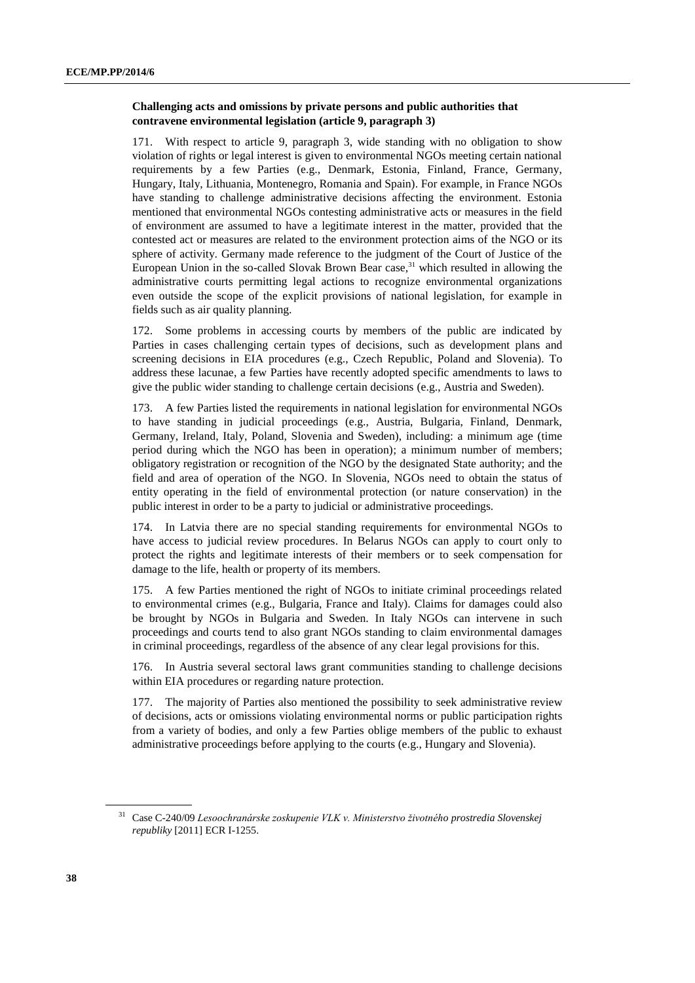# **Challenging acts and omissions by private persons and public authorities that contravene environmental legislation (article 9, paragraph 3)**

171. With respect to article 9, paragraph 3, wide standing with no obligation to show violation of rights or legal interest is given to environmental NGOs meeting certain national requirements by a few Parties (e.g., Denmark, Estonia, Finland, France, Germany, Hungary, Italy, Lithuania, Montenegro, Romania and Spain). For example, in France NGOs have standing to challenge administrative decisions affecting the environment. Estonia mentioned that environmental NGOs contesting administrative acts or measures in the field of environment are assumed to have a legitimate interest in the matter, provided that the contested act or measures are related to the environment protection aims of the NGO or its sphere of activity. Germany made reference to the judgment of the Court of Justice of the European Union in the so-called Slovak Brown Bear case,<sup>31</sup> which resulted in allowing the administrative courts permitting legal actions to recognize environmental organizations even outside the scope of the explicit provisions of national legislation, for example in fields such as air quality planning.

172. Some problems in accessing courts by members of the public are indicated by Parties in cases challenging certain types of decisions, such as development plans and screening decisions in EIA procedures (e.g., Czech Republic, Poland and Slovenia). To address these lacunae, a few Parties have recently adopted specific amendments to laws to give the public wider standing to challenge certain decisions (e.g., Austria and Sweden).

173. A few Parties listed the requirements in national legislation for environmental NGOs to have standing in judicial proceedings (e.g., Austria, Bulgaria, Finland, Denmark, Germany, Ireland, Italy, Poland, Slovenia and Sweden), including: a minimum age (time period during which the NGO has been in operation); a minimum number of members; obligatory registration or recognition of the NGO by the designated State authority; and the field and area of operation of the NGO. In Slovenia, NGOs need to obtain the status of entity operating in the field of environmental protection (or nature conservation) in the public interest in order to be a party to judicial or administrative proceedings.

174. In Latvia there are no special standing requirements for environmental NGOs to have access to judicial review procedures. In Belarus NGOs can apply to court only to protect the rights and legitimate interests of their members or to seek compensation for damage to the life, health or property of its members.

175. A few Parties mentioned the right of NGOs to initiate criminal proceedings related to environmental crimes (e.g., Bulgaria, France and Italy). Claims for damages could also be brought by NGOs in Bulgaria and Sweden. In Italy NGOs can intervene in such proceedings and courts tend to also grant NGOs standing to claim environmental damages in criminal proceedings, regardless of the absence of any clear legal provisions for this.

176. In Austria several sectoral laws grant communities standing to challenge decisions within EIA procedures or regarding nature protection.

177. The majority of Parties also mentioned the possibility to seek administrative review of decisions, acts or omissions violating environmental norms or public participation rights from a variety of bodies, and only a few Parties oblige members of the public to exhaust administrative proceedings before applying to the courts (e.g., Hungary and Slovenia).

<sup>31</sup> Case C-240/09 *Lesoochranárske zoskupenie VLK v. Ministerstvo životného prostredia Slovenskej republiky* [2011] ECR I-1255.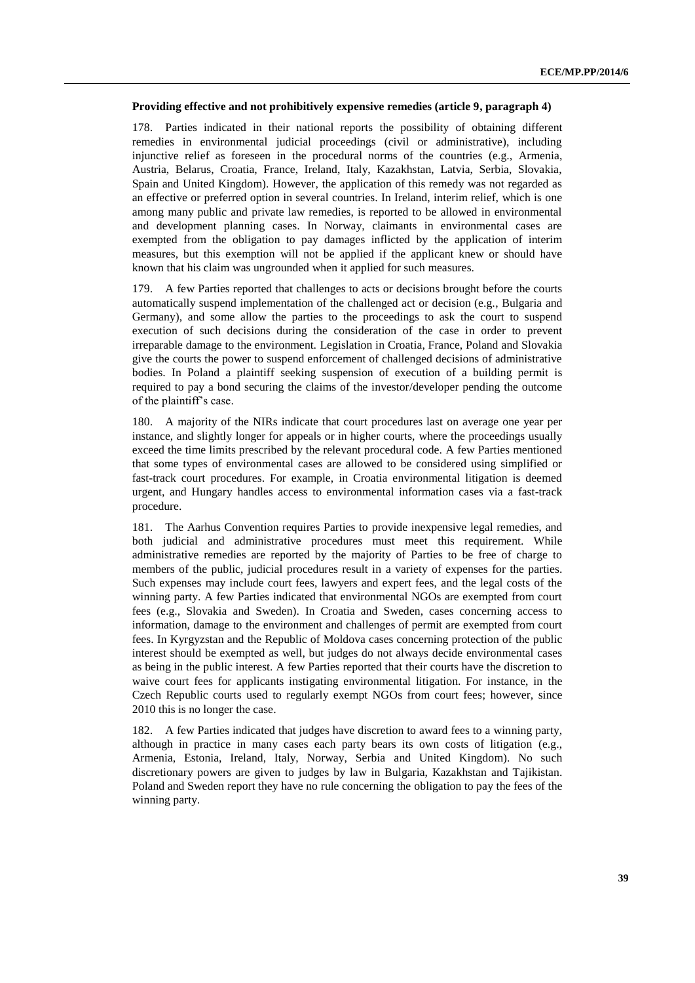# **Providing effective and not prohibitively expensive remedies (article 9, paragraph 4)**

178. Parties indicated in their national reports the possibility of obtaining different remedies in environmental judicial proceedings (civil or administrative), including injunctive relief as foreseen in the procedural norms of the countries (e.g., Armenia, Austria, Belarus, Croatia, France, Ireland, Italy, Kazakhstan, Latvia, Serbia, Slovakia, Spain and United Kingdom). However, the application of this remedy was not regarded as an effective or preferred option in several countries. In Ireland, interim relief, which is one among many public and private law remedies, is reported to be allowed in environmental and development planning cases. In Norway, claimants in environmental cases are exempted from the obligation to pay damages inflicted by the application of interim measures, but this exemption will not be applied if the applicant knew or should have known that his claim was ungrounded when it applied for such measures.

179. A few Parties reported that challenges to acts or decisions brought before the courts automatically suspend implementation of the challenged act or decision (e.g., Bulgaria and Germany), and some allow the parties to the proceedings to ask the court to suspend execution of such decisions during the consideration of the case in order to prevent irreparable damage to the environment. Legislation in Croatia, France, Poland and Slovakia give the courts the power to suspend enforcement of challenged decisions of administrative bodies. In Poland a plaintiff seeking suspension of execution of a building permit is required to pay a bond securing the claims of the investor/developer pending the outcome of the plaintiff's case.

180. A majority of the NIRs indicate that court procedures last on average one year per instance, and slightly longer for appeals or in higher courts, where the proceedings usually exceed the time limits prescribed by the relevant procedural code. A few Parties mentioned that some types of environmental cases are allowed to be considered using simplified or fast-track court procedures. For example, in Croatia environmental litigation is deemed urgent, and Hungary handles access to environmental information cases via a fast-track procedure.

181. The Aarhus Convention requires Parties to provide inexpensive legal remedies, and both judicial and administrative procedures must meet this requirement. While administrative remedies are reported by the majority of Parties to be free of charge to members of the public, judicial procedures result in a variety of expenses for the parties. Such expenses may include court fees, lawyers and expert fees, and the legal costs of the winning party. A few Parties indicated that environmental NGOs are exempted from court fees (e.g., Slovakia and Sweden). In Croatia and Sweden, cases concerning access to information, damage to the environment and challenges of permit are exempted from court fees. In Kyrgyzstan and the Republic of Moldova cases concerning protection of the public interest should be exempted as well, but judges do not always decide environmental cases as being in the public interest. A few Parties reported that their courts have the discretion to waive court fees for applicants instigating environmental litigation. For instance, in the Czech Republic courts used to regularly exempt NGOs from court fees; however, since 2010 this is no longer the case.

182. A few Parties indicated that judges have discretion to award fees to a winning party, although in practice in many cases each party bears its own costs of litigation (e.g., Armenia, Estonia, Ireland, Italy, Norway, Serbia and United Kingdom). No such discretionary powers are given to judges by law in Bulgaria, Kazakhstan and Tajikistan. Poland and Sweden report they have no rule concerning the obligation to pay the fees of the winning party.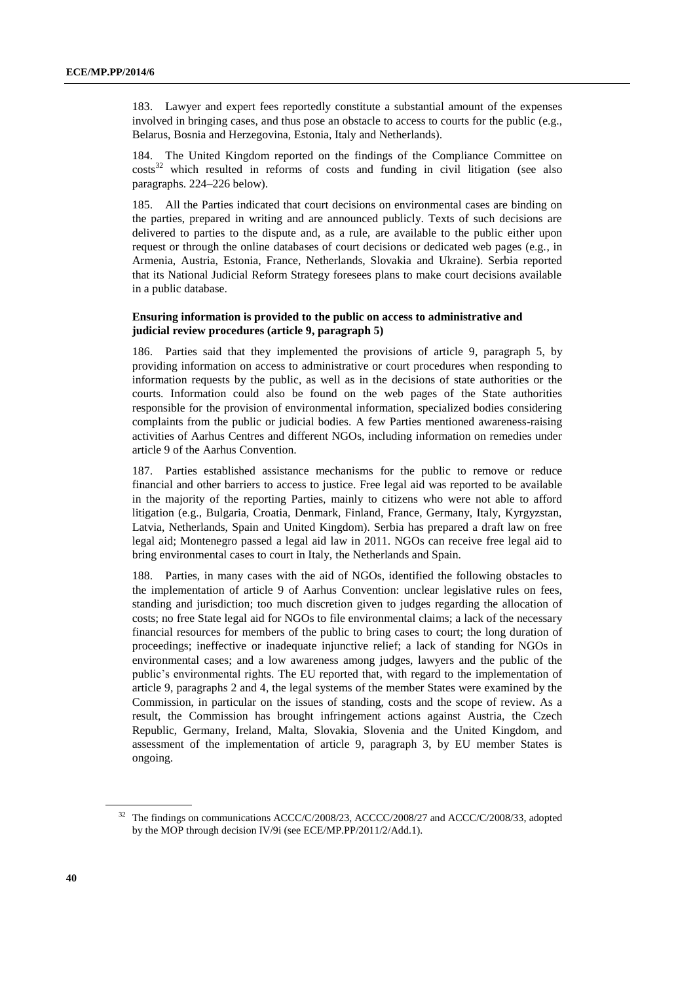183. Lawyer and expert fees reportedly constitute a substantial amount of the expenses involved in bringing cases, and thus pose an obstacle to access to courts for the public (e.g., Belarus, Bosnia and Herzegovina, Estonia, Italy and Netherlands).

184. The United Kingdom reported on the findings of the Compliance Committee on  $costs<sup>32</sup>$  which resulted in reforms of costs and funding in civil litigation (see also paragraphs. 224–226 below).

185. All the Parties indicated that court decisions on environmental cases are binding on the parties, prepared in writing and are announced publicly. Texts of such decisions are delivered to parties to the dispute and, as a rule, are available to the public either upon request or through the online databases of court decisions or dedicated web pages (e.g., in Armenia, Austria, Estonia, France, Netherlands, Slovakia and Ukraine). Serbia reported that its National Judicial Reform Strategy foresees plans to make court decisions available in a public database.

### **Ensuring information is provided to the public on access to administrative and judicial review procedures (article 9, paragraph 5)**

186. Parties said that they implemented the provisions of article 9, paragraph 5, by providing information on access to administrative or court procedures when responding to information requests by the public, as well as in the decisions of state authorities or the courts. Information could also be found on the web pages of the State authorities responsible for the provision of environmental information, specialized bodies considering complaints from the public or judicial bodies. A few Parties mentioned awareness-raising activities of Aarhus Centres and different NGOs, including information on remedies under article 9 of the Aarhus Convention.

187. Parties established assistance mechanisms for the public to remove or reduce financial and other barriers to access to justice. Free legal aid was reported to be available in the majority of the reporting Parties, mainly to citizens who were not able to afford litigation (e.g., Bulgaria, Croatia, Denmark, Finland, France, Germany, Italy, Kyrgyzstan, Latvia, Netherlands, Spain and United Kingdom). Serbia has prepared a draft law on free legal aid; Montenegro passed a legal aid law in 2011. NGOs can receive free legal aid to bring environmental cases to court in Italy, the Netherlands and Spain.

188. Parties, in many cases with the aid of NGOs, identified the following obstacles to the implementation of article 9 of Aarhus Convention: unclear legislative rules on fees, standing and jurisdiction; too much discretion given to judges regarding the allocation of costs; no free State legal aid for NGOs to file environmental claims; a lack of the necessary financial resources for members of the public to bring cases to court; the long duration of proceedings; ineffective or inadequate injunctive relief; a lack of standing for NGOs in environmental cases; and a low awareness among judges, lawyers and the public of the public's environmental rights. The EU reported that, with regard to the implementation of article 9, paragraphs 2 and 4, the legal systems of the member States were examined by the Commission, in particular on the issues of standing, costs and the scope of review. As a result, the Commission has brought infringement actions against Austria, the Czech Republic, Germany, Ireland, Malta, Slovakia, Slovenia and the United Kingdom, and assessment of the implementation of article 9, paragraph 3, by EU member States is ongoing.

<sup>&</sup>lt;sup>32</sup> The findings on communications ACCC/C/2008/23, ACCCC/2008/27 and ACCC/C/2008/33, adopted by the MOP through decision IV/9i (see ECE/MP.PP/2011/2/Add.1).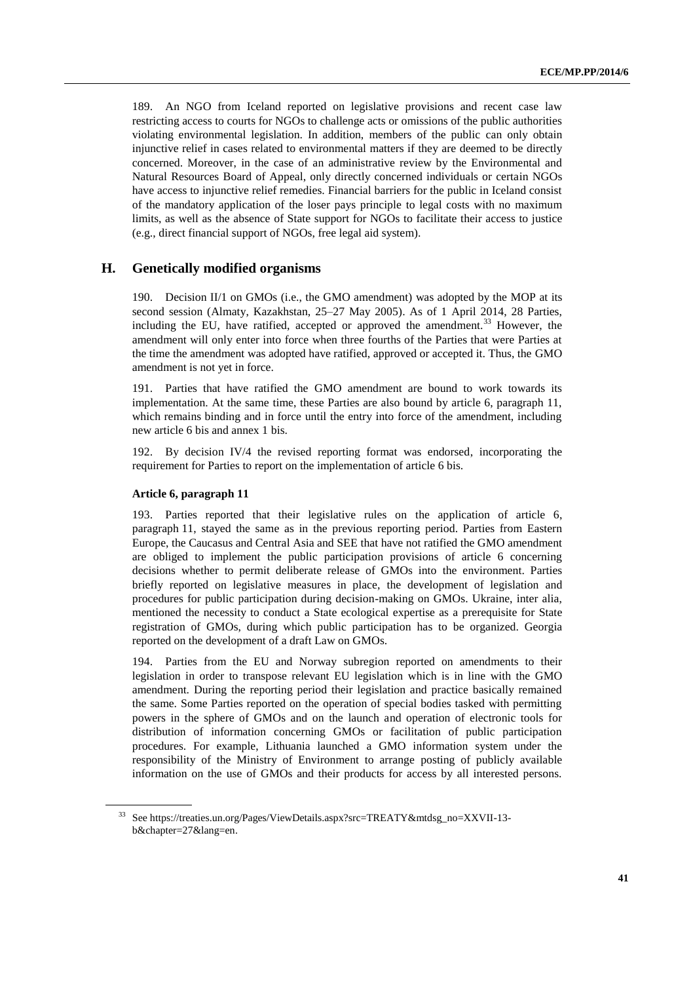189. An NGO from Iceland reported on legislative provisions and recent case law restricting access to courts for NGOs to challenge acts or omissions of the public authorities violating environmental legislation. In addition, members of the public can only obtain injunctive relief in cases related to environmental matters if they are deemed to be directly concerned. Moreover, in the case of an administrative review by the Environmental and Natural Resources Board of Appeal, only directly concerned individuals or certain NGOs have access to injunctive relief remedies. Financial barriers for the public in Iceland consist of the mandatory application of the loser pays principle to legal costs with no maximum limits, as well as the absence of State support for NGOs to facilitate their access to justice (e.g., direct financial support of NGOs, free legal aid system).

# **H. Genetically modified organisms**

190. Decision II/1 on GMOs (i.e., the GMO amendment) was adopted by the MOP at its second session (Almaty, Kazakhstan, 25–27 May 2005). As of 1 April 2014, 28 Parties, including the EU, have ratified, accepted or approved the amendment.<sup>33</sup> However, the amendment will only enter into force when three fourths of the Parties that were Parties at the time the amendment was adopted have ratified, approved or accepted it. Thus, the GMO amendment is not yet in force.

191. Parties that have ratified the GMO amendment are bound to work towards its implementation. At the same time, these Parties are also bound by article 6, paragraph 11, which remains binding and in force until the entry into force of the amendment, including new article 6 bis and annex 1 bis.

192. By decision IV/4 the revised reporting format was endorsed, incorporating the requirement for Parties to report on the implementation of article 6 bis.

#### **Article 6, paragraph 11**

193. Parties reported that their legislative rules on the application of article 6, paragraph 11, stayed the same as in the previous reporting period. Parties from Eastern Europe, the Caucasus and Central Asia and SEE that have not ratified the GMO amendment are obliged to implement the public participation provisions of article 6 concerning decisions whether to permit deliberate release of GMOs into the environment. Parties briefly reported on legislative measures in place, the development of legislation and procedures for public participation during decision-making on GMOs. Ukraine, inter alia, mentioned the necessity to conduct a State ecological expertise as a prerequisite for State registration of GMOs, during which public participation has to be organized. Georgia reported on the development of a draft Law on GMOs.

194. Parties from the EU and Norway subregion reported on amendments to their legislation in order to transpose relevant EU legislation which is in line with the GMO amendment. During the reporting period their legislation and practice basically remained the same. Some Parties reported on the operation of special bodies tasked with permitting powers in the sphere of GMOs and on the launch and operation of electronic tools for distribution of information concerning GMOs or facilitation of public participation procedures. For example, Lithuania launched a GMO information system under the responsibility of the Ministry of Environment to arrange posting of publicly available information on the use of GMOs and their products for access by all interested persons.

<sup>33</sup> Se[e https://treaties.un.org/Pages/ViewDetails.aspx?src=TREATY&mtdsg\\_no=XXVII-13](https://treaties.un.org/Pages/ViewDetails.aspx?src=TREATY&mtdsg_no=XXVII-13-b&chapter=27&lang=en) [b&chapter=27&lang=en.](https://treaties.un.org/Pages/ViewDetails.aspx?src=TREATY&mtdsg_no=XXVII-13-b&chapter=27&lang=en)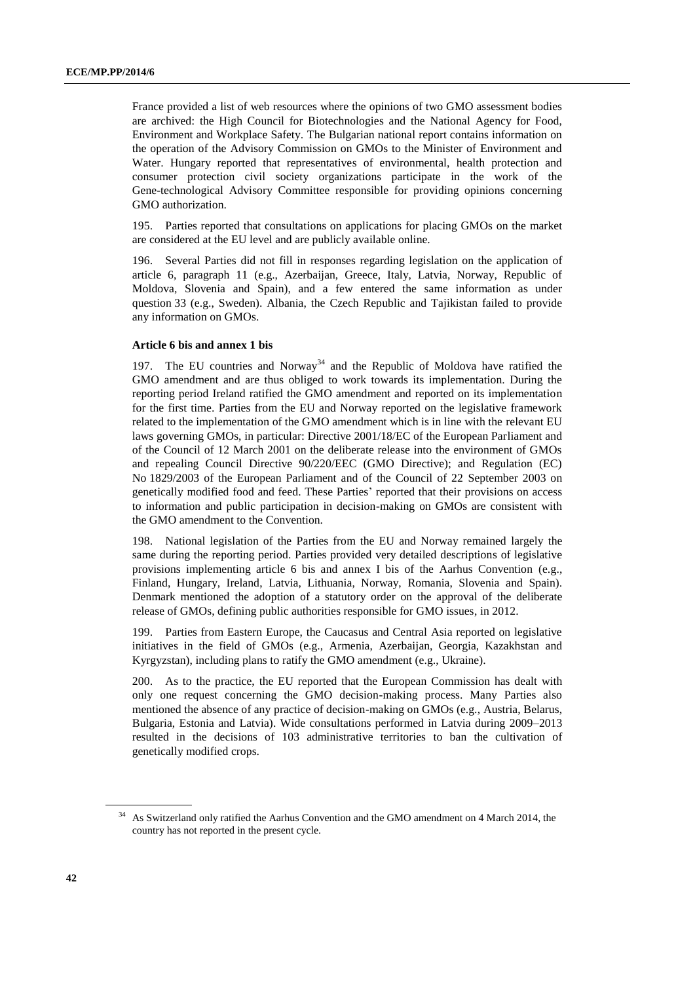France provided a list of web resources where the opinions of two GMO assessment bodies are archived: the High Council for Biotechnologies and the National Agency for Food, Environment and Workplace Safety. The Bulgarian national report contains information on the operation of the Advisory Commission on GMOs to the Minister of Environment and Water. Hungary reported that representatives of environmental, health protection and consumer protection civil society organizations participate in the work of the Gene-technological Advisory Committee responsible for providing opinions concerning GMO authorization.

195. Parties reported that consultations on applications for placing GMOs on the market are considered at the EU level and are publicly available online.

196. Several Parties did not fill in responses regarding legislation on the application of article 6, paragraph 11 (e.g., Azerbaijan, Greece, Italy, Latvia, Norway, Republic of Moldova, Slovenia and Spain), and a few entered the same information as under question 33 (e.g., Sweden). Albania, the Czech Republic and Tajikistan failed to provide any information on GMOs.

## **Article 6 bis and annex 1 bis**

197. The EU countries and Norway<sup>34</sup> and the Republic of Moldova have ratified the GMO amendment and are thus obliged to work towards its implementation. During the reporting period Ireland ratified the GMO amendment and reported on its implementation for the first time. Parties from the EU and Norway reported on the legislative framework related to the implementation of the GMO amendment which is in line with the relevant EU laws governing GMOs, in particular: Directive 2001/18/EC of the European Parliament and of the Council of 12 March 2001 on the deliberate release into the environment of GMOs and repealing Council Directive 90/220/EEC (GMO Directive); and Regulation (EC) No 1829/2003 of the European Parliament and of the Council of 22 September 2003 on genetically modified food and feed. These Parties' reported that their provisions on access to information and public participation in decision-making on GMOs are consistent with the GMO amendment to the Convention.

National legislation of the Parties from the EU and Norway remained largely the same during the reporting period. Parties provided very detailed descriptions of legislative provisions implementing article 6 bis and annex I bis of the Aarhus Convention (e.g., Finland, Hungary, Ireland, Latvia, Lithuania, Norway, Romania, Slovenia and Spain). Denmark mentioned the adoption of a statutory order on the approval of the deliberate release of GMOs, defining public authorities responsible for GMO issues, in 2012.

199. Parties from Eastern Europe, the Caucasus and Central Asia reported on legislative initiatives in the field of GMOs (e.g., Armenia, Azerbaijan, Georgia, Kazakhstan and Kyrgyzstan), including plans to ratify the GMO amendment (e.g., Ukraine).

200. As to the practice, the EU reported that the European Commission has dealt with only one request concerning the GMO decision-making process. Many Parties also mentioned the absence of any practice of decision-making on GMOs (e.g., Austria, Belarus, Bulgaria, Estonia and Latvia). Wide consultations performed in Latvia during 2009–2013 resulted in the decisions of 103 administrative territories to ban the cultivation of genetically modified crops.

<sup>&</sup>lt;sup>34</sup> As Switzerland only ratified the Aarhus Convention and the GMO amendment on 4 March 2014, the country has not reported in the present cycle.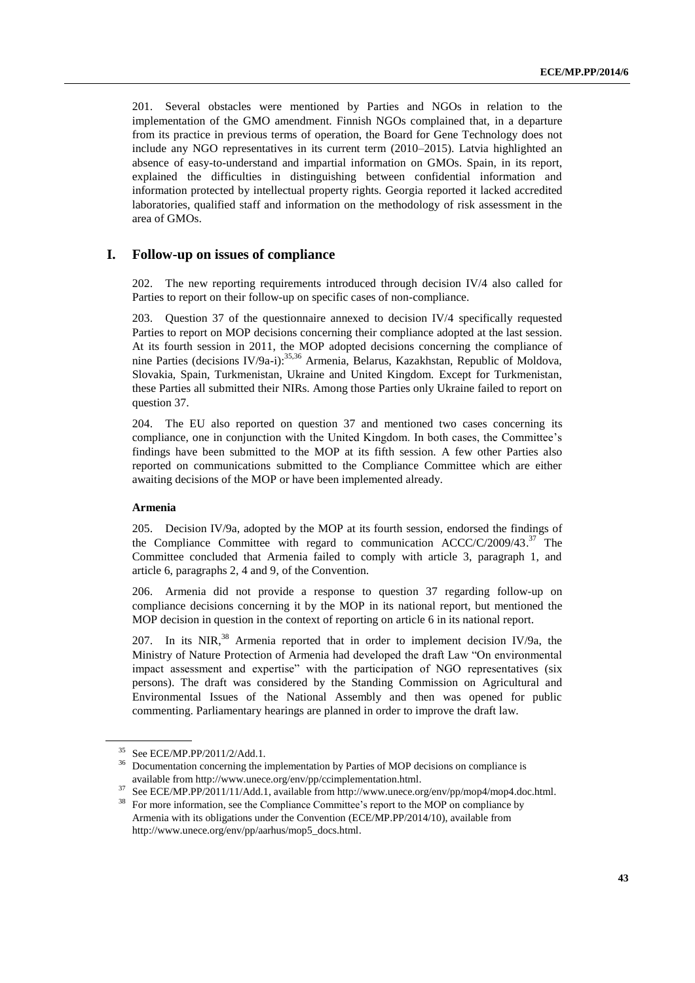201. Several obstacles were mentioned by Parties and NGOs in relation to the implementation of the GMO amendment. Finnish NGOs complained that, in a departure from its practice in previous terms of operation, the Board for Gene Technology does not include any NGO representatives in its current term (2010–2015). Latvia highlighted an absence of easy-to-understand and impartial information on GMOs. Spain, in its report, explained the difficulties in distinguishing between confidential information and information protected by intellectual property rights. Georgia reported it lacked accredited laboratories, qualified staff and information on the methodology of risk assessment in the area of GMOs.

# **I. Follow-up on issues of compliance**

202. The new reporting requirements introduced through decision IV/4 also called for Parties to report on their follow-up on specific cases of non-compliance.

203. Question 37 of the questionnaire annexed to decision IV/4 specifically requested Parties to report on MOP decisions concerning their compliance adopted at the last session. At its fourth session in 2011, the MOP adopted decisions concerning the compliance of nine Parties (decisions IV/9a-i):<sup>35,36</sup> Armenia, Belarus, Kazakhstan, Republic of Moldova, Slovakia, Spain, Turkmenistan, Ukraine and United Kingdom. Except for Turkmenistan, these Parties all submitted their NIRs. Among those Parties only Ukraine failed to report on question 37.

204. The EU also reported on question 37 and mentioned two cases concerning its compliance, one in conjunction with the United Kingdom. In both cases, the Committee's findings have been submitted to the MOP at its fifth session. A few other Parties also reported on communications submitted to the Compliance Committee which are either awaiting decisions of the MOP or have been implemented already.

#### **Armenia**

205. Decision IV/9a, adopted by the MOP at its fourth session, endorsed the findings of the Compliance Committee with regard to communication ACCC/C/2009/43.<sup>37</sup> The Committee concluded that Armenia failed to comply with article 3, paragraph 1, and article 6, paragraphs 2, 4 and 9, of the Convention.

206. Armenia did not provide a response to question 37 regarding follow-up on compliance decisions concerning it by the MOP in its national report, but mentioned the MOP decision in question in the context of reporting on article 6 in its national report.

207. In its NIR, $^{38}$  Armenia reported that in order to implement decision IV/9a, the Ministry of Nature Protection of Armenia had developed the draft Law "On environmental impact assessment and expertise" with the participation of NGO representatives (six persons). The draft was considered by the Standing Commission on Agricultural and Environmental Issues of the National Assembly and then was opened for public commenting. Parliamentary hearings are planned in order to improve the draft law.

<sup>35</sup> See ECE/MP.PP/2011/2/Add.1.

<sup>&</sup>lt;sup>36</sup> Documentation concerning the implementation by Parties of MOP decisions on compliance is available from http://www.unece.org/env/pp/ccimplementation.html.

<sup>37</sup> See ECE/MP.PP/2011/11/Add.1, available from [http://www.unece.org/env/pp/mop4/mop4.doc.html.](http://www.unece.org/env/pp/mop4/mop4.doc.html)

<sup>&</sup>lt;sup>38</sup> For more information, see the Compliance Committee's report to the MOP on compliance by Armenia with its obligations under the Convention (ECE/MP.PP/2014/10), available from http://www.unece.org/env/pp/aarhus/mop5\_docs.html.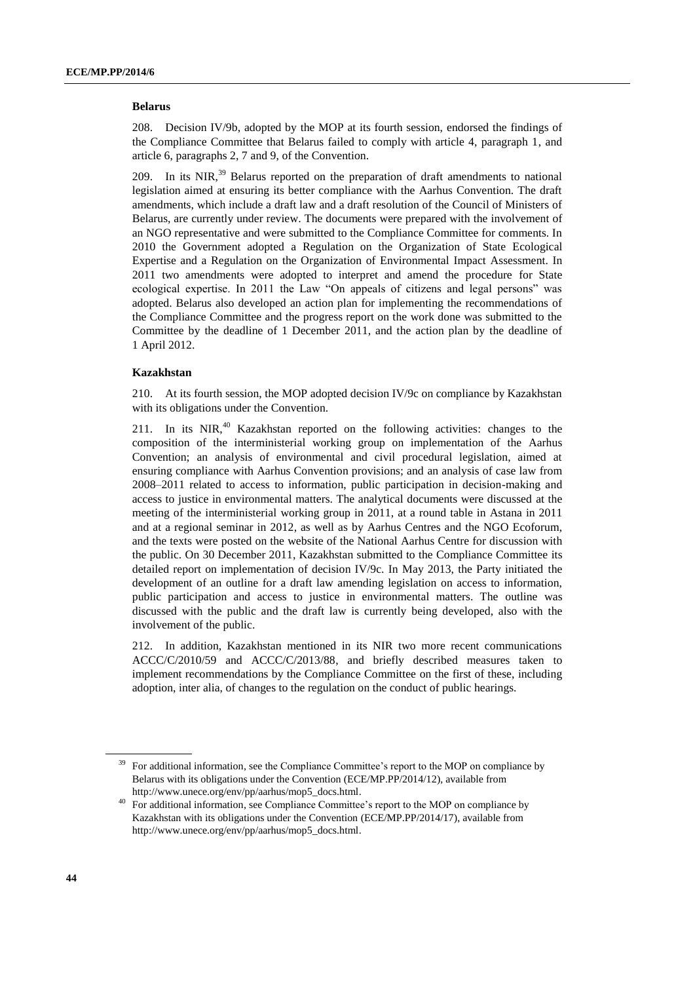#### **Belarus**

208. Decision IV/9b, adopted by the MOP at its fourth session, endorsed the findings of the Compliance Committee that Belarus failed to comply with article 4, paragraph 1, and article 6, paragraphs 2, 7 and 9, of the Convention.

209. In its NIR,<sup>39</sup> Belarus reported on the preparation of draft amendments to national legislation aimed at ensuring its better compliance with the Aarhus Convention. The draft amendments, which include a draft law and a draft resolution of the Council of Ministers of Belarus, are currently under review. The documents were prepared with the involvement of an NGO representative and were submitted to the Compliance Committee for comments. In 2010 the Government adopted a Regulation on the Organization of State Ecological Expertise and a Regulation on the Organization of Environmental Impact Assessment. In 2011 two amendments were adopted to interpret and amend the procedure for State ecological expertise. In 2011 the Law "On appeals of citizens and legal persons" was adopted. Belarus also developed an action plan for implementing the recommendations of the Compliance Committee and the progress report on the work done was submitted to the Committee by the deadline of 1 December 2011, and the action plan by the deadline of 1 April 2012.

#### **Kazakhstan**

210. At its fourth session, the MOP adopted decision IV/9c on compliance by Kazakhstan with its obligations under the Convention.

211. In its  $NIR<sub>10</sub><sup>40</sup>$  Kazakhstan reported on the following activities: changes to the composition of the interministerial working group on implementation of the Aarhus Convention; an analysis of environmental and civil procedural legislation, aimed at ensuring compliance with Aarhus Convention provisions; and an analysis of case law from 2008–2011 related to access to information, public participation in decision-making and access to justice in environmental matters. The analytical documents were discussed at the meeting of the interministerial working group in 2011, at a round table in Astana in 2011 and at a regional seminar in 2012, as well as by Aarhus Centres and the NGO Ecoforum, and the texts were posted on the website of the National Aarhus Centre for discussion with the public. On 30 December 2011, Kazakhstan submitted to the Compliance Committee its detailed report on implementation of decision IV/9c. In May 2013, the Party initiated the development of an outline for a draft law amending legislation on access to information, public participation and access to justice in environmental matters. The outline was discussed with the public and the draft law is currently being developed, also with the involvement of the public.

212. In addition, Kazakhstan mentioned in its NIR two more recent communications ACCC/C/2010/59 and ACCC/C/2013/88, and briefly described measures taken to implement recommendations by the Compliance Committee on the first of these, including adoption, inter alia, of changes to the regulation on the conduct of public hearings.

<sup>39</sup> For additional information, see the Compliance Committee's report to the MOP on compliance by Belarus with its obligations under the Convention (ECE/MP.PP/2014/12), available from [http://www.unece.org/env/pp/aarhus/mop5\\_docs.html.](http://www.unece.org/env/pp/aarhus/mop5_docs.html)

<sup>&</sup>lt;sup>40</sup> For additional information, see Compliance Committee's report to the MOP on compliance by Kazakhstan with its obligations under the Convention (ECE/MP.PP/2014/17), available from http://www.unece.org/env/pp/aarhus/mop5\_docs.html.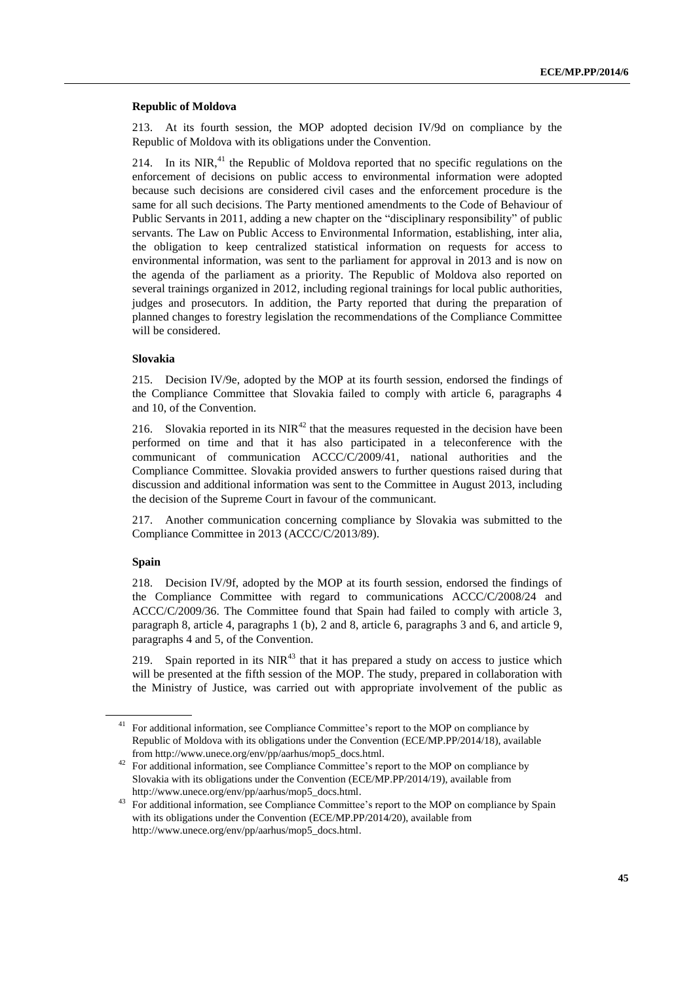#### **Republic of Moldova**

213. At its fourth session, the MOP adopted decision IV/9d on compliance by the Republic of Moldova with its obligations under the Convention.

214. In its NIR, $^{41}$  the Republic of Moldova reported that no specific regulations on the enforcement of decisions on public access to environmental information were adopted because such decisions are considered civil cases and the enforcement procedure is the same for all such decisions. The Party mentioned amendments to the Code of Behaviour of Public Servants in 2011, adding a new chapter on the "disciplinary responsibility" of public servants. The Law on Public Access to Environmental Information, establishing, inter alia, the obligation to keep centralized statistical information on requests for access to environmental information, was sent to the parliament for approval in 2013 and is now on the agenda of the parliament as a priority. The Republic of Moldova also reported on several trainings organized in 2012, including regional trainings for local public authorities, judges and prosecutors. In addition, the Party reported that during the preparation of planned changes to forestry legislation the recommendations of the Compliance Committee will be considered.

#### **Slovakia**

215. Decision IV/9e, adopted by the MOP at its fourth session, endorsed the findings of the Compliance Committee that Slovakia failed to comply with article 6, paragraphs 4 and 10, of the Convention.

216. Slovakia reported in its  $NIR<sup>42</sup>$  that the measures requested in the decision have been performed on time and that it has also participated in a teleconference with the communicant of communication ACCC/C/2009/41, national authorities and the Compliance Committee. Slovakia provided answers to further questions raised during that discussion and additional information was sent to the Committee in August 2013, including the decision of the Supreme Court in favour of the communicant.

217. Another communication concerning compliance by Slovakia was submitted to the Compliance Committee in 2013 (ACCC/C/2013/89).

### **Spain**

218. Decision IV/9f, adopted by the MOP at its fourth session, endorsed the findings of the Compliance Committee with regard to communications ACCC/C/2008/24 and ACCC/C/2009/36. The Committee found that Spain had failed to comply with article 3, paragraph 8, article 4, paragraphs 1 (b), 2 and 8, article 6, paragraphs 3 and 6, and article 9, paragraphs 4 and 5, of the Convention.

219. Spain reported in its  $NIR<sup>43</sup>$  that it has prepared a study on access to justice which will be presented at the fifth session of the MOP. The study, prepared in collaboration with the Ministry of Justice, was carried out with appropriate involvement of the public as

<sup>&</sup>lt;sup>41</sup> For additional information, see Compliance Committee's report to the MOP on compliance by Republic of Moldova with its obligations under the Convention (ECE/MP.PP/2014/18), available from http://www.unece.org/env/pp/aarhus/mop5\_docs.html.

<sup>&</sup>lt;sup>42</sup> For additional information, see Compliance Committee's report to the MOP on compliance by Slovakia with its obligations under the Convention (ECE/MP.PP/2014/19), available from http://www.unece.org/env/pp/aarhus/mop5\_docs.html.

<sup>&</sup>lt;sup>43</sup> For additional information, see Compliance Committee's report to the MOP on compliance by Spain with its obligations under the Convention (ECE/MP.PP/2014/20), available from http://www.unece.org/env/pp/aarhus/mop5\_docs.html.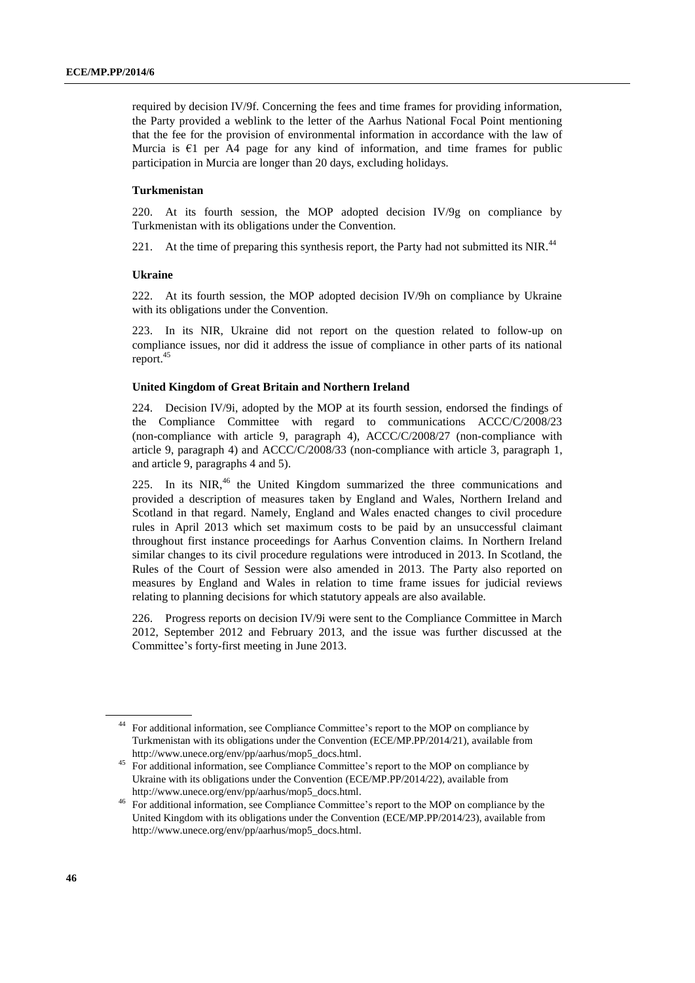required by decision IV/9f. Concerning the fees and time frames for providing information, the Party provided a weblink to the letter of the Aarhus National Focal Point mentioning that the fee for the provision of environmental information in accordance with the law of Murcia is  $\epsilon$ 1 per A4 page for any kind of information, and time frames for public participation in Murcia are longer than 20 days, excluding holidays.

#### **Turkmenistan**

220. At its fourth session, the MOP adopted decision IV/9g on compliance by Turkmenistan with its obligations under the Convention.

221. At the time of preparing this synthesis report, the Party had not submitted its NIR.<sup>44</sup>

#### **Ukraine**

222. At its fourth session, the MOP adopted decision IV/9h on compliance by Ukraine with its obligations under the Convention.

223. In its NIR, Ukraine did not report on the question related to follow-up on compliance issues, nor did it address the issue of compliance in other parts of its national report. 45

#### **United Kingdom of Great Britain and Northern Ireland**

224. Decision IV/9i, adopted by the MOP at its fourth session, endorsed the findings of the Compliance Committee with regard to communications ACCC/C/2008/23 (non-compliance with article 9, paragraph 4), ACCC/C/2008/27 (non-compliance with article 9, paragraph 4) and ACCC/C/2008/33 (non-compliance with article 3, paragraph 1, and article 9, paragraphs 4 and 5).

225. In its  $NIR<sub>16</sub>$  the United Kingdom summarized the three communications and provided a description of measures taken by England and Wales, Northern Ireland and Scotland in that regard. Namely, England and Wales enacted changes to civil procedure rules in April 2013 which set maximum costs to be paid by an unsuccessful claimant throughout first instance proceedings for Aarhus Convention claims. In Northern Ireland similar changes to its civil procedure regulations were introduced in 2013. In Scotland, the Rules of the Court of Session were also amended in 2013. The Party also reported on measures by England and Wales in relation to time frame issues for judicial reviews relating to planning decisions for which statutory appeals are also available.

226. Progress reports on decision IV/9i were sent to the Compliance Committee in March 2012, September 2012 and February 2013, and the issue was further discussed at the Committee's forty-first meeting in June 2013.

<sup>44</sup> For additional information, see Compliance Committee's report to the MOP on compliance by Turkmenistan with its obligations under the Convention (ECE/MP.PP/2014/21), available from http://www.unece.org/env/pp/aarhus/mop5\_docs.html.

<sup>&</sup>lt;sup>45</sup> For additional information, see Compliance Committee's report to the MOP on compliance by Ukraine with its obligations under the Convention (ECE/MP.PP/2014/22), available from http://www.unece.org/env/pp/aarhus/mop5\_docs.html.

<sup>46</sup> For additional information, see Compliance Committee's report to the MOP on compliance by the United Kingdom with its obligations under the Convention (ECE/MP.PP/2014/23), available from http://www.unece.org/env/pp/aarhus/mop5\_docs.html.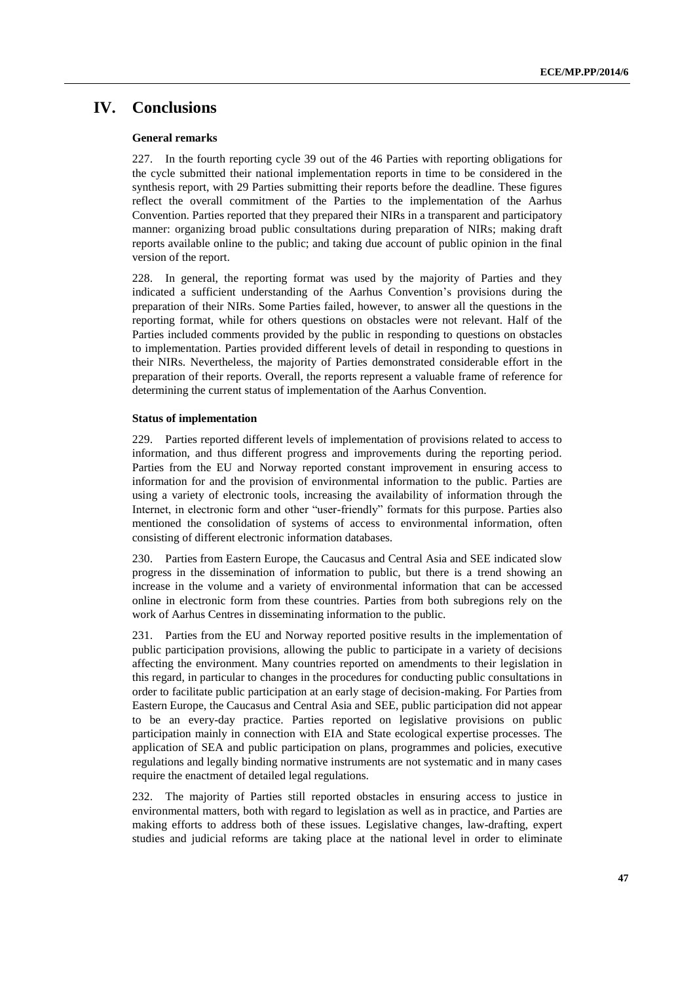# **IV. Conclusions**

#### **General remarks**

227. In the fourth reporting cycle 39 out of the 46 Parties with reporting obligations for the cycle submitted their national implementation reports in time to be considered in the synthesis report, with 29 Parties submitting their reports before the deadline. These figures reflect the overall commitment of the Parties to the implementation of the Aarhus Convention. Parties reported that they prepared their NIRs in a transparent and participatory manner: organizing broad public consultations during preparation of NIRs; making draft reports available online to the public; and taking due account of public opinion in the final version of the report.

228. In general, the reporting format was used by the majority of Parties and they indicated a sufficient understanding of the Aarhus Convention's provisions during the preparation of their NIRs. Some Parties failed, however, to answer all the questions in the reporting format, while for others questions on obstacles were not relevant. Half of the Parties included comments provided by the public in responding to questions on obstacles to implementation. Parties provided different levels of detail in responding to questions in their NIRs. Nevertheless, the majority of Parties demonstrated considerable effort in the preparation of their reports. Overall, the reports represent a valuable frame of reference for determining the current status of implementation of the Aarhus Convention.

#### **Status of implementation**

229. Parties reported different levels of implementation of provisions related to access to information, and thus different progress and improvements during the reporting period. Parties from the EU and Norway reported constant improvement in ensuring access to information for and the provision of environmental information to the public. Parties are using a variety of electronic tools, increasing the availability of information through the Internet, in electronic form and other "user-friendly" formats for this purpose. Parties also mentioned the consolidation of systems of access to environmental information, often consisting of different electronic information databases.

230. Parties from Eastern Europe, the Caucasus and Central Asia and SEE indicated slow progress in the dissemination of information to public, but there is a trend showing an increase in the volume and a variety of environmental information that can be accessed online in electronic form from these countries. Parties from both subregions rely on the work of Aarhus Centres in disseminating information to the public.

231. Parties from the EU and Norway reported positive results in the implementation of public participation provisions, allowing the public to participate in a variety of decisions affecting the environment. Many countries reported on amendments to their legislation in this regard, in particular to changes in the procedures for conducting public consultations in order to facilitate public participation at an early stage of decision-making. For Parties from Eastern Europe, the Caucasus and Central Asia and SEE, public participation did not appear to be an every-day practice. Parties reported on legislative provisions on public participation mainly in connection with EIA and State ecological expertise processes. The application of SEA and public participation on plans, programmes and policies, executive regulations and legally binding normative instruments are not systematic and in many cases require the enactment of detailed legal regulations.

232. The majority of Parties still reported obstacles in ensuring access to justice in environmental matters, both with regard to legislation as well as in practice, and Parties are making efforts to address both of these issues. Legislative changes, law-drafting, expert studies and judicial reforms are taking place at the national level in order to eliminate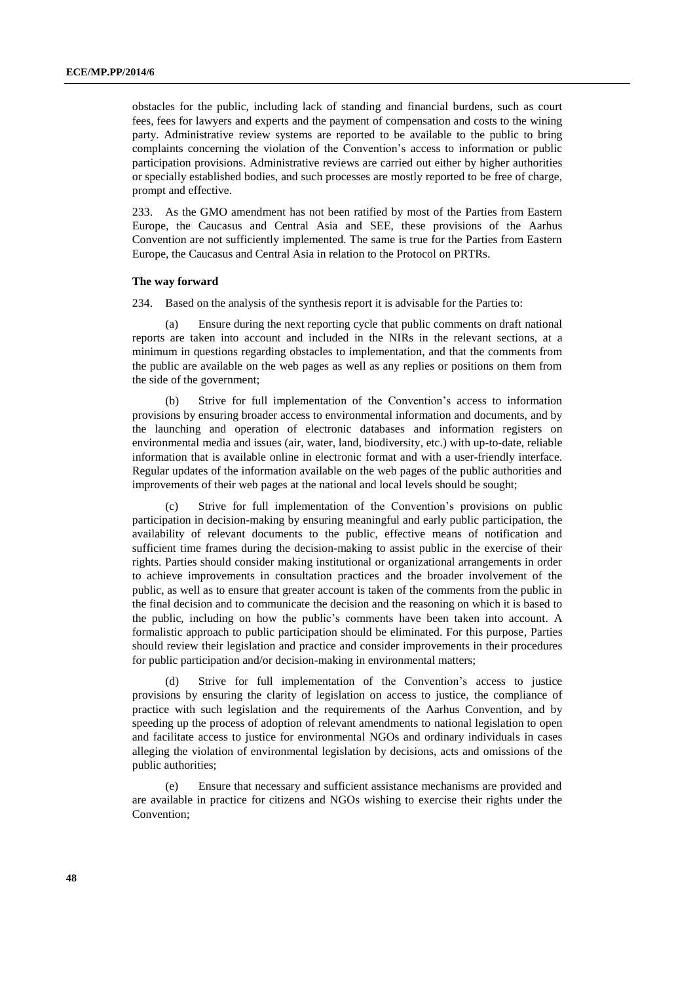obstacles for the public, including lack of standing and financial burdens, such as court fees, fees for lawyers and experts and the payment of compensation and costs to the wining party. Administrative review systems are reported to be available to the public to bring complaints concerning the violation of the Convention's access to information or public participation provisions. Administrative reviews are carried out either by higher authorities or specially established bodies, and such processes are mostly reported to be free of charge, prompt and effective.

233. As the GMO amendment has not been ratified by most of the Parties from Eastern Europe, the Caucasus and Central Asia and SEE, these provisions of the Aarhus Convention are not sufficiently implemented. The same is true for the Parties from Eastern Europe, the Caucasus and Central Asia in relation to the Protocol on PRTRs.

#### **The way forward**

234. Based on the analysis of the synthesis report it is advisable for the Parties to:

(a) Ensure during the next reporting cycle that public comments on draft national reports are taken into account and included in the NIRs in the relevant sections, at a minimum in questions regarding obstacles to implementation, and that the comments from the public are available on the web pages as well as any replies or positions on them from the side of the government;

(b) Strive for full implementation of the Convention's access to information provisions by ensuring broader access to environmental information and documents, and by the launching and operation of electronic databases and information registers on environmental media and issues (air, water, land, biodiversity, etc.) with up-to-date, reliable information that is available online in electronic format and with a user-friendly interface. Regular updates of the information available on the web pages of the public authorities and improvements of their web pages at the national and local levels should be sought;

(c) Strive for full implementation of the Convention's provisions on public participation in decision-making by ensuring meaningful and early public participation, the availability of relevant documents to the public, effective means of notification and sufficient time frames during the decision-making to assist public in the exercise of their rights. Parties should consider making institutional or organizational arrangements in order to achieve improvements in consultation practices and the broader involvement of the public, as well as to ensure that greater account is taken of the comments from the public in the final decision and to communicate the decision and the reasoning on which it is based to the public, including on how the public's comments have been taken into account. A formalistic approach to public participation should be eliminated. For this purpose, Parties should review their legislation and practice and consider improvements in their procedures for public participation and/or decision-making in environmental matters;

(d) Strive for full implementation of the Convention's access to justice provisions by ensuring the clarity of legislation on access to justice, the compliance of practice with such legislation and the requirements of the Aarhus Convention, and by speeding up the process of adoption of relevant amendments to national legislation to open and facilitate access to justice for environmental NGOs and ordinary individuals in cases alleging the violation of environmental legislation by decisions, acts and omissions of the public authorities;

(e) Ensure that necessary and sufficient assistance mechanisms are provided and are available in practice for citizens and NGOs wishing to exercise their rights under the Convention;